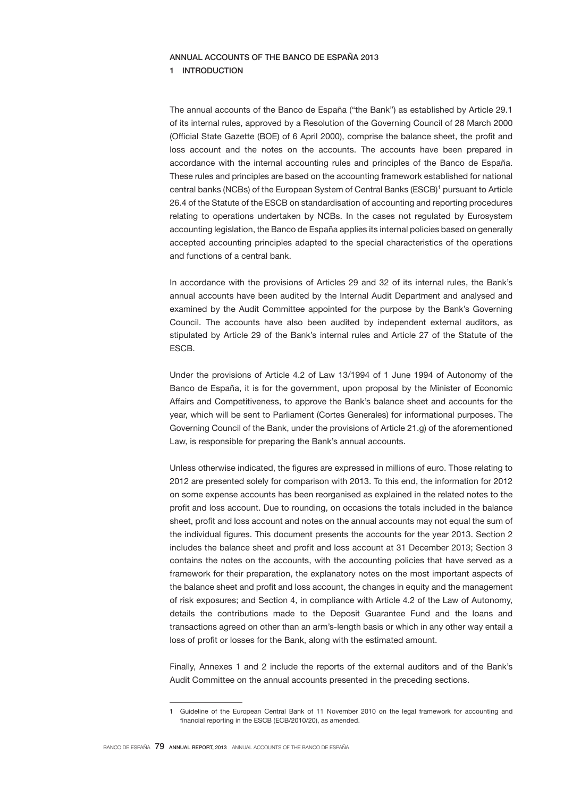# ANNUAL ACCOUNTS OF THE BANCO DE ESPAÑA 2013

### 1 INTRODUCTION

The annual accounts of the Banco de España ("the Bank") as established by Article 29.1 of its internal rules, approved by a Resolution of the Governing Council of 28 March 2000 (Official State Gazette (BOE) of 6 April 2000), comprise the balance sheet, the profit and loss account and the notes on the accounts. The accounts have been prepared in accordance with the internal accounting rules and principles of the Banco de España. These rules and principles are based on the accounting framework established for national central banks (NCBs) of the European System of Central Banks (ESCB)<sup>1</sup> pursuant to Article 26.4 of the Statute of the ESCB on standardisation of accounting and reporting procedures relating to operations undertaken by NCBs. In the cases not regulated by Eurosystem accounting legislation, the Banco de España applies its internal policies based on generally accepted accounting principles adapted to the special characteristics of the operations and functions of a central bank.

In accordance with the provisions of Articles 29 and 32 of its internal rules, the Bank's annual accounts have been audited by the Internal Audit Department and analysed and examined by the Audit Committee appointed for the purpose by the Bank's Governing Council. The accounts have also been audited by independent external auditors, as stipulated by Article 29 of the Bank's internal rules and Article 27 of the Statute of the ESCB.

Under the provisions of Article 4.2 of Law 13/1994 of 1 June 1994 of Autonomy of the Banco de España, it is for the government, upon proposal by the Minister of Economic Affairs and Competitiveness, to approve the Bank's balance sheet and accounts for the year, which will be sent to Parliament (Cortes Generales) for informational purposes. The Governing Council of the Bank, under the provisions of Article 21.g) of the aforementioned Law, is responsible for preparing the Bank's annual accounts.

Unless otherwise indicated, the figures are expressed in millions of euro. Those relating to 2012 are presented solely for comparison with 2013. To this end, the information for 2012 on some expense accounts has been reorganised as explained in the related notes to the profit and loss account. Due to rounding, on occasions the totals included in the balance sheet, profit and loss account and notes on the annual accounts may not equal the sum of the individual figures. This document presents the accounts for the year 2013. Section 2 includes the balance sheet and profit and loss account at 31 December 2013; Section 3 contains the notes on the accounts, with the accounting policies that have served as a framework for their preparation, the explanatory notes on the most important aspects of the balance sheet and profit and loss account, the changes in equity and the management of risk exposures; and Section 4, in compliance with Article 4.2 of the Law of Autonomy, details the contributions made to the Deposit Guarantee Fund and the loans and transactions agreed on other than an arm's-length basis or which in any other way entail a loss of profit or losses for the Bank, along with the estimated amount.

Finally, Annexes 1 and 2 include the reports of the external auditors and of the Bank's Audit Committee on the annual accounts presented in the preceding sections.

<sup>1</sup> Guideline of the European Central Bank of 11 November 2010 on the legal framework for accounting and financial reporting in the ESCB (ECB/2010/20), as amended.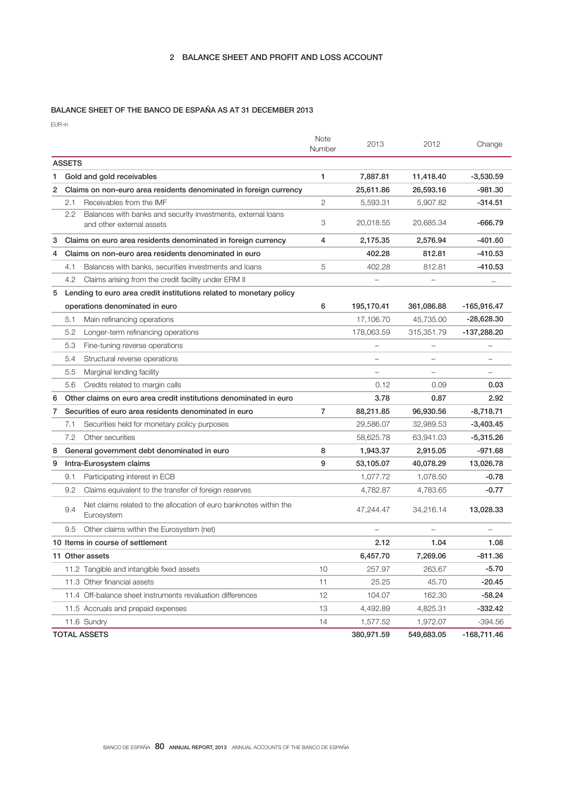# BALANCE SHEET OF THE BANCO DE ESPAÑA AS AT 31 DECEMBER 2013

EUR m

|   |               |                                                                                           | <b>Note</b><br>Number | 2013                     | 2012              | Change                   |
|---|---------------|-------------------------------------------------------------------------------------------|-----------------------|--------------------------|-------------------|--------------------------|
|   | <b>ASSETS</b> |                                                                                           |                       |                          |                   |                          |
| 1 |               | Gold and gold receivables                                                                 | 1                     | 7,887.81                 | 11,418.40         | $-3,530.59$              |
| 2 |               | Claims on non-euro area residents denominated in foreign currency                         |                       | 25,611.86                | 26,593.16         | -981.30                  |
|   | 2.1           | Receivables from the IMF                                                                  | 2                     | 5.593.31                 | 5,907.82          | $-314.51$                |
|   | 2.2           | Balances with banks and security investments, external loans<br>and other external assets | 3                     | 20,018.55                | 20,685.34         | $-666.79$                |
| 3 |               | Claims on euro area residents denominated in foreign currency                             | 4                     | 2,175.35                 | 2,576.94          | -401.60                  |
| 4 |               | Claims on non-euro area residents denominated in euro                                     |                       | 402.28                   | 812.81            | $-410.53$                |
|   | 4.1           | Balances with banks, securities investments and loans                                     | 5                     | 402.28                   | 812.81            | -410.53                  |
|   | 4.2           | Claims arising from the credit facility under ERM II                                      |                       |                          |                   | $\overline{\phantom{m}}$ |
| 5 |               | Lending to euro area credit institutions related to monetary policy                       |                       |                          |                   |                          |
|   |               | operations denominated in euro                                                            | 6                     | 195,170.41               | 361,086.88        | -165,916.47              |
|   | 5.1           | Main refinancing operations                                                               |                       | 17,106.70                | 45,735.00         | $-28,628.30$             |
|   | 5.2           | Longer-term refinancing operations                                                        |                       | 178,063.59               | 315,351.79        | -137,288.20              |
|   | 5.3           | Fine-tuning reverse operations                                                            |                       |                          |                   |                          |
|   | 5.4           | Structural reverse operations                                                             |                       |                          |                   |                          |
|   | 5.5           | Marginal lending facility                                                                 |                       | $\overline{\phantom{0}}$ | $\qquad \qquad -$ | $\overline{\phantom{0}}$ |
|   | 5.6           | Credits related to margin calls                                                           |                       | 0.12                     | 0.09              | 0.03                     |
| 6 |               | Other claims on euro area credit institutions denominated in euro                         |                       | 3.78                     | 0.87              | 2.92                     |
| 7 |               | Securities of euro area residents denominated in euro                                     | 7                     | 88,211.85                | 96,930.56         | $-8,718.71$              |
|   | 7.1           | Securities held for monetary policy purposes                                              |                       | 29,586.07                | 32,989.53         | $-3,403.45$              |
|   | 7.2           | Other securities                                                                          |                       | 58,625.78                | 63,941.03         | -5,315.26                |
| 8 |               | General government debt denominated in euro                                               | 8                     | 1,943.37                 | 2,915.05          | -971.68                  |
| 9 |               | Intra-Eurosystem claims                                                                   | 9                     | 53,105.07                | 40,078.29         | 13,026.78                |
|   | 9.1           | Participating interest in ECB                                                             |                       | 1,077.72                 | 1,078.50          | $-0.78$                  |
|   | 9.2           | Claims equivalent to the transfer of foreign reserves                                     |                       | 4,782.87                 | 4,783.65          | $-0.77$                  |
|   | 9.4           | Net claims related to the allocation of euro banknotes within the<br>Eurosystem           |                       | 47,244.47                | 34,216.14         | 13,028.33                |
|   | 9.5           | Other claims within the Eurosystem (net)                                                  |                       | $\overline{\phantom{0}}$ |                   |                          |
|   |               | 10 Items in course of settlement                                                          |                       | 2.12                     | 1.04              | 1.08                     |
|   |               | 11 Other assets                                                                           |                       | 6,457.70                 | 7,269.06          | $-811.36$                |
|   |               | 11.2 Tangible and intangible fixed assets                                                 | 10                    | 257.97                   | 263.67            | $-5.70$                  |
|   |               | 11.3 Other financial assets                                                               | 11                    | 25.25                    | 45.70             | $-20.45$                 |
|   |               | 11.4 Off-balance sheet instruments revaluation differences                                | 12                    | 104.07                   | 162.30            | $-58.24$                 |
|   |               | 11.5 Accruals and prepaid expenses                                                        | 13                    | 4,492.89                 | 4,825.31          | $-332.42$                |
|   |               | 11.6 Sundry                                                                               | 14                    | 1,577.52                 | 1,972.07          | $-394.56$                |
|   |               | <b>TOTAL ASSETS</b>                                                                       |                       | 380,971.59               | 549,683.05        | $-168,711.46$            |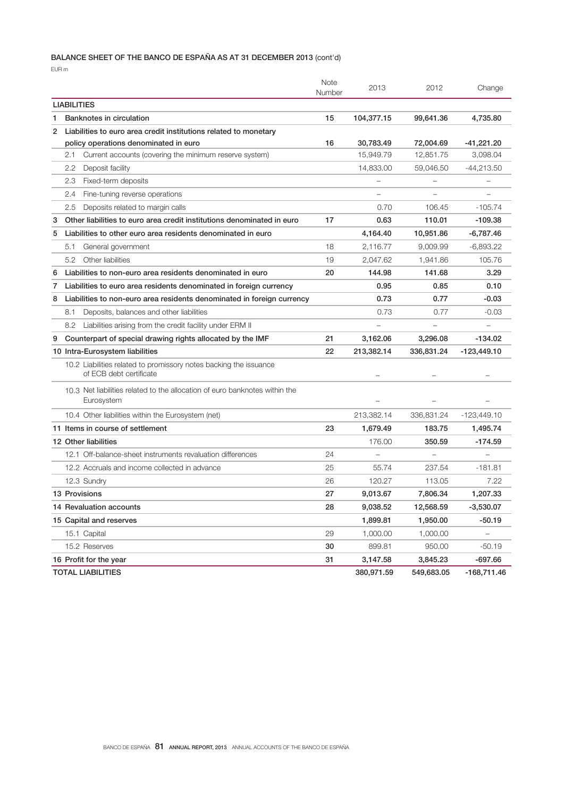# BALANCE SHEET OF THE BANCO DE ESPAÑA AS AT 31 DECEMBER 2013 (cont'd)

EUR m

|                    |                                                                                              | Note<br>Number | 2013                     | 2012       | Change        |
|--------------------|----------------------------------------------------------------------------------------------|----------------|--------------------------|------------|---------------|
| <b>LIABILITIES</b> |                                                                                              |                |                          |            |               |
| 1                  | Banknotes in circulation                                                                     | 15             | 104,377.15               | 99,641.36  | 4,735.80      |
| $\overline{2}$     | Liabilities to euro area credit institutions related to monetary                             |                |                          |            |               |
|                    | policy operations denominated in euro                                                        | 16             | 30,783.49                | 72,004.69  | $-41,221.20$  |
|                    | Current accounts (covering the minimum reserve system)<br>2.1                                |                | 15,949.79                | 12,851.75  | 3,098.04      |
|                    | 2.2<br>Deposit facility                                                                      |                | 14,833.00                | 59,046.50  | $-44,213.50$  |
|                    | Fixed-term deposits<br>2.3                                                                   |                |                          |            |               |
|                    | 2.4<br>Fine-tuning reverse operations                                                        |                |                          |            |               |
|                    | 2.5<br>Deposits related to margin calls                                                      |                | 0.70                     | 106.45     | $-105.74$     |
| 3                  | Other liabilities to euro area credit institutions denominated in euro                       | 17             | 0.63                     | 110.01     | $-109.38$     |
| 5                  | Liabilities to other euro area residents denominated in euro                                 |                | 4,164.40                 | 10,951.86  | -6,787.46     |
|                    | 5.1<br>General government                                                                    | 18             | 2,116.77                 | 9,009.99   | $-6,893.22$   |
|                    | 5.2<br>Other liabilities                                                                     | 19             | 2,047.62                 | 1,941.86   | 105.76        |
| 6                  | Liabilities to non-euro area residents denominated in euro                                   | 20             | 144.98                   | 141.68     | 3.29          |
| 7                  | Liabilities to euro area residents denominated in foreign currency                           |                | 0.95                     | 0.85       | 0.10          |
| 8                  | Liabilities to non-euro area residents denominated in foreign currency                       |                | 0.73                     | 0.77       | $-0.03$       |
|                    | 8.1<br>Deposits, balances and other liabilities                                              |                | 0.73                     | 0.77       | $-0.03$       |
|                    | $8.2^{\circ}$<br>Liabilities arising from the credit facility under ERM II                   |                |                          |            |               |
| 9                  | Counterpart of special drawing rights allocated by the IMF                                   | 21             | 3.162.06                 | 3,296.08   | $-134.02$     |
|                    | 10 Intra-Eurosystem liabilities                                                              | 22             | 213,382.14               | 336,831.24 | $-123,449.10$ |
|                    | 10.2 Liabilities related to promissory notes backing the issuance<br>of ECB debt certificate |                |                          |            |               |
|                    | 10.3 Net liabilities related to the allocation of euro banknotes within the<br>Eurosystem    |                |                          |            |               |
|                    | 10.4 Other liabilities within the Eurosystem (net)                                           |                | 213,382.14               | 336,831.24 | $-123,449.10$ |
|                    | 11 Items in course of settlement                                                             | 23             | 1,679.49                 | 183.75     | 1,495.74      |
|                    | 12 Other liabilities                                                                         |                | 176.00                   | 350.59     | $-174.59$     |
|                    | 12.1 Off-balance-sheet instruments revaluation differences                                   | 24             | $\overline{\phantom{0}}$ |            |               |
|                    | 12.2 Accruals and income collected in advance                                                | 25             | 55.74                    | 237.54     | $-181.81$     |
|                    | 12.3 Sundry                                                                                  | 26             | 120.27                   | 113.05     | 7.22          |
|                    | 13 Provisions                                                                                | 27             | 9,013.67                 | 7.806.34   | 1,207.33      |
|                    | 14 Revaluation accounts                                                                      | 28             | 9,038.52                 | 12,568.59  | $-3,530.07$   |
|                    | 15 Capital and reserves                                                                      |                | 1,899.81                 | 1,950.00   | $-50.19$      |
|                    | 15.1 Capital                                                                                 | 29             | 1,000.00                 | 1,000.00   |               |
|                    | 15.2 Reserves                                                                                | 30             | 899.81                   | 950.00     | $-50.19$      |
|                    | 16 Profit for the year                                                                       | 31             | 3,147.58                 | 3,845.23   | $-697.66$     |
|                    | <b>TOTAL LIABILITIES</b>                                                                     |                | 380,971.59               | 549,683.05 | $-168,711.46$ |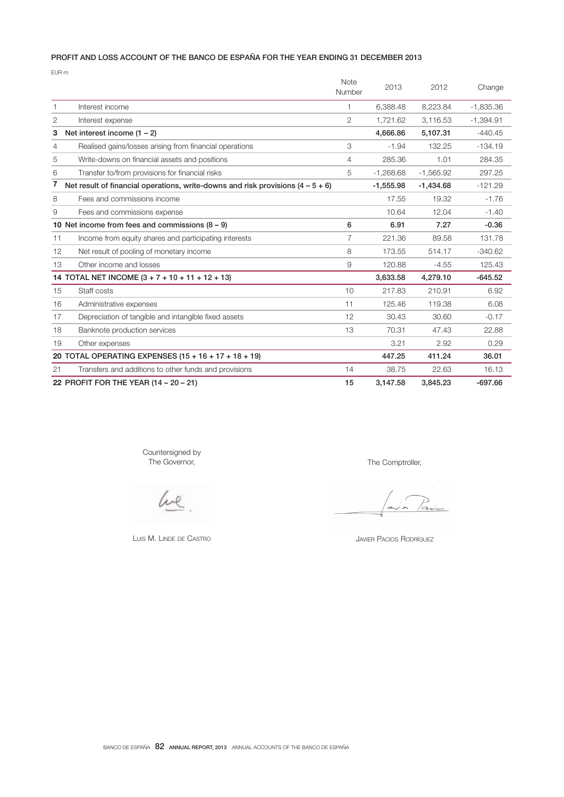# PROFIT AND LOSS ACCOUNT OF THE BANCO DE ESPAÑA FOR THE YEAR ENDING 31 DECEMBER 2013

EUR m

|    |                                                                                   | Note<br>Number | 2013        | 2012        | Change      |
|----|-----------------------------------------------------------------------------------|----------------|-------------|-------------|-------------|
| 1. | Interest income                                                                   | 1              | 6,388.48    | 8,223.84    | $-1,835.36$ |
| 2  | Interest expense                                                                  | $\overline{2}$ | 1.721.62    | 3.116.53    | $-1.394.91$ |
| 3  | Net interest income $(1 - 2)$                                                     |                | 4,666.86    | 5,107.31    | $-440.45$   |
| 4  | Realised gains/losses arising from financial operations                           | 3              | $-1.94$     | 132.25      | $-134.19$   |
| 5  | Write-downs on financial assets and positions                                     | 4              | 285.36      | 1.01        | 284.35      |
| 6  | Transfer to/from provisions for financial risks                                   | 5              | $-1,268.68$ | $-1,565.92$ | 297.25      |
| 7  | Net result of financial operations, write-downs and risk provisions $(4 - 5 + 6)$ |                | $-1,555.98$ | $-1,434.68$ | $-121.29$   |
| 8  | Fees and commissions income                                                       |                | 17.55       | 19.32       | $-1.76$     |
| 9  | Fees and commissions expense                                                      |                | 10.64       | 12.04       | $-1.40$     |
|    | 10 Net income from fees and commissions $(8 - 9)$                                 | 6              | 6.91        | 7.27        | $-0.36$     |
| 11 | Income from equity shares and participating interests                             | 7              | 221.36      | 89.58       | 131.78      |
| 12 | Net result of pooling of monetary income                                          | 8              | 173.55      | 514.17      | $-340.62$   |
| 13 | Other income and losses                                                           | 9              | 120.88      | $-4.55$     | 125.43      |
|    | 14 TOTAL NET INCOME $(3 + 7 + 10 + 11 + 12 + 13)$                                 |                | 3,633.58    | 4,279.10    | $-645.52$   |
| 15 | Staff costs                                                                       | 10             | 217.83      | 210.91      | 6.92        |
| 16 | Administrative expenses                                                           | 11             | 125.46      | 119.38      | 6.08        |
| 17 | Depreciation of tangible and intangible fixed assets                              | 12             | 30.43       | 30.60       | $-0.17$     |
| 18 | Banknote production services                                                      | 13             | 70.31       | 47.43       | 22.88       |
| 19 | Other expenses                                                                    |                | 3.21        | 2.92        | 0.29        |
|    | 20 TOTAL OPERATING EXPENSES (15 + 16 + 17 + 18 + 19)                              |                | 447.25      | 411.24      | 36.01       |
| 21 | Transfers and additions to other funds and provisions                             | 14             | 38.75       | 22.63       | 16.13       |
|    | 22 PROFIT FOR THE YEAR (14 - 20 - 21)                                             | 15             | 3,147.58    | 3.845.23    | $-697.66$   |

Countersigned by The Governor,

he

LUIS M. LINDE DE CASTRO

The Comptroller,

JAVIER PACIOS RODRÍGUEZ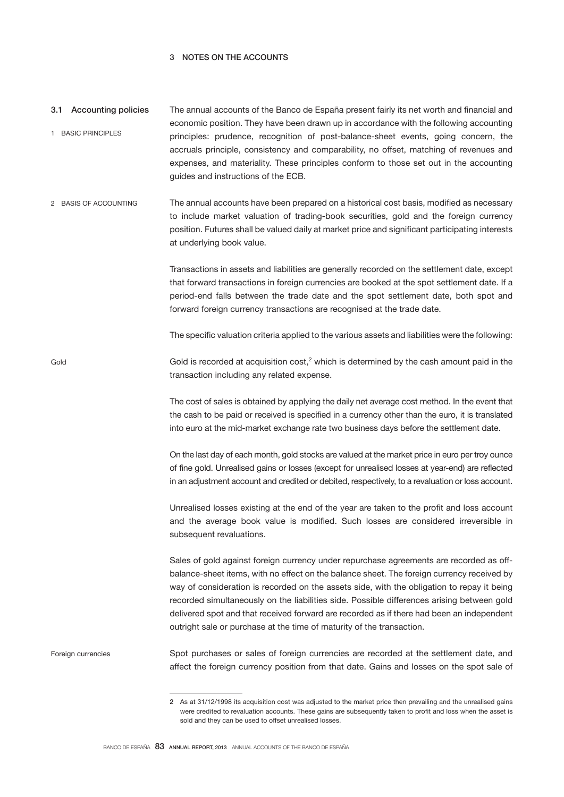# 3 NOTES ON THE ACCOUNTS

Gold

- The annual accounts of the Banco de España present fairly its net worth and financial and economic position. They have been drawn up in accordance with the following accounting principles: prudence, recognition of post-balance-sheet events, going concern, the accruals principle, consistency and comparability, no offset, matching of revenues and expenses, and materiality. These principles conform to those set out in the accounting guides and instructions of the ECB. 3.1 Accounting policies 1 BASIC PRINCIPLES
- The annual accounts have been prepared on a historical cost basis, modified as necessary to include market valuation of trading-book securities, gold and the foreign currency position. Futures shall be valued daily at market price and significant participating interests at underlying book value. 2 BASIS OF ACCOUNTING

Transactions in assets and liabilities are generally recorded on the settlement date, except that forward transactions in foreign currencies are booked at the spot settlement date. If a period-end falls between the trade date and the spot settlement date, both spot and forward foreign currency transactions are recognised at the trade date.

The specific valuation criteria applied to the various assets and liabilities were the following:

Gold is recorded at acquisition  $cost<sub>i</sub><sup>2</sup>$  which is determined by the cash amount paid in the transaction including any related expense.

> The cost of sales is obtained by applying the daily net average cost method. In the event that the cash to be paid or received is specified in a currency other than the euro, it is translated into euro at the mid-market exchange rate two business days before the settlement date.

> On the last day of each month, gold stocks are valued at the market price in euro per troy ounce of fine gold. Unrealised gains or losses (except for unrealised losses at year-end) are reflected in an adjustment account and credited or debited, respectively, to a revaluation or loss account.

> Unrealised losses existing at the end of the year are taken to the profit and loss account and the average book value is modified. Such losses are considered irreversible in subsequent revaluations.

> Sales of gold against foreign currency under repurchase agreements are recorded as offbalance-sheet items, with no effect on the balance sheet. The foreign currency received by way of consideration is recorded on the assets side, with the obligation to repay it being recorded simultaneously on the liabilities side. Possible differences arising between gold delivered spot and that received forward are recorded as if there had been an independent outright sale or purchase at the time of maturity of the transaction.

Spot purchases or sales of foreign currencies are recorded at the settlement date, and affect the foreign currency position from that date. Gains and losses on the spot sale of Foreign currencies

<sup>2</sup> As at 31/12/1998 its acquisition cost was adjusted to the market price then prevailing and the unrealised gains were credited to revaluation accounts. These gains are subsequently taken to profit and loss when the asset is sold and they can be used to offset unrealised losses.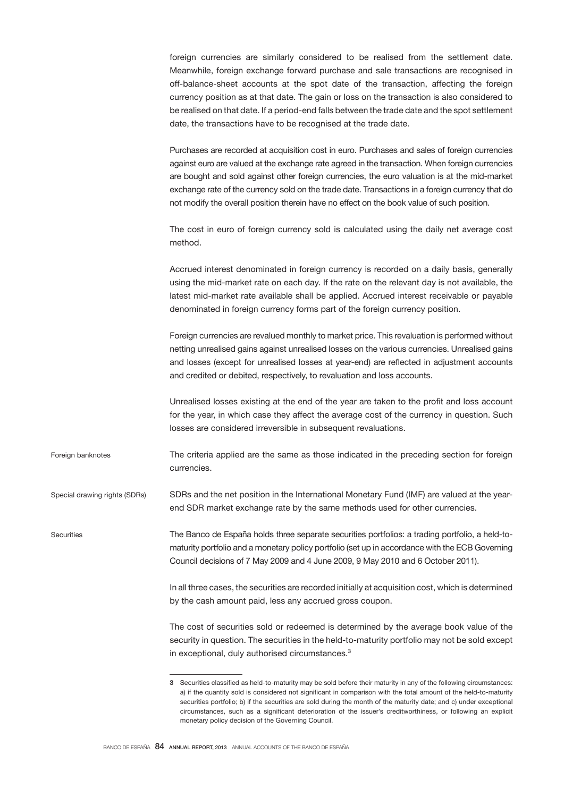foreign currencies are similarly considered to be realised from the settlement date. Meanwhile, foreign exchange forward purchase and sale transactions are recognised in off-balance-sheet accounts at the spot date of the transaction, affecting the foreign currency position as at that date. The gain or loss on the transaction is also considered to be realised on that date. If a period-end falls between the trade date and the spot settlement date, the transactions have to be recognised at the trade date.

Purchases are recorded at acquisition cost in euro. Purchases and sales of foreign currencies against euro are valued at the exchange rate agreed in the transaction. When foreign currencies are bought and sold against other foreign currencies, the euro valuation is at the mid-market exchange rate of the currency sold on the trade date. Transactions in a foreign currency that do not modify the overall position therein have no effect on the book value of such position.

The cost in euro of foreign currency sold is calculated using the daily net average cost method.

Accrued interest denominated in foreign currency is recorded on a daily basis, generally using the mid-market rate on each day. If the rate on the relevant day is not available, the latest mid-market rate available shall be applied. Accrued interest receivable or payable denominated in foreign currency forms part of the foreign currency position.

Foreign currencies are revalued monthly to market price. This revaluation is performed without netting unrealised gains against unrealised losses on the various currencies. Unrealised gains and losses (except for unrealised losses at year-end) are reflected in adjustment accounts and credited or debited, respectively, to revaluation and loss accounts.

Unrealised losses existing at the end of the year are taken to the profit and loss account for the year, in which case they affect the average cost of the currency in question. Such losses are considered irreversible in subsequent revaluations.

The criteria applied are the same as those indicated in the preceding section for foreign currencies. Foreign banknotes

SDRs and the net position in the International Monetary Fund (IMF) are valued at the yearend SDR market exchange rate by the same methods used for other currencies. Special drawing rights (SDRs)

**Securities** 

The Banco de España holds three separate securities portfolios: a trading portfolio, a held-tomaturity portfolio and a monetary policy portfolio (set up in accordance with the ECB Governing Council decisions of 7 May 2009 and 4 June 2009, 9 May 2010 and 6 October 2011).

In all three cases, the securities are recorded initially at acquisition cost, which is determined by the cash amount paid, less any accrued gross coupon.

The cost of securities sold or redeemed is determined by the average book value of the security in question. The securities in the held-to-maturity portfolio may not be sold except in exceptional, duly authorised circumstances.<sup>3</sup>

<sup>3</sup> Securities classified as held-to-maturity may be sold before their maturity in any of the following circumstances: a) if the quantity sold is considered not significant in comparison with the total amount of the held-to-maturity securities portfolio; b) if the securities are sold during the month of the maturity date; and c) under exceptional circumstances, such as a significant deterioration of the issuer's creditworthiness, or following an explicit monetary policy decision of the Governing Council.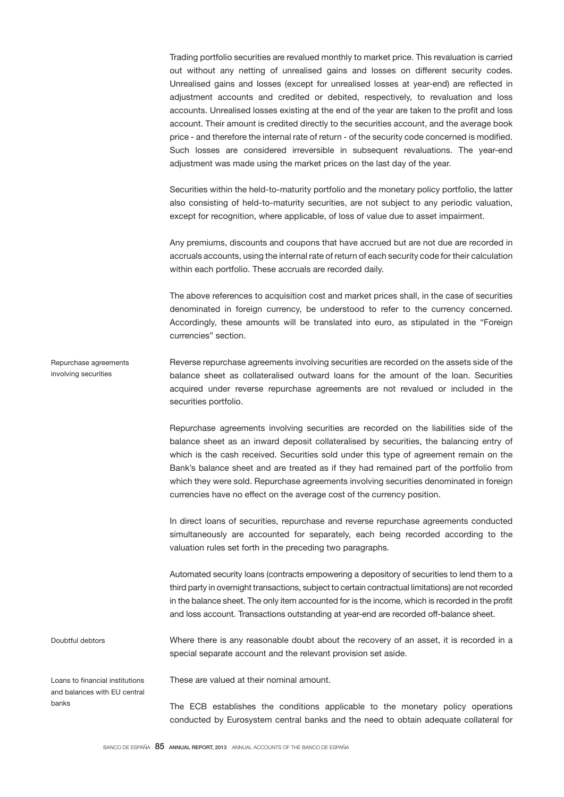Trading portfolio securities are revalued monthly to market price. This revaluation is carried out without any netting of unrealised gains and losses on different security codes. Unrealised gains and losses (except for unrealised losses at year-end) are reflected in adjustment accounts and credited or debited, respectively, to revaluation and loss accounts. Unrealised losses existing at the end of the year are taken to the profit and loss account. Their amount is credited directly to the securities account, and the average book price - and therefore the internal rate of return - of the security code concerned is modified. Such losses are considered irreversible in subsequent revaluations. The year-end adjustment was made using the market prices on the last day of the year.

Securities within the held-to-maturity portfolio and the monetary policy portfolio, the latter also consisting of held-to-maturity securities, are not subject to any periodic valuation, except for recognition, where applicable, of loss of value due to asset impairment.

Any premiums, discounts and coupons that have accrued but are not due are recorded in accruals accounts, using the internal rate of return of each security code for their calculation within each portfolio. These accruals are recorded daily.

The above references to acquisition cost and market prices shall, in the case of securities denominated in foreign currency, be understood to refer to the currency concerned. Accordingly, these amounts will be translated into euro, as stipulated in the "Foreign currencies" section.

Reverse repurchase agreements involving securities are recorded on the assets side of the balance sheet as collateralised outward loans for the amount of the loan. Securities acquired under reverse repurchase agreements are not revalued or included in the securities portfolio. Repurchase agreements involving securities

> Repurchase agreements involving securities are recorded on the liabilities side of the balance sheet as an inward deposit collateralised by securities, the balancing entry of which is the cash received. Securities sold under this type of agreement remain on the Bank's balance sheet and are treated as if they had remained part of the portfolio from which they were sold. Repurchase agreements involving securities denominated in foreign currencies have no effect on the average cost of the currency position.

> In direct loans of securities, repurchase and reverse repurchase agreements conducted simultaneously are accounted for separately, each being recorded according to the valuation rules set forth in the preceding two paragraphs.

> Automated security loans (contracts empowering a depository of securities to lend them to a third party in overnight transactions, subject to certain contractual limitations) are not recorded in the balance sheet. The only item accounted for is the income, which is recorded in the profit and loss account. Transactions outstanding at year-end are recorded off-balance sheet.

Where there is any reasonable doubt about the recovery of an asset, it is recorded in a special separate account and the relevant provision set aside. Doubtful debtors

Loans to financial institutions and balances with EU central banks

These are valued at their nominal amount.

The ECB establishes the conditions applicable to the monetary policy operations conducted by Eurosystem central banks and the need to obtain adequate collateral for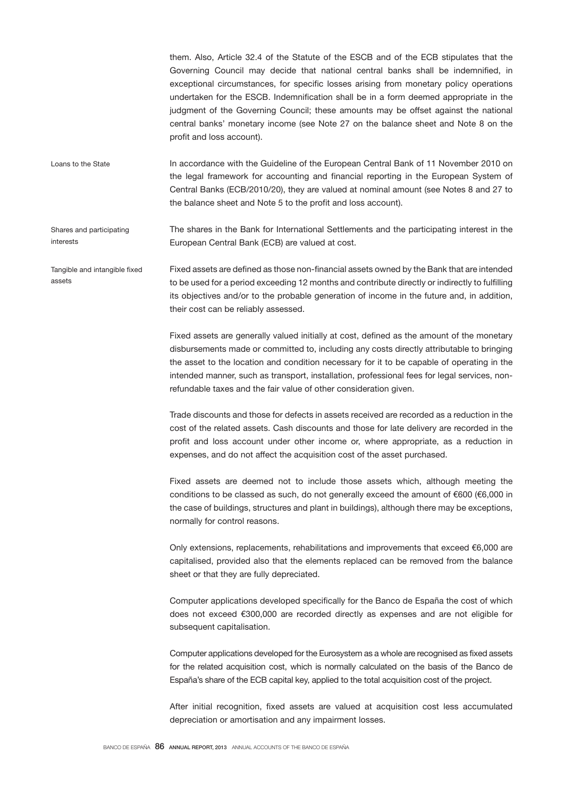them. Also, Article 32.4 of the Statute of the ESCB and of the ECB stipulates that the Governing Council may decide that national central banks shall be indemnified, in exceptional circumstances, for specific losses arising from monetary policy operations undertaken for the ESCB. Indemnification shall be in a form deemed appropriate in the judgment of the Governing Council; these amounts may be offset against the national central banks' monetary income (see Note 27 on the balance sheet and Note 8 on the profit and loss account).

In accordance with the Guideline of the European Central Bank of 11 November 2010 on the legal framework for accounting and financial reporting in the European System of Central Banks (ECB/2010/20), they are valued at nominal amount (see Notes 8 and 27 to the balance sheet and Note 5 to the profit and loss account). Loans to the State

The shares in the Bank for International Settlements and the participating interest in the European Central Bank (ECB) are valued at cost. Shares and participating interests

Fixed assets are defined as those non-financial assets owned by the Bank that are intended to be used for a period exceeding 12 months and contribute directly or indirectly to fulfilling its objectives and/or to the probable generation of income in the future and, in addition, their cost can be reliably assessed. Tangible and intangible fixed assets

> Fixed assets are generally valued initially at cost, defined as the amount of the monetary disbursements made or committed to, including any costs directly attributable to bringing the asset to the location and condition necessary for it to be capable of operating in the intended manner, such as transport, installation, professional fees for legal services, nonrefundable taxes and the fair value of other consideration given.

> Trade discounts and those for defects in assets received are recorded as a reduction in the cost of the related assets. Cash discounts and those for late delivery are recorded in the profit and loss account under other income or, where appropriate, as a reduction in expenses, and do not affect the acquisition cost of the asset purchased.

> Fixed assets are deemed not to include those assets which, although meeting the conditions to be classed as such, do not generally exceed the amount of €600 (€6,000 in the case of buildings, structures and plant in buildings), although there may be exceptions, normally for control reasons.

> Only extensions, replacements, rehabilitations and improvements that exceed €6,000 are capitalised, provided also that the elements replaced can be removed from the balance sheet or that they are fully depreciated.

> Computer applications developed specifically for the Banco de España the cost of which does not exceed €300,000 are recorded directly as expenses and are not eligible for subsequent capitalisation.

> Computer applications developed for the Eurosystem as a whole are recognised as fixed assets for the related acquisition cost, which is normally calculated on the basis of the Banco de España's share of the ECB capital key, applied to the total acquisition cost of the project.

> After initial recognition, fixed assets are valued at acquisition cost less accumulated depreciation or amortisation and any impairment losses.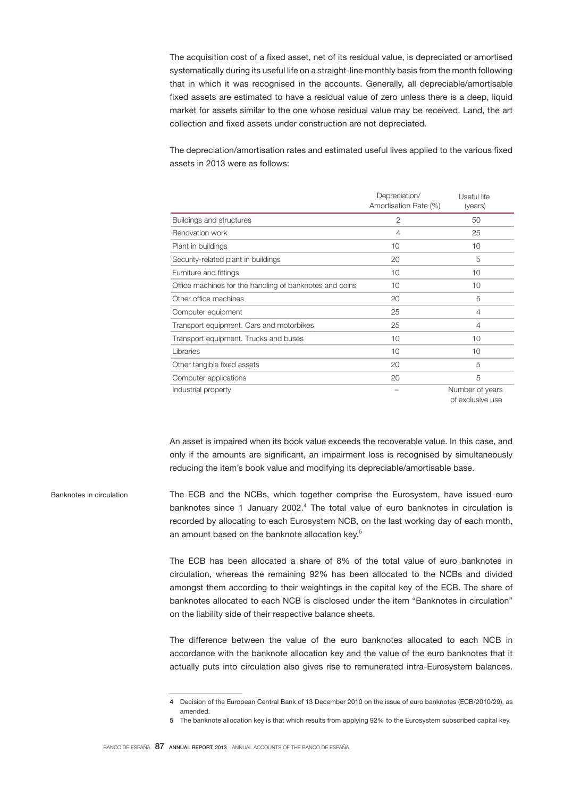The acquisition cost of a fixed asset, net of its residual value, is depreciated or amortised systematically during its useful life on a straight-line monthly basis from the month following that in which it was recognised in the accounts. Generally, all depreciable/amortisable fixed assets are estimated to have a residual value of zero unless there is a deep, liquid market for assets similar to the one whose residual value may be received. Land, the art collection and fixed assets under construction are not depreciated.

The depreciation/amortisation rates and estimated useful lives applied to the various fixed assets in 2013 were as follows:

|                                                         | Depreciation/<br>Amortisation Rate (%) | Useful life<br>(years) |
|---------------------------------------------------------|----------------------------------------|------------------------|
| Buildings and structures                                | 2                                      | 50                     |
| Renovation work                                         | 4                                      | 25                     |
| Plant in buildings                                      | 10                                     | 10                     |
| Security-related plant in buildings                     | 20                                     | 5                      |
| Furniture and fittings                                  | 10                                     | 10                     |
| Office machines for the handling of banknotes and coins | 10                                     | 10                     |
| Other office machines                                   | 20                                     | 5                      |
| Computer equipment                                      | 25                                     | 4                      |
| Transport equipment. Cars and motorbikes                | 25                                     | 4                      |
| Transport equipment. Trucks and buses                   | 10                                     | 10                     |
| Libraries                                               | 10                                     | 10                     |
| Other tangible fixed assets                             | 20                                     | 5                      |
| Computer applications                                   | 20                                     | 5                      |
| Industrial property                                     |                                        | Number of years        |

of exclusive use

An asset is impaired when its book value exceeds the recoverable value. In this case, and only if the amounts are significant, an impairment loss is recognised by simultaneously reducing the item's book value and modifying its depreciable/amortisable base.

The ECB and the NCBs, which together comprise the Eurosystem, have issued euro banknotes since 1 January 2002. $4$  The total value of euro banknotes in circulation is recorded by allocating to each Eurosystem NCB, on the last working day of each month, an amount based on the banknote allocation key.<sup>5</sup> Banknotes in circulation

> The ECB has been allocated a share of 8% of the total value of euro banknotes in circulation, whereas the remaining 92% has been allocated to the NCBs and divided amongst them according to their weightings in the capital key of the ECB. The share of banknotes allocated to each NCB is disclosed under the item "Banknotes in circulation" on the liability side of their respective balance sheets.

> The difference between the value of the euro banknotes allocated to each NCB in accordance with the banknote allocation key and the value of the euro banknotes that it actually puts into circulation also gives rise to remunerated intra-Eurosystem balances.

<sup>4</sup> Decision of the European Central Bank of 13 December 2010 on the issue of euro banknotes (ECB/2010/29), as amended.

<sup>5</sup> The banknote allocation key is that which results from applying 92% to the Eurosystem subscribed capital key.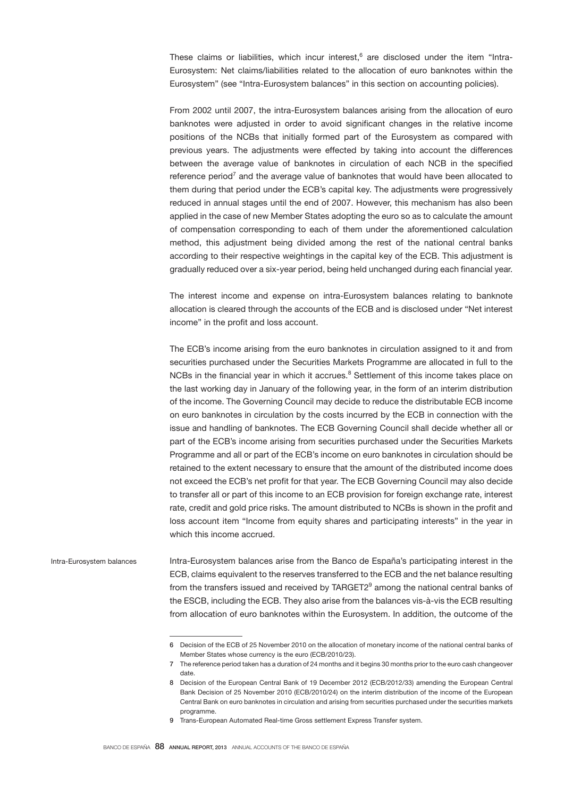These claims or liabilities, which incur interest, $6$  are disclosed under the item "Intra-Eurosystem: Net claims/liabilities related to the allocation of euro banknotes within the Eurosystem" (see "Intra-Eurosystem balances" in this section on accounting policies).

From 2002 until 2007, the intra-Eurosystem balances arising from the allocation of euro banknotes were adjusted in order to avoid significant changes in the relative income positions of the NCBs that initially formed part of the Eurosystem as compared with previous years. The adjustments were effected by taking into account the differences between the average value of banknotes in circulation of each NCB in the specified reference period<sup>7</sup> and the average value of banknotes that would have been allocated to them during that period under the ECB's capital key. The adjustments were progressively reduced in annual stages until the end of 2007. However, this mechanism has also been applied in the case of new Member States adopting the euro so as to calculate the amount of compensation corresponding to each of them under the aforementioned calculation method, this adjustment being divided among the rest of the national central banks according to their respective weightings in the capital key of the ECB. This adjustment is gradually reduced over a six-year period, being held unchanged during each financial year.

The interest income and expense on intra-Eurosystem balances relating to banknote allocation is cleared through the accounts of the ECB and is disclosed under "Net interest income" in the profit and loss account.

The ECB's income arising from the euro banknotes in circulation assigned to it and from securities purchased under the Securities Markets Programme are allocated in full to the NCBs in the financial year in which it accrues.<sup>8</sup> Settlement of this income takes place on the last working day in January of the following year, in the form of an interim distribution of the income. The Governing Council may decide to reduce the distributable ECB income on euro banknotes in circulation by the costs incurred by the ECB in connection with the issue and handling of banknotes. The ECB Governing Council shall decide whether all or part of the ECB's income arising from securities purchased under the Securities Markets Programme and all or part of the ECB's income on euro banknotes in circulation should be retained to the extent necessary to ensure that the amount of the distributed income does not exceed the ECB's net profit for that year. The ECB Governing Council may also decide to transfer all or part of this income to an ECB provision for foreign exchange rate, interest rate, credit and gold price risks. The amount distributed to NCBs is shown in the profit and loss account item "Income from equity shares and participating interests" in the year in which this income accrued.

Intra-Eurosystem balances arise from the Banco de España's participating interest in the ECB, claims equivalent to the reserves transferred to the ECB and the net balance resulting from the transfers issued and received by  $\text{TARGET2}^9$  among the national central banks of the ESCB, including the ECB. They also arise from the balances vis-à-vis the ECB resulting from allocation of euro banknotes within the Eurosystem. In addition, the outcome of the Intra-Eurosystem balances

<sup>6</sup> Decision of the ECB of 25 November 2010 on the allocation of monetary income of the national central banks of Member States whose currency is the euro (ECB/2010/23).

The reference period taken has a duration of 24 months and it begins 30 months prior to the euro cash changeover date.

<sup>8</sup> Decision of the European Central Bank of 19 December 2012 (ECB/2012/33) amending the European Central Bank Decision of 25 November 2010 (ECB/2010/24) on the interim distribution of the income of the European Central Bank on euro banknotes in circulation and arising from securities purchased under the securities markets programme.

<sup>9</sup> Trans-European Automated Real-time Gross settlement Express Transfer system.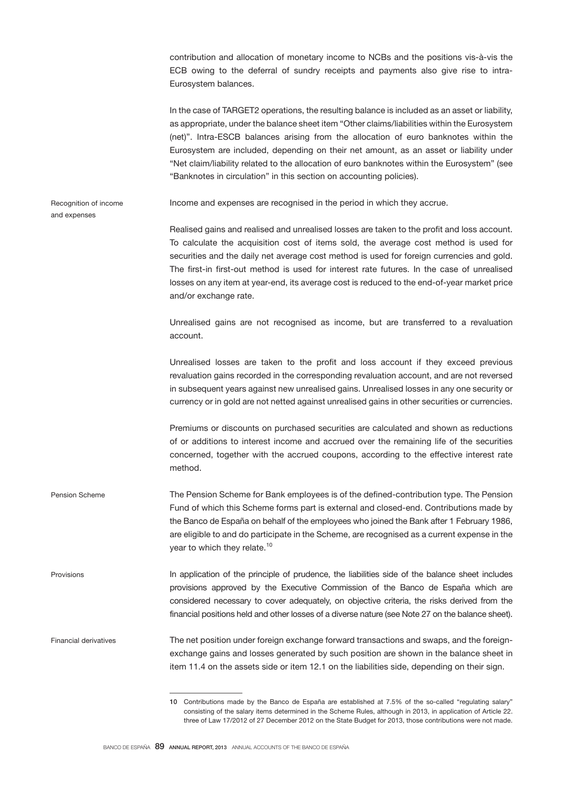contribution and allocation of monetary income to NCBs and the positions vis-à-vis the ECB owing to the deferral of sundry receipts and payments also give rise to intra-Eurosystem balances.

|                                       | In the case of TARGET2 operations, the resulting balance is included as an asset or liability,<br>as appropriate, under the balance sheet item "Other claims/liabilities within the Eurosystem<br>(net)". Intra-ESCB balances arising from the allocation of euro banknotes within the<br>Eurosystem are included, depending on their net amount, as an asset or liability under<br>"Net claim/liability related to the allocation of euro banknotes within the Eurosystem" (see<br>"Banknotes in circulation" in this section on accounting policies). |
|---------------------------------------|---------------------------------------------------------------------------------------------------------------------------------------------------------------------------------------------------------------------------------------------------------------------------------------------------------------------------------------------------------------------------------------------------------------------------------------------------------------------------------------------------------------------------------------------------------|
| Recognition of income<br>and expenses | Income and expenses are recognised in the period in which they accrue.                                                                                                                                                                                                                                                                                                                                                                                                                                                                                  |
|                                       | Realised gains and realised and unrealised losses are taken to the profit and loss account.<br>To calculate the acquisition cost of items sold, the average cost method is used for<br>securities and the daily net average cost method is used for foreign currencies and gold.<br>The first-in first-out method is used for interest rate futures. In the case of unrealised<br>losses on any item at year-end, its average cost is reduced to the end-of-year market price<br>and/or exchange rate.                                                  |
|                                       | Unrealised gains are not recognised as income, but are transferred to a revaluation<br>account.                                                                                                                                                                                                                                                                                                                                                                                                                                                         |
|                                       | Unrealised losses are taken to the profit and loss account if they exceed previous<br>revaluation gains recorded in the corresponding revaluation account, and are not reversed<br>in subsequent years against new unrealised gains. Unrealised losses in any one security or<br>currency or in gold are not netted against unrealised gains in other securities or currencies.                                                                                                                                                                         |
|                                       | Premiums or discounts on purchased securities are calculated and shown as reductions<br>of or additions to interest income and accrued over the remaining life of the securities<br>concerned, together with the accrued coupons, according to the effective interest rate<br>method.                                                                                                                                                                                                                                                                   |
| <b>Pension Scheme</b>                 | The Pension Scheme for Bank employees is of the defined-contribution type. The Pension<br>Fund of which this Scheme forms part is external and closed-end. Contributions made by<br>the Banco de España on behalf of the employees who joined the Bank after 1 February 1986,<br>are eligible to and do participate in the Scheme, are recognised as a current expense in the<br>year to which they relate. <sup>10</sup>                                                                                                                               |
| Provisions                            | In application of the principle of prudence, the liabilities side of the balance sheet includes<br>provisions approved by the Executive Commission of the Banco de España which are<br>considered necessary to cover adequately, on objective criteria, the risks derived from the<br>financial positions held and other losses of a diverse nature (see Note 27 on the balance sheet).                                                                                                                                                                 |
| <b>Financial derivatives</b>          | The net position under foreign exchange forward transactions and swaps, and the foreign-<br>exchange gains and losses generated by such position are shown in the balance sheet in<br>item 11.4 on the assets side or item 12.1 on the liabilities side, depending on their sign.                                                                                                                                                                                                                                                                       |

<sup>10</sup> Contributions made by the Banco de España are established at 7.5% of the so-called "regulating salary" consisting of the salary items determined in the Scheme Rules, although in 2013, in application of Article 22. three of Law 17/2012 of 27 December 2012 on the State Budget for 2013, those contributions were not made.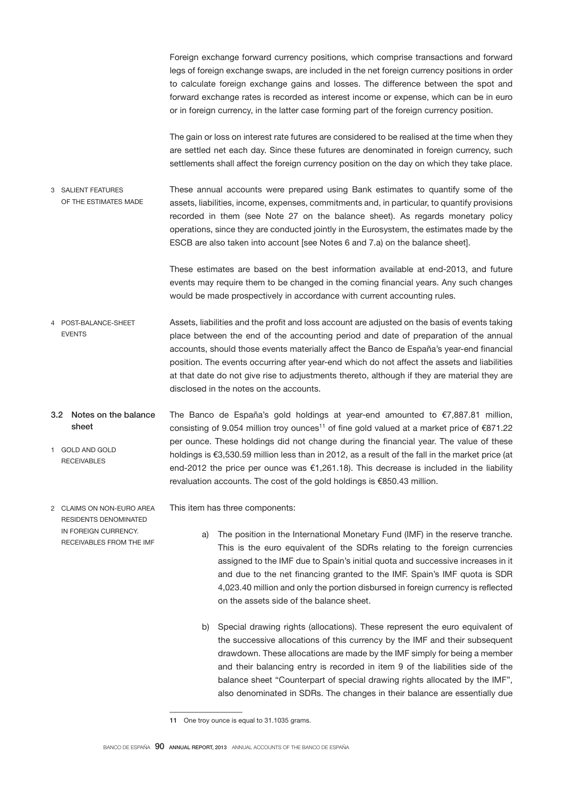Foreign exchange forward currency positions, which comprise transactions and forward legs of foreign exchange swaps, are included in the net foreign currency positions in order to calculate foreign exchange gains and losses. The difference between the spot and forward exchange rates is recorded as interest income or expense, which can be in euro or in foreign currency, in the latter case forming part of the foreign currency position.

The gain or loss on interest rate futures are considered to be realised at the time when they are settled net each day. Since these futures are denominated in foreign currency, such settlements shall affect the foreign currency position on the day on which they take place.

These annual accounts were prepared using Bank estimates to quantify some of the assets, liabilities, income, expenses, commitments and, in particular, to quantify provisions recorded in them (see Note 27 on the balance sheet). As regards monetary policy operations, since they are conducted jointly in the Eurosystem, the estimates made by the ESCB are also taken into account [see Notes 6 and 7.a) on the balance sheet]. 3 SALIENT FEATURES OF THE ESTIMATES MADE

> These estimates are based on the best information available at end-2013, and future events may require them to be changed in the coming financial years. Any such changes would be made prospectively in accordance with current accounting rules.

- Assets, liabilities and the profit and loss account are adjusted on the basis of events taking place between the end of the accounting period and date of preparation of the annual accounts, should those events materially affect the Banco de España's year-end financial position. The events occurring after year-end which do not affect the assets and liabilities at that date do not give rise to adjustments thereto, although if they are material they are disclosed in the notes on the accounts. 4 POST-BALANCE-SHEET **EVENTS**
- The Banco de España's gold holdings at year-end amounted to €7,887.81 million, consisting of 9.054 million troy ounces<sup>11</sup> of fine gold valued at a market price of  $\epsilon$ 871.22 per ounce. These holdings did not change during the financial year. The value of these holdings is €3,530.59 million less than in 2012, as a result of the fall in the market price (at end-2012 the price per ounce was €1,261.18). This decrease is included in the liability revaluation accounts. The cost of the gold holdings is €850.43 million. 3.2 Notes on the balance sheet 1 GOLD AND GOLD RECEIVABLES
- This item has three components: 2 CLAIMS ON NON-EURO AREA RESIDENTS DENOMINATED

IN FOREIGN CURRENCY. RECEIVABLES FROM THE IMF

- a) The position in the International Monetary Fund (IMF) in the reserve tranche. This is the euro equivalent of the SDRs relating to the foreign currencies assigned to the IMF due to Spain's initial quota and successive increases in it and due to the net financing granted to the IMF. Spain's IMF quota is SDR 4,023.40 million and only the portion disbursed in foreign currency is reflected on the assets side of the balance sheet.
- b) Special drawing rights (allocations). These represent the euro equivalent of the successive allocations of this currency by the IMF and their subsequent drawdown. These allocations are made by the IMF simply for being a member and their balancing entry is recorded in item 9 of the liabilities side of the balance sheet "Counterpart of special drawing rights allocated by the IMF", also denominated in SDRs. The changes in their balance are essentially due

<sup>11</sup> One troy ounce is equal to 31.1035 grams.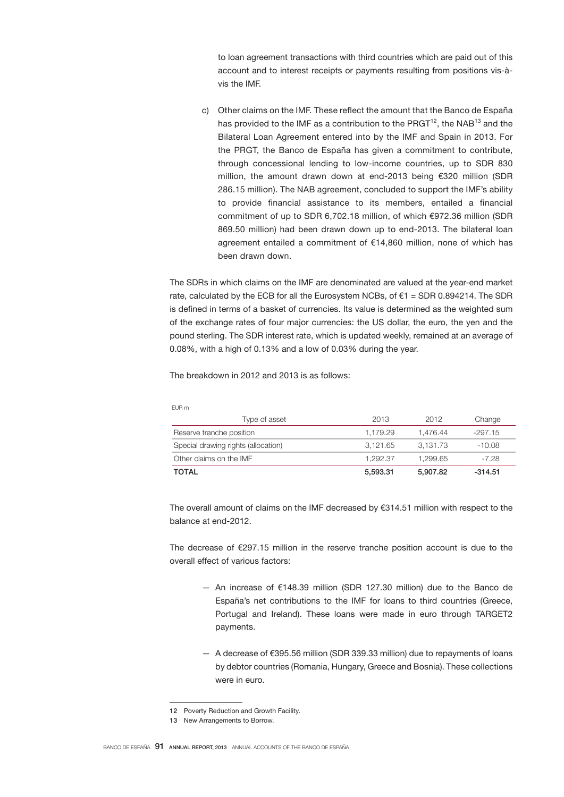to loan agreement transactions with third countries which are paid out of this account and to interest receipts or payments resulting from positions vis-àvis the IMF.

c) Other claims on the IMF. These reflect the amount that the Banco de España has provided to the IMF as a contribution to the  $PRGT<sup>12</sup>$ , the NAB<sup>13</sup> and the Bilateral Loan Agreement entered into by the IMF and Spain in 2013. For the PRGT, the Banco de España has given a commitment to contribute, through concessional lending to low-income countries, up to SDR 830 million, the amount drawn down at end-2013 being €320 million (SDR 286.15 million). The NAB agreement, concluded to support the IMF's ability to provide financial assistance to its members, entailed a financial commitment of up to SDR 6,702.18 million, of which €972.36 million (SDR 869.50 million) had been drawn down up to end-2013. The bilateral loan agreement entailed a commitment of €14,860 million, none of which has been drawn down.

The SDRs in which claims on the IMF are denominated are valued at the year-end market rate, calculated by the ECB for all the Eurosystem NCBs, of  $\epsilon$ 1 = SDR 0.894214. The SDR is defined in terms of a basket of currencies. Its value is determined as the weighted sum of the exchange rates of four major currencies: the US dollar, the euro, the yen and the pound sterling. The SDR interest rate, which is updated weekly, remained at an average of 0.08%, with a high of 0.13% and a low of 0.03% during the year.

The breakdown in 2012 and 2013 is as follows:

EUR m

| Type of asset                       | 2013     | 2012     | Change    |
|-------------------------------------|----------|----------|-----------|
| Reserve tranche position            | 1.179.29 | 1.476.44 | $-297.15$ |
| Special drawing rights (allocation) | 3.121.65 | 3.131.73 | -10.08    |
| Other claims on the IMF             | 1.292.37 | 1.299.65 | -7.28     |
| <b>TOTAL</b>                        | 5.593.31 | 5,907.82 | $-314.51$ |

The overall amount of claims on the IMF decreased by €314.51 million with respect to the balance at end-2012.

The decrease of €297.15 million in the reserve tranche position account is due to the overall effect of various factors:

- An increase of €148.39 million (SDR 127.30 million) due to the Banco de España's net contributions to the IMF for loans to third countries (Greece, Portugal and Ireland). These loans were made in euro through TARGET2 payments.
- A decrease of €395.56 million (SDR 339.33 million) due to repayments of loans by debtor countries (Romania, Hungary, Greece and Bosnia). These collections were in euro.

<sup>12</sup> Poverty Reduction and Growth Facility.

<sup>13</sup> New Arrangements to Borrow.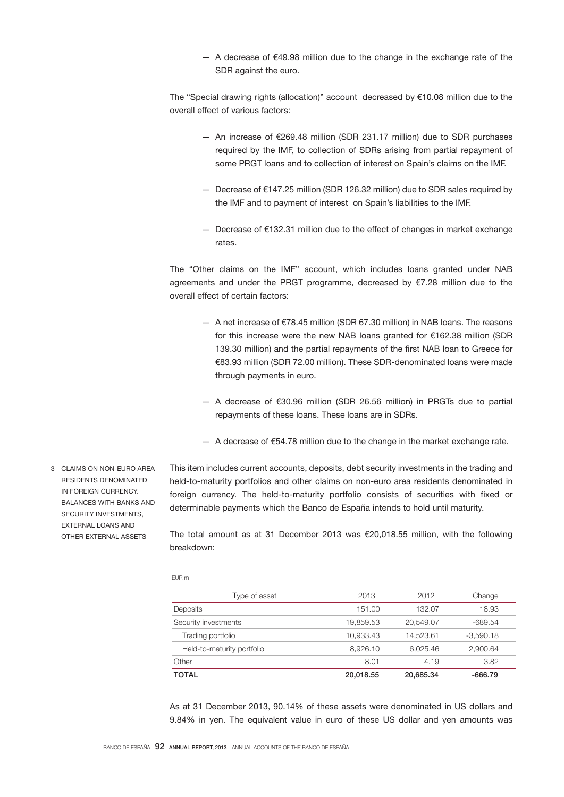— A decrease of €49.98 million due to the change in the exchange rate of the SDR against the euro.

The "Special drawing rights (allocation)" account decreased by  $€10.08$  million due to the overall effect of various factors:

- An increase of €269.48 million (SDR 231.17 million) due to SDR purchases required by the IMF, to collection of SDRs arising from partial repayment of some PRGT loans and to collection of interest on Spain's claims on the IMF.
- Decrease of €147.25 million (SDR 126.32 million) due to SDR sales required by the IMF and to payment of interest on Spain's liabilities to the IMF.
- Decrease of €132.31 million due to the effect of changes in market exchange rates.

The "Other claims on the IMF" account, which includes loans granted under NAB agreements and under the PRGT programme, decreased by €7.28 million due to the overall effect of certain factors:

- A net increase of €78.45 million (SDR 67.30 million) in NAB loans. The reasons for this increase were the new NAB loans granted for €162.38 million (SDR 139.30 million) and the partial repayments of the first NAB loan to Greece for €83.93 million (SDR 72.00 million). These SDR-denominated loans were made through payments in euro.
- A decrease of €30.96 million (SDR 26.56 million) in PRGTs due to partial repayments of these loans. These loans are in SDRs.
- $-$  A decrease of €54.78 million due to the change in the market exchange rate.

This item includes current accounts, deposits, debt security investments in the trading and held-to-maturity portfolios and other claims on non-euro area residents denominated in foreign currency. The held-to-maturity portfolio consists of securities with fixed or determinable payments which the Banco de España intends to hold until maturity.

The total amount as at 31 December 2013 was €20,018.55 million, with the following breakdown:

EUR m

| Type of asset              | 2013      | 2012      | Change      |
|----------------------------|-----------|-----------|-------------|
| Deposits                   | 151.00    | 132.07    | 18.93       |
| Security investments       | 19.859.53 | 20.549.07 | -689.54     |
| Trading portfolio          | 10.933.43 | 14.523.61 | $-3.590.18$ |
| Held-to-maturity portfolio | 8.926.10  | 6.025.46  | 2.900.64    |
| Other                      | 8.01      | 4.19      | 3.82        |
| <b>TOTAL</b>               | 20.018.55 | 20.685.34 | -666.79     |

As at 31 December 2013, 90.14% of these assets were denominated in US dollars and 9.84% in yen. The equivalent value in euro of these US dollar and yen amounts was

3 CLAIMS ON NON-EURO AREA RESIDENTS DENOMINATED IN FOREIGN CURRENCY. BALANCES WITH BANKS AND SECURITY INVESTMENTS EXTERNAL LOANS AND OTHER EXTERNAL ASSETS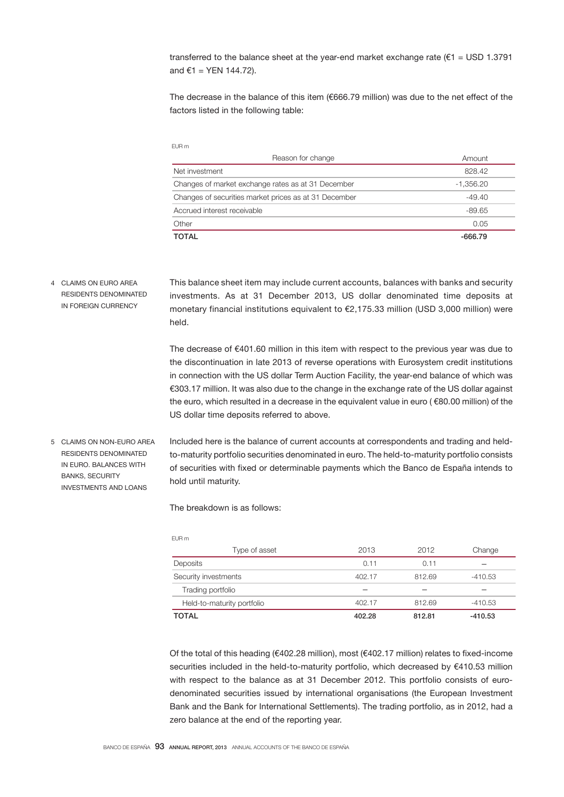transferred to the balance sheet at the year-end market exchange rate ( $\epsilon$ 1 = USD 1.3791 and  $€1 = YEN 144.72$ ).

The decrease in the balance of this item (€666.79 million) was due to the net effect of the factors listed in the following table:

| Reason for change                                     | Amount    |
|-------------------------------------------------------|-----------|
| Net investment                                        | 828.42    |
| Changes of market exchange rates as at 31 December    | -1,356.20 |
| Changes of securities market prices as at 31 December | $-49.40$  |
| Accrued interest receivable                           | $-89.65$  |
| Other                                                 | 0.05      |
| <b>TOTAL</b>                                          | -666.79   |

This balance sheet item may include current accounts, balances with banks and security investments. As at 31 December 2013, US dollar denominated time deposits at monetary financial institutions equivalent to €2,175.33 million (USD 3,000 million) were held. 4 CLAIMS ON EURO AREA RESIDENTS DENOMINATED IN FOREIGN CURRENCY

> The decrease of €401.60 million in this item with respect to the previous year was due to the discontinuation in late 2013 of reverse operations with Eurosystem credit institutions in connection with the US dollar Term Auction Facility, the year-end balance of which was €303.17 million. It was also due to the change in the exchange rate of the US dollar against the euro, which resulted in a decrease in the equivalent value in euro ( €80.00 million) of the US dollar time deposits referred to above.

Included here is the balance of current accounts at correspondents and trading and heldto-maturity portfolio securities denominated in euro. The held-to-maturity portfolio consists of securities with fixed or determinable payments which the Banco de España intends to hold until maturity. 5 CLAIMS ON NON-EURO AREA RESIDENTS DENOMINATED IN EURO. BALANCES WITH BANKS, SECURITY INVESTMENTS AND LOANS

The breakdown is as follows:

EUR m

EUR m

| <b>LVIIII</b>              |        |        |           |
|----------------------------|--------|--------|-----------|
| Type of asset              | 2013   | 2012   | Change    |
| Deposits                   | 0.11   | 0.11   |           |
| Security investments       | 402.17 | 812.69 | $-410.53$ |
| Trading portfolio          |        |        |           |
| Held-to-maturity portfolio | 402.17 | 812.69 | $-410.53$ |
| <b>TOTAL</b>               | 402.28 | 812.81 | -410.53   |

Of the total of this heading (€402.28 million), most (€402.17 million) relates to fixed-income securities included in the held-to-maturity portfolio, which decreased by €410.53 million with respect to the balance as at 31 December 2012. This portfolio consists of eurodenominated securities issued by international organisations (the European Investment Bank and the Bank for International Settlements). The trading portfolio, as in 2012, had a zero balance at the end of the reporting year.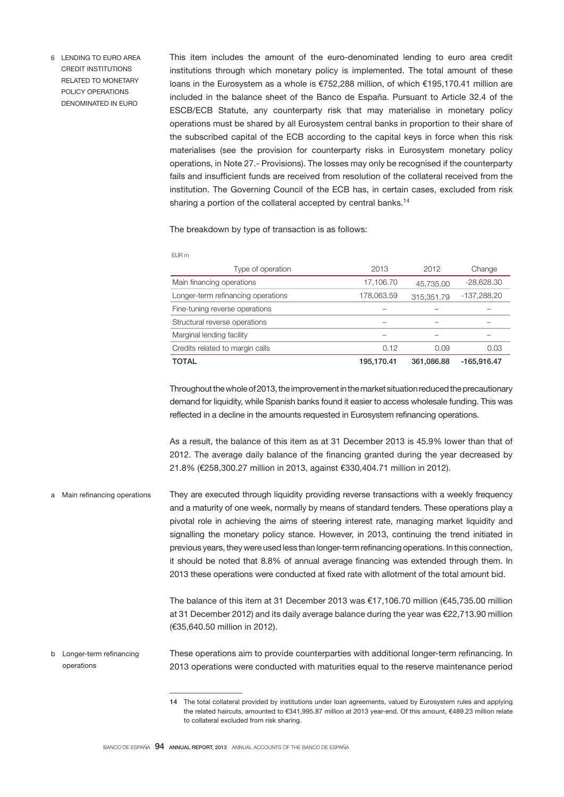6 LENDING TO EURO AREA CREDIT INSTITUTIONS RELATED TO MONETARY POLICY OPERATIONS DENOMINATED IN EURO

This item includes the amount of the euro-denominated lending to euro area credit institutions through which monetary policy is implemented. The total amount of these loans in the Eurosystem as a whole is €752,288 million, of which €195,170.41 million are included in the balance sheet of the Banco de España. Pursuant to Article 32.4 of the ESCB/ECB Statute, any counterparty risk that may materialise in monetary policy operations must be shared by all Eurosystem central banks in proportion to their share of the subscribed capital of the ECB according to the capital keys in force when this risk materialises (see the provision for counterparty risks in Eurosystem monetary policy operations, in Note 27.- Provisions). The losses may only be recognised if the counterparty fails and insufficient funds are received from resolution of the collateral received from the institution. The Governing Council of the ECB has, in certain cases, excluded from risk sharing a portion of the collateral accepted by central banks.<sup>14</sup>

The breakdown by type of transaction is as follows:

EUR m

| Type of operation                  | 2013       | 2012       | Change       |
|------------------------------------|------------|------------|--------------|
| Main financing operations          | 17,106.70  | 45,735.00  | $-28,628.30$ |
| Longer-term refinancing operations | 178,063.59 | 315,351.79 | -137,288.20  |
| Fine-tuning reverse operations     |            |            |              |
| Structural reverse operations      |            |            |              |
| Marginal lending facility          |            |            |              |
| Credits related to margin calls    | 0.12       | 0.09       | 0.03         |
| TOTAL                              | 195.170.41 | 361,086.88 | -165.916.47  |

Throughout the whole of 2013, the improvement in the market situation reduced the precautionary demand for liquidity, while Spanish banks found it easier to access wholesale funding. This was reflected in a decline in the amounts requested in Eurosystem refinancing operations.

As a result, the balance of this item as at 31 December 2013 is 45.9% lower than that of 2012. The average daily balance of the financing granted during the year decreased by 21.8% (€258,300.27 million in 2013, against €330,404.71 million in 2012).

They are executed through liquidity providing reverse transactions with a weekly frequency and a maturity of one week, normally by means of standard tenders. These operations play a pivotal role in achieving the aims of steering interest rate, managing market liquidity and signalling the monetary policy stance. However, in 2013, continuing the trend initiated in previous years, they were used less than longer-term refinancing operations. In this connection, it should be noted that 8.8% of annual average financing was extended through them. In 2013 these operations were conducted at fixed rate with allotment of the total amount bid. a Main refinancing operations

> The balance of this item at 31 December 2013 was €17,106.70 million (€45,735.00 million at 31 December 2012) and its daily average balance during the year was €22,713.90 million (€35,640.50 million in 2012).

These operations aim to provide counterparties with additional longer-term refinancing. In 2013 operations were conducted with maturities equal to the reserve maintenance period b Longer-term refinancing operations

<sup>14</sup> The total collateral provided by institutions under loan agreements, valued by Eurosystem rules and applying the related haircuts, amounted to €341,995.87 million at 2013 year-end. Of this amount, €489.23 million relate to collateral excluded from risk sharing.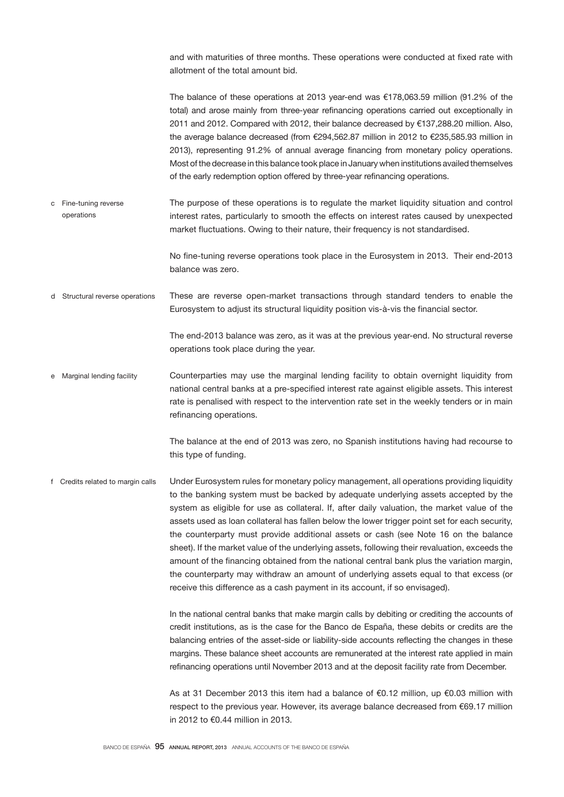and with maturities of three months. These operations were conducted at fixed rate with allotment of the total amount bid.

The balance of these operations at 2013 year-end was €178,063.59 million (91.2% of the total) and arose mainly from three-year refinancing operations carried out exceptionally in 2011 and 2012. Compared with 2012, their balance decreased by €137,288.20 million. Also, the average balance decreased (from €294,562.87 million in 2012 to €235,585.93 million in 2013), representing 91.2% of annual average financing from monetary policy operations. Most of the decrease in this balance took place in January when institutions availed themselves of the early redemption option offered by three-year refinancing operations.

The purpose of these operations is to regulate the market liquidity situation and control interest rates, particularly to smooth the effects on interest rates caused by unexpected market fluctuations. Owing to their nature, their frequency is not standardised. c Fine-tuning reverse operations

> No fine-tuning reverse operations took place in the Eurosystem in 2013. Their end-2013 balance was zero.

These are reverse open-market transactions through standard tenders to enable the Eurosystem to adjust its structural liquidity position vis-à-vis the financial sector. d Structural reverse operations

> The end-2013 balance was zero, as it was at the previous year-end. No structural reverse operations took place during the year.

Counterparties may use the marginal lending facility to obtain overnight liquidity from national central banks at a pre-specified interest rate against eligible assets. This interest rate is penalised with respect to the intervention rate set in the weekly tenders or in main refinancing operations. e Marginal lending facility

> The balance at the end of 2013 was zero, no Spanish institutions having had recourse to this type of funding.

Under Eurosystem rules for monetary policy management, all operations providing liquidity to the banking system must be backed by adequate underlying assets accepted by the system as eligible for use as collateral. If, after daily valuation, the market value of the assets used as loan collateral has fallen below the lower trigger point set for each security, the counterparty must provide additional assets or cash (see Note 16 on the balance sheet). If the market value of the underlying assets, following their revaluation, exceeds the amount of the financing obtained from the national central bank plus the variation margin, the counterparty may withdraw an amount of underlying assets equal to that excess (or receive this difference as a cash payment in its account, if so envisaged). f Credits related to margin calls

> In the national central banks that make margin calls by debiting or crediting the accounts of credit institutions, as is the case for the Banco de España, these debits or credits are the balancing entries of the asset-side or liability-side accounts reflecting the changes in these margins. These balance sheet accounts are remunerated at the interest rate applied in main refinancing operations until November 2013 and at the deposit facility rate from December.

> As at 31 December 2013 this item had a balance of €0.12 million, up €0.03 million with respect to the previous year. However, its average balance decreased from €69.17 million in 2012 to €0.44 million in 2013.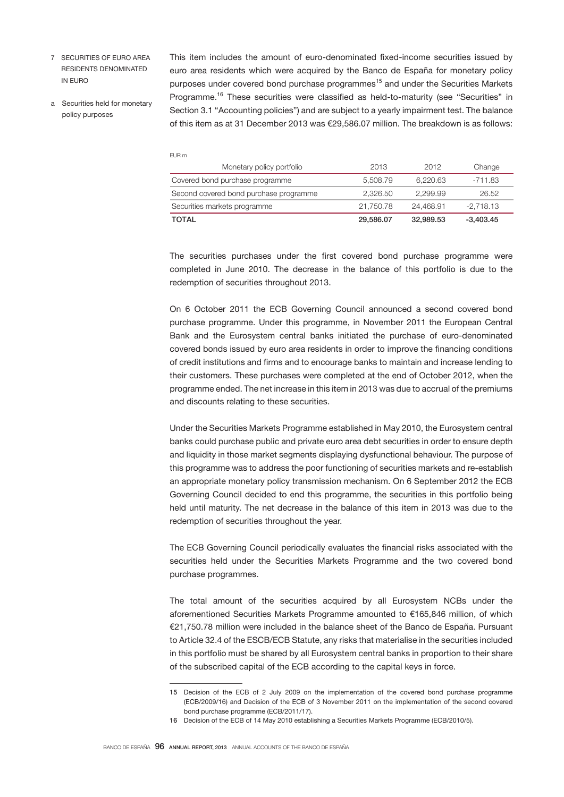- 7 SECURITIES OF EURO AREA RESIDENTS DENOMINATED IN EURO
- a Securities held for monetary policy purposes

This item includes the amount of euro-denominated fixed-income securities issued by euro area residents which were acquired by the Banco de España for monetary policy purposes under covered bond purchase programmes<sup>15</sup> and under the Securities Markets Programme.<sup>16</sup> These securities were classified as held-to-maturity (see "Securities" in Section 3.1 "Accounting policies") and are subject to a yearly impairment test. The balance of this item as at 31 December 2013 was €29,586.07 million. The breakdown is as follows:

EUR m

| Monetary policy portfolio              | 2013      | 2012      | Change      |
|----------------------------------------|-----------|-----------|-------------|
| Covered bond purchase programme        | 5.508.79  | 6.220.63  | $-711.83$   |
| Second covered bond purchase programme | 2.326.50  | 2.299.99  | 26.52       |
| Securities markets programme           | 21.750.78 | 24.468.91 | $-2.718.13$ |
| <b>TOTAL</b>                           | 29,586.07 | 32,989.53 | $-3,403.45$ |

The securities purchases under the first covered bond purchase programme were completed in June 2010. The decrease in the balance of this portfolio is due to the redemption of securities throughout 2013.

On 6 October 2011 the ECB Governing Council announced a second covered bond purchase programme. Under this programme, in November 2011 the European Central Bank and the Eurosystem central banks initiated the purchase of euro-denominated covered bonds issued by euro area residents in order to improve the financing conditions of credit institutions and firms and to encourage banks to maintain and increase lending to their customers. These purchases were completed at the end of October 2012, when the programme ended. The net increase in this item in 2013 was due to accrual of the premiums and discounts relating to these securities.

Under the Securities Markets Programme established in May 2010, the Eurosystem central banks could purchase public and private euro area debt securities in order to ensure depth and liquidity in those market segments displaying dysfunctional behaviour. The purpose of this programme was to address the poor functioning of securities markets and re-establish an appropriate monetary policy transmission mechanism. On 6 September 2012 the ECB Governing Council decided to end this programme, the securities in this portfolio being held until maturity. The net decrease in the balance of this item in 2013 was due to the redemption of securities throughout the year.

The ECB Governing Council periodically evaluates the financial risks associated with the securities held under the Securities Markets Programme and the two covered bond purchase programmes.

The total amount of the securities acquired by all Eurosystem NCBs under the aforementioned Securities Markets Programme amounted to €165,846 million, of which €21,750.78 million were included in the balance sheet of the Banco de España. Pursuant to Article 32.4 of the ESCB/ECB Statute, any risks that materialise in the securities included in this portfolio must be shared by all Eurosystem central banks in proportion to their share of the subscribed capital of the ECB according to the capital keys in force.

<sup>15</sup> Decision of the ECB of 2 July 2009 on the implementation of the covered bond purchase programme (ECB/2009/16) and Decision of the ECB of 3 November 2011 on the implementation of the second covered bond purchase programme (ECB/2011/17).

<sup>16</sup> Decision of the ECB of 14 May 2010 establishing a Securities Markets Programme (ECB/2010/5).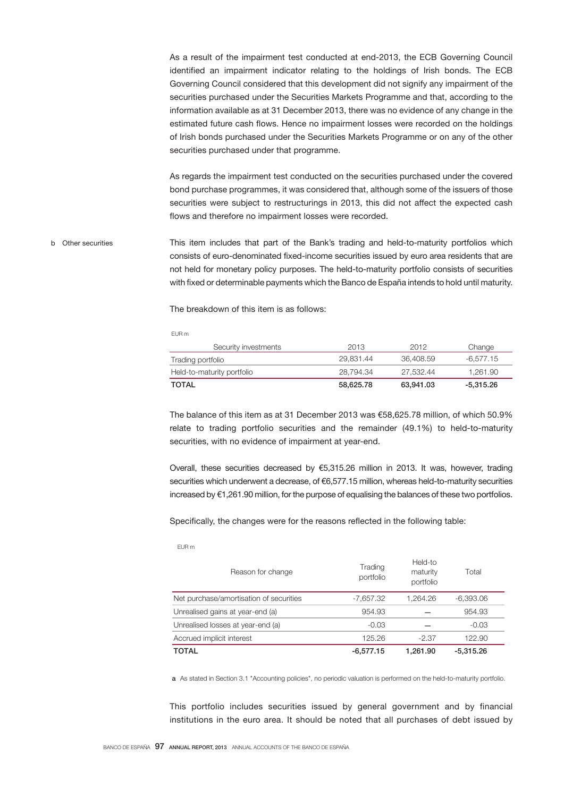As a result of the impairment test conducted at end-2013, the ECB Governing Council identified an impairment indicator relating to the holdings of Irish bonds. The ECB Governing Council considered that this development did not signify any impairment of the securities purchased under the Securities Markets Programme and that, according to the information available as at 31 December 2013, there was no evidence of any change in the estimated future cash flows. Hence no impairment losses were recorded on the holdings of Irish bonds purchased under the Securities Markets Programme or on any of the other securities purchased under that programme.

As regards the impairment test conducted on the securities purchased under the covered bond purchase programmes, it was considered that, although some of the issuers of those securities were subject to restructurings in 2013, this did not affect the expected cash flows and therefore no impairment losses were recorded.

This item includes that part of the Bank's trading and held-to-maturity portfolios which consists of euro-denominated fixed-income securities issued by euro area residents that are not held for monetary policy purposes. The held-to-maturity portfolio consists of securities with fixed or determinable payments which the Banco de España intends to hold until maturity. b Other securities

The breakdown of this item is as follows:

EUR m

| Security investments       | 2013      | 2012      | Change      |
|----------------------------|-----------|-----------|-------------|
| Trading portfolio          | 29.831.44 | 36.408.59 | -6.577.15   |
| Held-to-maturity portfolio | 28.794.34 | 27.532.44 | 1.261.90    |
| TOTAL                      | 58.625.78 | 63.941.03 | $-5,315.26$ |

The balance of this item as at 31 December 2013 was €58,625.78 million, of which 50.9% relate to trading portfolio securities and the remainder (49.1%) to held-to-maturity securities, with no evidence of impairment at year-end.

Overall, these securities decreased by €5,315.26 million in 2013. It was, however, trading securities which underwent a decrease, of €6,577.15 million, whereas held-to-maturity securities increased by €1,261.90 million, for the purpose of equalising the balances of these two portfolios.

Specifically, the changes were for the reasons reflected in the following table:

EUR m

| Reason for change                       | Trading<br>portfolio | Held-to<br>maturity<br>portfolio | Total       |
|-----------------------------------------|----------------------|----------------------------------|-------------|
| Net purchase/amortisation of securities | -7.657.32            | 1.264.26                         | $-6.393.06$ |
| Unrealised gains at year-end (a)        | 954.93               |                                  | 954.93      |
| Unrealised losses at year-end (a)       | $-0.03$              |                                  | $-0.03$     |
| Accrued implicit interest               | 125.26               | $-2.37$                          | 122.90      |
| TOTAL                                   | $-6.577.15$          | 1.261.90                         | $-5.315.26$ |

a As stated in Section 3.1 "Accounting policies", no periodic valuation is performed on the held-to-maturity portfolio.

This portfolio includes securities issued by general government and by financial institutions in the euro area. It should be noted that all purchases of debt issued by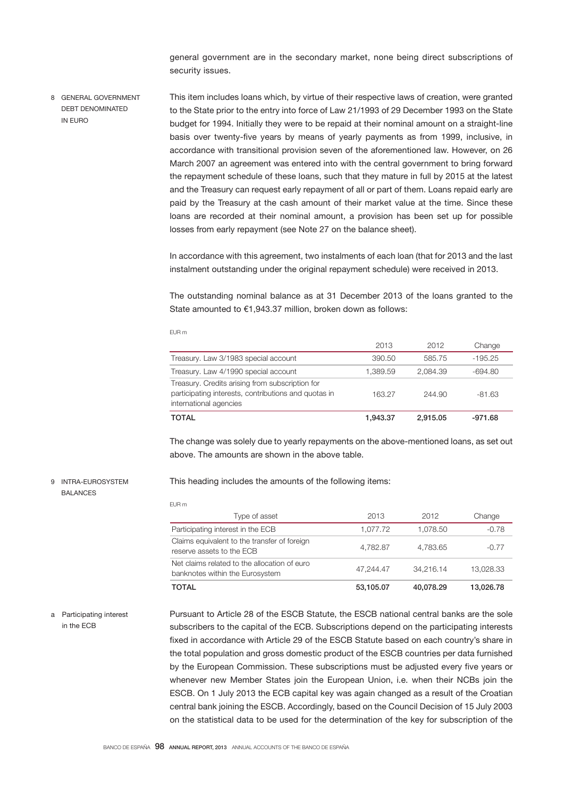general government are in the secondary market, none being direct subscriptions of security issues.

This item includes loans which, by virtue of their respective laws of creation, were granted to the State prior to the entry into force of Law 21/1993 of 29 December 1993 on the State budget for 1994. Initially they were to be repaid at their nominal amount on a straight-line basis over twenty-five years by means of yearly payments as from 1999, inclusive, in accordance with transitional provision seven of the aforementioned law. However, on 26 March 2007 an agreement was entered into with the central government to bring forward the repayment schedule of these loans, such that they mature in full by 2015 at the latest and the Treasury can request early repayment of all or part of them. Loans repaid early are paid by the Treasury at the cash amount of their market value at the time. Since these loans are recorded at their nominal amount, a provision has been set up for possible losses from early repayment (see Note 27 on the balance sheet). 8 GENERAL GOVERNMENT DEBT DENOMINATED IN EURO

> In accordance with this agreement, two instalments of each loan (that for 2013 and the last instalment outstanding under the original repayment schedule) were received in 2013.

> The outstanding nominal balance as at 31 December 2013 of the loans granted to the State amounted to €1,943.37 million, broken down as follows:

#### EUR m

EUR m

| TOTAL                                                                                                                             | 1.943.37 | 2.915.05 | -971.68   |
|-----------------------------------------------------------------------------------------------------------------------------------|----------|----------|-----------|
| Treasury. Credits arising from subscription for<br>participating interests, contributions and quotas in<br>international agencies | 163.27   | 244.90   | $-81.63$  |
| Treasury. Law 4/1990 special account                                                                                              | 1.389.59 | 2.084.39 | -694.80   |
| Treasury. Law 3/1983 special account                                                                                              | 390.50   | 585.75   | $-195.25$ |
|                                                                                                                                   | 2013     | 2012     | Change    |

The change was solely due to yearly repayments on the above-mentioned loans, as set out above. The amounts are shown in the above table.

## 9 INTRA-EUROSYSTEM BALANCES

This heading includes the amounts of the following items:

| <b>TOTAL</b>                                                                    | 53,105.07 | 40.078.29 | 13,026,78 |
|---------------------------------------------------------------------------------|-----------|-----------|-----------|
| Net claims related to the allocation of euro<br>banknotes within the Eurosystem | 47.244.47 | 34.216.14 | 13,028.33 |
| Claims equivalent to the transfer of foreign<br>reserve assets to the ECB       | 4.782.87  | 4.783.65  | $-0.77$   |
| Participating interest in the ECB                                               | 1.077.72  | 1.078.50  | $-0.78$   |
| Type of asset                                                                   | 2013      | 2012      | Change    |

### a Participating interest in the ECB

Pursuant to Article 28 of the ESCB Statute, the ESCB national central banks are the sole subscribers to the capital of the ECB. Subscriptions depend on the participating interests fixed in accordance with Article 29 of the ESCB Statute based on each country's share in the total population and gross domestic product of the ESCB countries per data furnished by the European Commission. These subscriptions must be adjusted every five years or whenever new Member States join the European Union, i.e. when their NCBs join the ESCB. On 1 July 2013 the ECB capital key was again changed as a result of the Croatian central bank joining the ESCB. Accordingly, based on the Council Decision of 15 July 2003 on the statistical data to be used for the determination of the key for subscription of the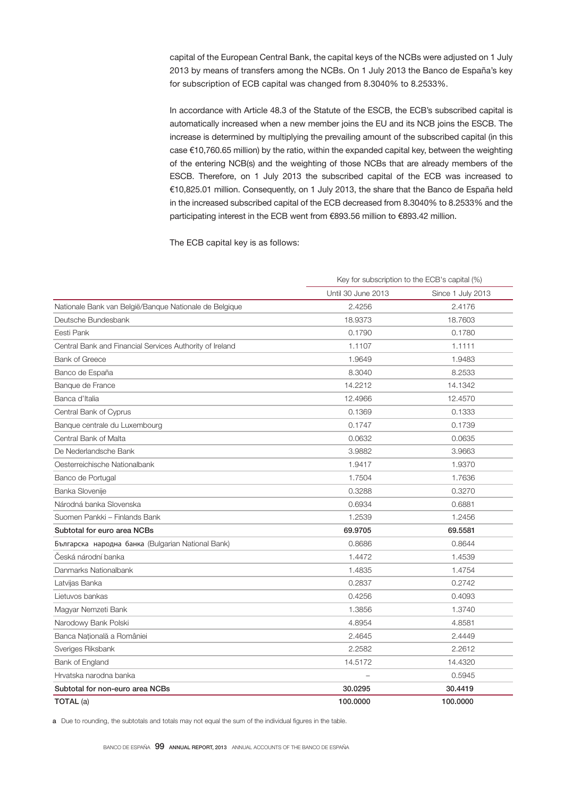capital of the European Central Bank, the capital keys of the NCBs were adjusted on 1 July 2013 by means of transfers among the NCBs. On 1 July 2013 the Banco de España's key for subscription of ECB capital was changed from 8.3040% to 8.2533%.

In accordance with Article 48.3 of the Statute of the ESCB, the ECB's subscribed capital is automatically increased when a new member joins the EU and its NCB joins the ESCB. The increase is determined by multiplying the prevailing amount of the subscribed capital (in this case €10,760.65 million) by the ratio, within the expanded capital key, between the weighting of the entering NCB(s) and the weighting of those NCBs that are already members of the ESCB. Therefore, on 1 July 2013 the subscribed capital of the ECB was increased to €10,825.01 million. Consequently, on 1 July 2013, the share that the Banco de España held in the increased subscribed capital of the ECB decreased from 8.3040% to 8.2533% and the participating interest in the ECB went from €893.56 million to €893.42 million.

The ECB capital key is as follows:

|                                                          | Key for subscription to the ECB's capital (%) |                   |  |
|----------------------------------------------------------|-----------------------------------------------|-------------------|--|
|                                                          | Until 30 June 2013                            | Since 1 July 2013 |  |
| Nationale Bank van België/Banque Nationale de Belgique   | 2.4256                                        | 2.4176            |  |
| Deutsche Bundesbank                                      | 18.9373                                       | 18,7603           |  |
| Eesti Pank                                               | 0.1790                                        | 0.1780            |  |
| Central Bank and Financial Services Authority of Ireland | 1.1107                                        | 1.1111            |  |
| <b>Bank of Greece</b>                                    | 1.9649                                        | 1.9483            |  |
| Banco de España                                          | 8.3040                                        | 8.2533            |  |
| Banque de France                                         | 14.2212                                       | 14.1342           |  |
| Banca d'Italia                                           | 12.4966                                       | 12.4570           |  |
| Central Bank of Cyprus                                   | 0.1369                                        | 0.1333            |  |
| Banque centrale du Luxembourg                            | 0.1747                                        | 0.1739            |  |
| Central Bank of Malta                                    | 0.0632                                        | 0.0635            |  |
| De Nederlandsche Bank                                    | 3.9882                                        | 3.9663            |  |
| Oesterreichische Nationalbank                            | 1.9417                                        | 1.9370            |  |
| Banco de Portugal                                        | 1.7504                                        | 1.7636            |  |
| Banka Slovenije                                          | 0.3288                                        | 0.3270            |  |
| Národná banka Slovenska                                  | 0.6934                                        | 0.6881            |  |
| Suomen Pankki - Finlands Bank                            | 1.2539                                        | 1.2456            |  |
| Subtotal for euro area NCBs                              | 69.9705                                       | 69.5581           |  |
| Българска народна банка (Bulgarian National Bank)        | 0.8686                                        | 0.8644            |  |
| Česká národní banka                                      | 1.4472                                        | 1.4539            |  |
| Danmarks Nationalbank                                    | 1.4835                                        | 1.4754            |  |
| Latvijas Banka                                           | 0.2837                                        | 0.2742            |  |
| Lietuvos bankas                                          | 0.4256                                        | 0.4093            |  |
| Magyar Nemzeti Bank                                      | 1.3856                                        | 1.3740            |  |
| Narodowy Bank Polski                                     | 4.8954                                        | 4.8581            |  |
| Banca Natională a României                               | 2.4645                                        | 2.4449            |  |
| Sveriges Riksbank                                        | 2.2582                                        | 2.2612            |  |
| Bank of England                                          | 14.5172                                       | 14.4320           |  |
| Hrvatska narodna banka                                   | $\overline{\phantom{m}}$                      | 0.5945            |  |
| Subtotal for non-euro area NCBs                          | 30.0295                                       | 30.4419           |  |
| TOTAL (a)                                                | 100.0000                                      | 100.0000          |  |

a Due to rounding, the subtotals and totals may not equal the sum of the individual figures in the table.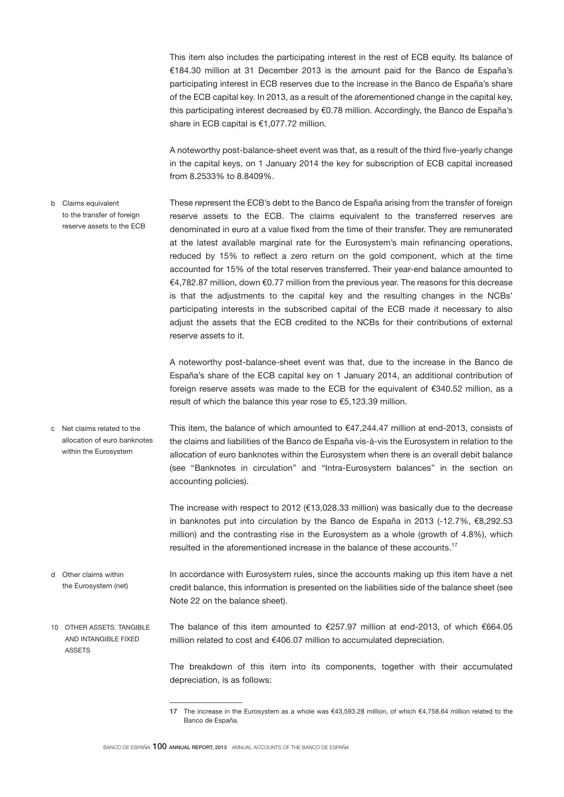This item also includes the participating interest in the rest of ECB equity. Its balance of €184.30 million at 31 December 2013 is the amount paid for the Banco de España's participating interest in ECB reserves due to the increase in the Banco de España's share of the ECB capital key. In 2013, as a result of the aforementioned change in the capital key, this participating interest decreased by €0.78 million. Accordingly, the Banco de España's share in ECB capital is €1,077.72 million.

A noteworthy post-balance-sheet event was that, as a result of the third five-yearly change in the capital keys, on 1 January 2014 the key for subscription of ECB capital increased from 8.2533% to 8.8409%.

These represent the ECB's debt to the Banco de España arising from the transfer of foreign reserve assets to the ECB. The claims equivalent to the transferred reserves are denominated in euro at a value fixed from the time of their transfer. They are remunerated at the latest available marginal rate for the Eurosystem's main refinancing operations, reduced by 15% to reflect a zero return on the gold component, which at the time accounted for 15% of the total reserves transferred. Their year-end balance amounted to €4,782.87 million, down €0.77 million from the previous year. The reasons for this decrease is that the adjustments to the capital key and the resulting changes in the NCBs' participating interests in the subscribed capital of the ECB made it necessary to also b Claims equivalent to the transfer of foreign reserve assets to the ECB

reserve assets to it.

A noteworthy post-balance-sheet event was that, due to the increase in the Banco de España's share of the ECB capital key on 1 January 2014, an additional contribution of foreign reserve assets was made to the ECB for the equivalent of €340.52 million, as a result of which the balance this year rose to €5,123.39 million.

adjust the assets that the ECB credited to the NCBs for their contributions of external

This item, the balance of which amounted to €47,244.47 million at end-2013, consists of the claims and liabilities of the Banco de España vis-à-vis the Eurosystem in relation to the allocation of euro banknotes within the Eurosystem when there is an overall debit balance (see "Banknotes in circulation" and "Intra-Eurosystem balances" in the section on accounting policies). c Net claims related to the allocation of euro banknotes within the Eurosystem

> The increase with respect to 2012 (€13,028.33 million) was basically due to the decrease in banknotes put into circulation by the Banco de España in 2013 (-12.7%, €8,292.53 million) and the contrasting rise in the Eurosystem as a whole (growth of 4.8%), which resulted in the aforementioned increase in the balance of these accounts.<sup>17</sup>

- In accordance with Eurosystem rules, since the accounts making up this item have a net credit balance, this information is presented on the liabilities side of the balance sheet (see Note 22 on the balance sheet). d Other claims within the Eurosystem (net)
- The balance of this item amounted to  $€257.97$  million at end-2013, of which  $€664.05$ million related to cost and €406.07 million to accumulated depreciation. 10 OTHER ASSETS. TANGIBLE AND INTANGIBLE FIXED **ASSETS**

The breakdown of this item into its components, together with their accumulated depreciation, is as follows:

<sup>17</sup> The increase in the Eurosystem as a whole was €43,593.28 million, of which €4,758.64 million related to the Banco de España.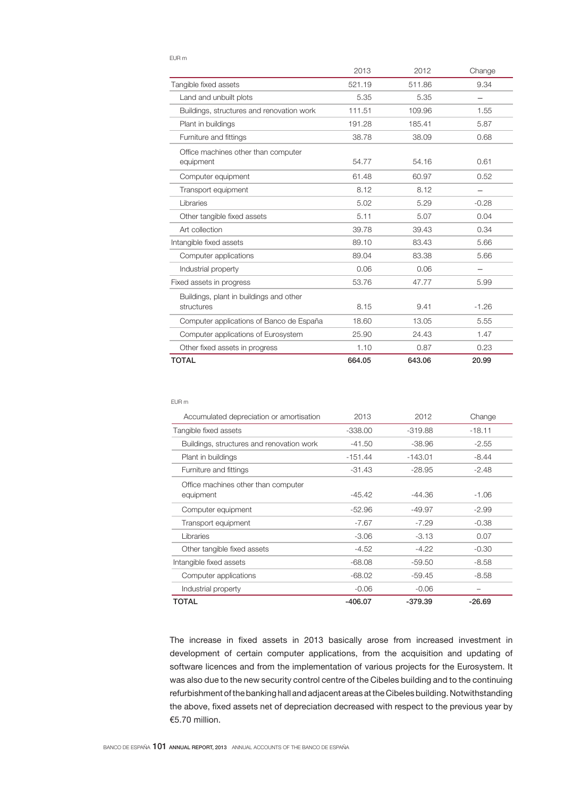### EUR m

|                                           | 2013   | 2012   | Change                   |
|-------------------------------------------|--------|--------|--------------------------|
| Tangible fixed assets                     | 521.19 | 511.86 | 9.34                     |
| Land and unbuilt plots                    | 5.35   | 5.35   |                          |
| Buildings, structures and renovation work | 111.51 | 109.96 | 1.55                     |
| Plant in buildings                        | 191.28 | 185.41 | 5.87                     |
| Furniture and fittings                    | 38.78  | 38.09  | 0.68                     |
| Office machines other than computer       |        |        |                          |
| equipment                                 | 54.77  | 54.16  | 0.61                     |
| Computer equipment                        | 61.48  | 60.97  | 0.52                     |
| Transport equipment                       | 8.12   | 8.12   |                          |
| Libraries                                 | 5.02   | 5.29   | $-0.28$                  |
| Other tangible fixed assets               | 5.11   | 5.07   | 0.04                     |
| Art collection                            | 39.78  | 39.43  | 0.34                     |
| Intangible fixed assets                   | 89.10  | 83.43  | 5.66                     |
| Computer applications                     | 89.04  | 83.38  | 5.66                     |
| Industrial property                       | 0.06   | 0.06   | $\overline{\phantom{0}}$ |
| Fixed assets in progress                  | 53.76  | 47.77  | 5.99                     |
| Buildings, plant in buildings and other   |        |        |                          |
| structures                                | 8.15   | 9.41   | $-1.26$                  |
| Computer applications of Banco de España  | 18.60  | 13.05  | 5.55                     |
| Computer applications of Eurosystem       | 25.90  | 24.43  | 1.47                     |
| Other fixed assets in progress            | 1.10   | 0.87   | 0.23                     |
| <b>TOTAL</b>                              | 664.05 | 643.06 | 20.99                    |

### EUR m

| Accumulated depreciation or amortisation  | 2013      | 2012      | Change   |
|-------------------------------------------|-----------|-----------|----------|
| Tangible fixed assets                     | $-338.00$ | $-319.88$ | $-18.11$ |
| Buildings, structures and renovation work | $-41.50$  | -38.96    | $-2.55$  |
| Plant in buildings                        | $-151.44$ | $-143.01$ | $-8.44$  |
| Furniture and fittings                    | $-31.43$  | $-28.95$  | $-2.48$  |
| Office machines other than computer       |           |           |          |
| equipment                                 | $-45.42$  | -44.36    | $-1.06$  |
| Computer equipment                        | $-52.96$  | $-49.97$  | $-2.99$  |
| Transport equipment                       | $-7.67$   | $-7.29$   | $-0.38$  |
| Libraries                                 | $-3.06$   | $-3.13$   | 0.07     |
| Other tangible fixed assets               | $-4.52$   | $-4.22$   | $-0.30$  |
| Intangible fixed assets                   | $-68.08$  | $-59.50$  | $-8.58$  |
| Computer applications                     | $-68.02$  | $-59.45$  | $-8.58$  |
| Industrial property                       | $-0.06$   | $-0.06$   |          |
| TOTAL                                     | $-406.07$ | $-379.39$ | $-26.69$ |

The increase in fixed assets in 2013 basically arose from increased investment in development of certain computer applications, from the acquisition and updating of software licences and from the implementation of various projects for the Eurosystem. It was also due to the new security control centre of the Cibeles building and to the continuing refurbishment of the banking hall and adjacent areas at the Cibeles building. Notwithstanding the above, fixed assets net of depreciation decreased with respect to the previous year by €5.70 million.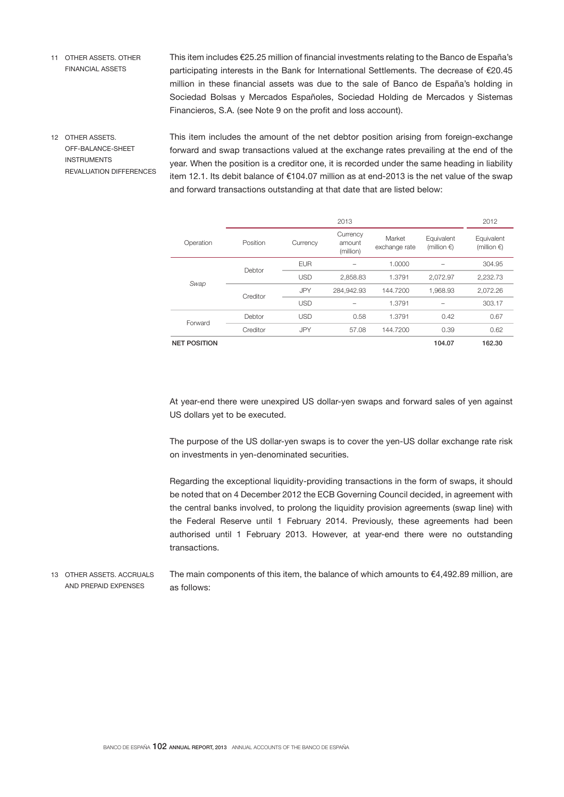11 OTHER ASSETS. OTHER FINANCIAL ASSETS

This item includes €25.25 million of financial investments relating to the Banco de España's participating interests in the Bank for International Settlements. The decrease of €20.45 million in these financial assets was due to the sale of Banco de España's holding in Sociedad Bolsas y Mercados Españoles, Sociedad Holding de Mercados y Sistemas Financieros, S.A. (see Note 9 on the profit and loss account).

12 OTHER ASSETS. OFF-BALANCE-SHEET INSTRUMENTS REVALUATION DIFFERENCES This item includes the amount of the net debtor position arising from foreign-exchange forward and swap transactions valued at the exchange rates prevailing at the end of the year. When the position is a creditor one, it is recorded under the same heading in liability item 12.1. Its debit balance of €104.07 million as at end-2013 is the net value of the swap and forward transactions outstanding at that date that are listed below:

|                     |          |            | 2013                            |                         |                                     | 2012                                |
|---------------------|----------|------------|---------------------------------|-------------------------|-------------------------------------|-------------------------------------|
| Operation           | Position | Currency   | Currency<br>amount<br>(million) | Market<br>exchange rate | Equivalent<br>(million $\epsilon$ ) | Equivalent<br>(million $\epsilon$ ) |
|                     | Debtor   | <b>EUR</b> | -                               | 1.0000                  |                                     | 304.95                              |
| Swap                |          | <b>USD</b> | 2.858.83                        | 1.3791                  | 2.072.97                            | 2,232.73                            |
|                     | Creditor | <b>JPY</b> | 284.942.93                      | 144,7200                | 1.968.93                            | 2.072.26                            |
|                     |          | <b>USD</b> | -                               | 1.3791                  |                                     | 303.17                              |
| Forward             | Debtor   | <b>USD</b> | 0.58                            | 1.3791                  | 0.42                                | 0.67                                |
|                     | Creditor | <b>JPY</b> | 57.08                           | 144,7200                | 0.39                                | 0.62                                |
| <b>NET POSITION</b> |          |            |                                 |                         | 104.07                              | 162.30                              |

At year-end there were unexpired US dollar-yen swaps and forward sales of yen against US dollars yet to be executed.

The purpose of the US dollar-yen swaps is to cover the yen-US dollar exchange rate risk on investments in yen-denominated securities.

Regarding the exceptional liquidity-providing transactions in the form of swaps, it should be noted that on 4 December 2012 the ECB Governing Council decided, in agreement with the central banks involved, to prolong the liquidity provision agreements (swap line) with the Federal Reserve until 1 February 2014. Previously, these agreements had been authorised until 1 February 2013. However, at year-end there were no outstanding transactions.

The main components of this item, the balance of which amounts to  $€4,492.89$  million, are as follows: 13 OTHER ASSETS. ACCRUALS AND PREPAID EXPENSES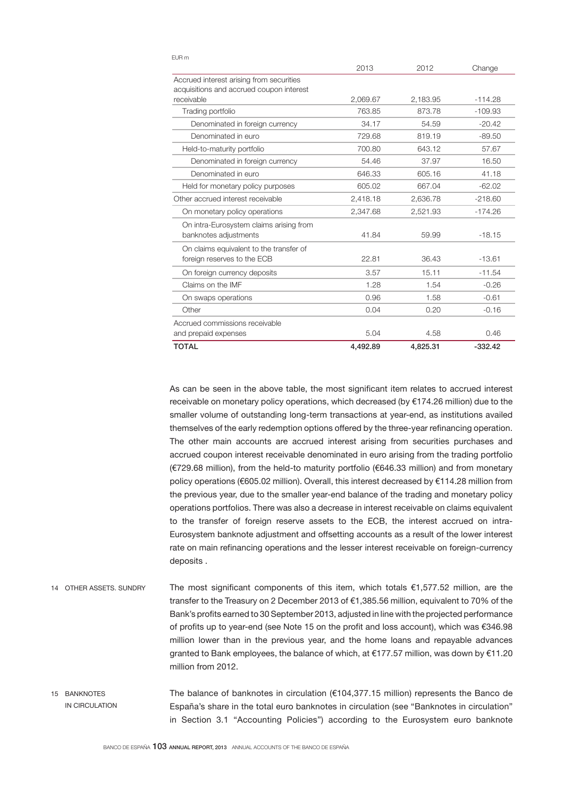|                                          | 2013     | 2012     | Change    |
|------------------------------------------|----------|----------|-----------|
| Accrued interest arising from securities |          |          |           |
| acquisitions and accrued coupon interest |          |          |           |
| receivable                               | 2,069.67 | 2.183.95 | $-114.28$ |
| Trading portfolio                        | 763.85   | 873.78   | $-109.93$ |
| Denominated in foreign currency          | 34.17    | 54.59    | $-20.42$  |
| Denominated in euro                      | 729.68   | 819.19   | $-89.50$  |
| Held-to-maturity portfolio               | 700.80   | 643.12   | 57.67     |
| Denominated in foreign currency          | 54.46    | 37.97    | 16.50     |
| Denominated in euro                      | 646.33   | 605.16   | 41.18     |
| Held for monetary policy purposes        | 605.02   | 667.04   | $-62.02$  |
| Other accrued interest receivable        | 2,418.18 | 2.636.78 | $-218.60$ |
| On monetary policy operations            | 2,347.68 | 2,521.93 | $-174.26$ |
| On intra-Eurosystem claims arising from  |          |          |           |
| banknotes adjustments                    | 41.84    | 59.99    | $-18.15$  |
| On claims equivalent to the transfer of  |          |          |           |
| foreign reserves to the ECB              | 22.81    | 36.43    | $-13.61$  |
| On foreign currency deposits             | 3.57     | 15.11    | $-11.54$  |
| Claims on the IMF                        | 1.28     | 1.54     | $-0.26$   |
| On swaps operations                      | 0.96     | 1.58     | $-0.61$   |
| Other                                    | 0.04     | 0.20     | $-0.16$   |
| Accrued commissions receivable           |          |          |           |
| and prepaid expenses                     | 5.04     | 4.58     | 0.46      |
| <b>TOTAL</b>                             | 4,492.89 | 4,825.31 | $-332.42$ |

As can be seen in the above table, the most significant item relates to accrued interest receivable on monetary policy operations, which decreased (by €174.26 million) due to the smaller volume of outstanding long-term transactions at year-end, as institutions availed themselves of the early redemption options offered by the three-year refinancing operation. The other main accounts are accrued interest arising from securities purchases and accrued coupon interest receivable denominated in euro arising from the trading portfolio (€729.68 million), from the held-to maturity portfolio (€646.33 million) and from monetary policy operations (€605.02 million). Overall, this interest decreased by €114.28 million from the previous year, due to the smaller year-end balance of the trading and monetary policy operations portfolios. There was also a decrease in interest receivable on claims equivalent to the transfer of foreign reserve assets to the ECB, the interest accrued on intra-Eurosystem banknote adjustment and offsetting accounts as a result of the lower interest rate on main refinancing operations and the lesser interest receivable on foreign-currency deposits .

- The most significant components of this item, which totals  $€1,577.52$  million, are the transfer to the Treasury on 2 December 2013 of €1,385.56 million, equivalent to 70% of the Bank's profits earned to 30 September 2013, adjusted in line with the projected performance of profits up to year-end (see Note 15 on the profit and loss account), which was €346.98 million lower than in the previous year, and the home loans and repayable advances granted to Bank employees, the balance of which, at €177.57 million, was down by €11.20 million from 2012. 14 OTHER ASSETS. SUNDRY
- The balance of banknotes in circulation  $(E104.377.15$  million) represents the Banco de España's share in the total euro banknotes in circulation (see "Banknotes in circulation" in Section 3.1 "Accounting Policies") according to the Eurosystem euro banknote 15 BANKNOTES IN CIRCULATION

#### EUR m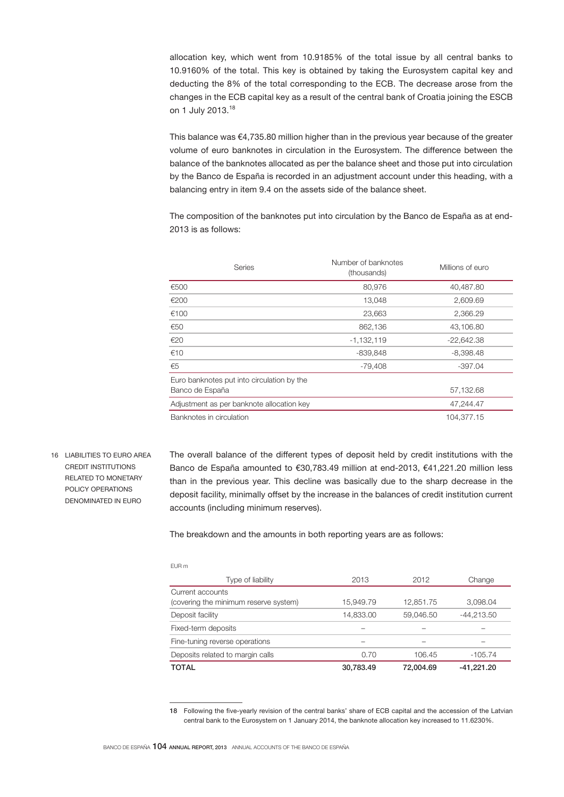allocation key, which went from 10.9185% of the total issue by all central banks to 10.9160% of the total. This key is obtained by taking the Eurosystem capital key and deducting the 8% of the total corresponding to the ECB. The decrease arose from the changes in the ECB capital key as a result of the central bank of Croatia joining the ESCB on 1 July 2013.<sup>18</sup>

This balance was  $\epsilon$ 4,735.80 million higher than in the previous year because of the greater volume of euro banknotes in circulation in the Eurosystem. The difference between the balance of the banknotes allocated as per the balance sheet and those put into circulation by the Banco de España is recorded in an adjustment account under this heading, with a balancing entry in item 9.4 on the assets side of the balance sheet.

The composition of the banknotes put into circulation by the Banco de España as at end-2013 is as follows:

| Series                                                        | Number of banknotes<br>(thousands) | Millions of euro |
|---------------------------------------------------------------|------------------------------------|------------------|
| €500                                                          | 80,976                             | 40,487.80        |
| €200                                                          | 13,048                             | 2,609.69         |
| €100                                                          | 23,663                             | 2,366.29         |
| €50                                                           | 862,136                            | 43,106.80        |
| €20                                                           | $-1,132,119$                       | $-22,642.38$     |
| €10                                                           | $-839,848$                         | $-8,398.48$      |
| €5                                                            | -79,408                            | $-397.04$        |
| Euro banknotes put into circulation by the<br>Banco de España |                                    | 57,132.68        |
| Adjustment as per banknote allocation key                     |                                    | 47,244.47        |
| Banknotes in circulation                                      |                                    | 104,377.15       |

16 LIABILITIES TO EURO AREA CREDIT INSTITUTIONS RELATED TO MONETARY POLICY OPERATIONS DENOMINATED IN EURO

The overall balance of the different types of deposit held by credit institutions with the Banco de España amounted to €30,783.49 million at end-2013, €41,221.20 million less than in the previous year. This decline was basically due to the sharp decrease in the deposit facility, minimally offset by the increase in the balances of credit institution current accounts (including minimum reserves).

The breakdown and the amounts in both reporting years are as follows:

| I<br>۰. |  |
|---------|--|
|         |  |

| Type of liability                     | 2013      | 2012      | Change       |
|---------------------------------------|-----------|-----------|--------------|
| Current accounts                      |           |           |              |
| (covering the minimum reserve system) | 15,949.79 | 12,851.75 | 3,098.04     |
| Deposit facility                      | 14,833.00 | 59,046.50 | $-44,213.50$ |
| Fixed-term deposits                   |           |           |              |
| Fine-tuning reverse operations        |           |           |              |
| Deposits related to margin calls      | 0.70      | 106.45    | $-105.74$    |
| TOTAL                                 | 30.783.49 | 72.004.69 | $-41.221.20$ |

<sup>18</sup> Following the five-yearly revision of the central banks' share of ECB capital and the accession of the Latvian central bank to the Eurosystem on 1 January 2014, the banknote allocation key increased to 11.6230%.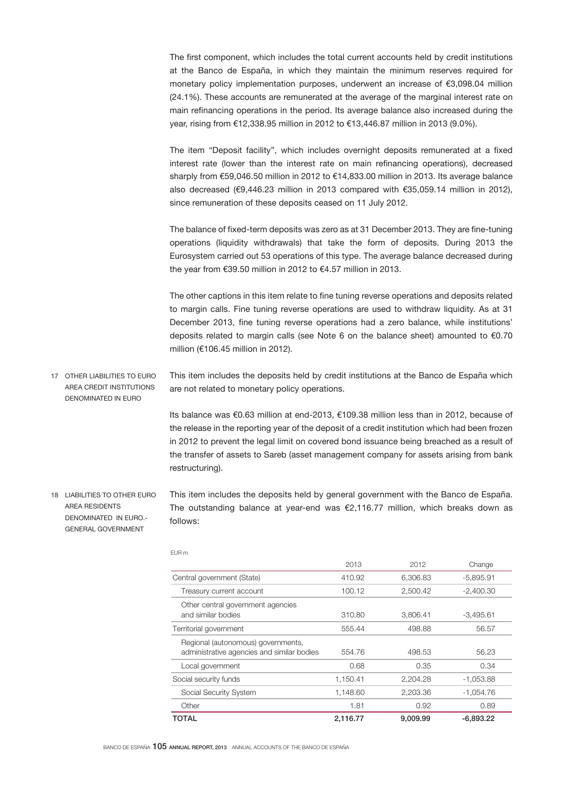The first component, which includes the total current accounts held by credit institutions at the Banco de España, in which they maintain the minimum reserves required for monetary policy implementation purposes, underwent an increase of €3,098.04 million (24.1%). These accounts are remunerated at the average of the marginal interest rate on main refinancing operations in the period. Its average balance also increased during the year, rising from €12,338.95 million in 2012 to €13,446.87 million in 2013 (9.0%).

The item "Deposit facility", which includes overnight deposits remunerated at a fixed interest rate (lower than the interest rate on main refinancing operations), decreased sharply from €59,046.50 million in 2012 to €14,833.00 million in 2013. Its average balance also decreased (€9,446.23 million in 2013 compared with €35,059.14 million in 2012), since remuneration of these deposits ceased on 11 July 2012.

The balance of fixed-term deposits was zero as at 31 December 2013. They are fine-tuning operations (liquidity withdrawals) that take the form of deposits. During 2013 the Eurosystem carried out 53 operations of this type. The average balance decreased during the year from €39.50 million in 2012 to €4.57 million in 2013.

The other captions in this item relate to fine tuning reverse operations and deposits related to margin calls. Fine tuning reverse operations are used to withdraw liquidity. As at 31 December 2013, fine tuning reverse operations had a zero balance, while institutions' deposits related to margin calls (see Note 6 on the balance sheet) amounted to  $€0.70$ million (€106.45 million in 2012).

This item includes the deposits held by credit institutions at the Banco de España which are not related to monetary policy operations. 17 OTHER LIABILITIES TO EURO AREA CREDIT INSTITUTIONS DENOMINATED IN EURO

> Its balance was €0.63 million at end-2013, €109.38 million less than in 2012, because of the release in the reporting year of the deposit of a credit institution which had been frozen in 2012 to prevent the legal limit on covered bond issuance being breached as a result of the transfer of assets to Sareb (asset management company for assets arising from bank restructuring).

This item includes the deposits held by general government with the Banco de España. The outstanding balance at year-end was €2,116.77 million, which breaks down as follows: 18 LIABILITIES TO OTHER EURO AREA RESIDENTS DENOMINATED IN EURO.- GENERAL GOVERNMENT

|                                                                                  | 2013     | 2012     | Change      |
|----------------------------------------------------------------------------------|----------|----------|-------------|
| Central government (State)                                                       | 410.92   | 6.306.83 | $-5,895.91$ |
| Treasury current account                                                         | 100.12   | 2,500.42 | $-2,400.30$ |
| Other central government agencies<br>and similar bodies                          | 310.80   | 3.806.41 | $-3,495.61$ |
| Territorial government                                                           | 555.44   | 498.88   | 56.57       |
| Regional (autonomous) governments,<br>administrative agencies and similar bodies | 554.76   | 498.53   | 56.23       |
| Local government                                                                 | 0.68     | 0.35     | 0.34        |
| Social security funds                                                            | 1,150.41 | 2.204.28 | $-1,053.88$ |
| Social Security System                                                           | 1,148.60 | 2,203.36 | $-1.054.76$ |
| Other                                                                            | 1.81     | 0.92     | 0.89        |
| TOTAL                                                                            | 2.116.77 | 9.009.99 | $-6.893.22$ |

EUR m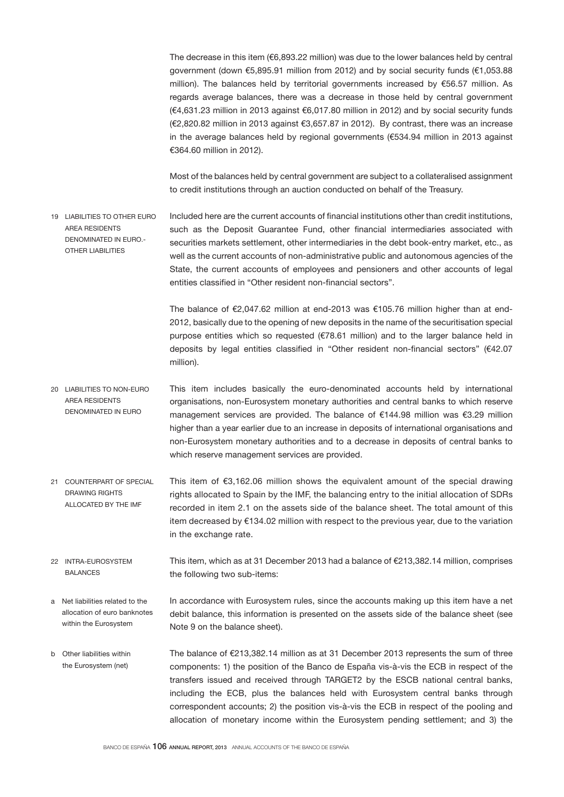The decrease in this item (€6,893.22 million) was due to the lower balances held by central government (down €5,895.91 million from 2012) and by social security funds (€1,053.88 million). The balances held by territorial governments increased by €56.57 million. As regards average balances, there was a decrease in those held by central government (€4,631.23 million in 2013 against €6,017.80 million in 2012) and by social security funds (€2,820.82 million in 2013 against €3,657.87 in 2012). By contrast, there was an increase in the average balances held by regional governments (€534.94 million in 2013 against €364.60 million in 2012).

Most of the balances held by central government are subject to a collateralised assignment to credit institutions through an auction conducted on behalf of the Treasury.

Included here are the current accounts of financial institutions other than credit institutions, such as the Deposit Guarantee Fund, other financial intermediaries associated with securities markets settlement, other intermediaries in the debt book-entry market, etc., as well as the current accounts of non-administrative public and autonomous agencies of the State, the current accounts of employees and pensioners and other accounts of legal entities classified in "Other resident non-financial sectors". 19 LIABILITIES TO OTHER EURO AREA RESIDENTS DENOMINATED IN EURO.- OTHER LIABILITIES

> The balance of €2,047.62 million at end-2013 was €105.76 million higher than at end-2012, basically due to the opening of new deposits in the name of the securitisation special purpose entities which so requested (€78.61 million) and to the larger balance held in deposits by legal entities classified in "Other resident non-financial sectors" (€42.07 million).

- This item includes basically the euro-denominated accounts held by international organisations, non-Eurosystem monetary authorities and central banks to which reserve management services are provided. The balance of €144.98 million was €3.29 million higher than a year earlier due to an increase in deposits of international organisations and non-Eurosystem monetary authorities and to a decrease in deposits of central banks to which reserve management services are provided. 20 LIABILITIES TO NON-EURO AREA RESIDENTS DENOMINATED IN EURO
- This item of €3,162.06 million shows the equivalent amount of the special drawing rights allocated to Spain by the IMF, the balancing entry to the initial allocation of SDRs recorded in item 2.1 on the assets side of the balance sheet. The total amount of this item decreased by €134.02 million with respect to the previous year, due to the variation in the exchange rate. 21 COUNTERPART OF SPECIAL DRAWING RIGHTS ALLOCATED BY THE IMF
- This item, which as at 31 December 2013 had a balance of €213,382.14 million, comprises the following two sub-items: 22 INTRA-EUROSYSTEM BALANCES
- In accordance with Eurosystem rules, since the accounts making up this item have a net debit balance, this information is presented on the assets side of the balance sheet (see Note 9 on the balance sheet). a Net liabilities related to the allocation of euro banknotes within the Eurosystem
- The balance of €213,382.14 million as at 31 December 2013 represents the sum of three components: 1) the position of the Banco de España vis-à-vis the ECB in respect of the transfers issued and received through TARGET2 by the ESCB national central banks, including the ECB, plus the balances held with Eurosystem central banks through correspondent accounts; 2) the position vis-à-vis the ECB in respect of the pooling and allocation of monetary income within the Eurosystem pending settlement; and 3) the b Other liabilities within the Eurosystem (net)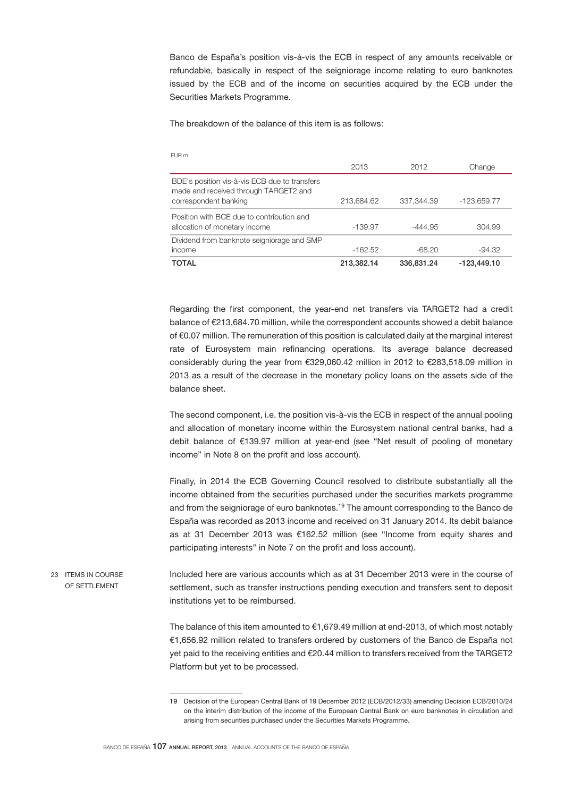Banco de España's position vis-à-vis the ECB in respect of any amounts receivable or refundable, basically in respect of the seigniorage income relating to euro banknotes issued by the ECB and of the income on securities acquired by the ECB under the Securities Markets Programme.

The breakdown of the balance of this item is as follows:

EUR m

| <b>LVIIII</b>                                                                                                   |            |            |             |
|-----------------------------------------------------------------------------------------------------------------|------------|------------|-------------|
|                                                                                                                 | 2013       | 2012       | Change      |
| BDE's position vis-à-vis ECB due to transfers<br>made and received through TARGET2 and<br>correspondent banking | 213,684.62 | 337,344.39 | -123,659.77 |
| Position with BCE due to contribution and<br>allocation of monetary income                                      | $-139.97$  | $-444.95$  | 304.99      |
| Dividend from banknote seigniorage and SMP                                                                      |            |            |             |
| income                                                                                                          | $-162.52$  | $-68.20$   | $-94.32$    |
| <b>TOTAL</b>                                                                                                    | 213.382.14 | 336,831,24 | -123.449.10 |

Regarding the first component, the year-end net transfers via TARGET2 had a credit balance of €213,684.70 million, while the correspondent accounts showed a debit balance of €0.07 million. The remuneration of this position is calculated daily at the marginal interest rate of Eurosystem main refinancing operations. Its average balance decreased considerably during the year from €329,060.42 million in 2012 to €283,518.09 million in 2013 as a result of the decrease in the monetary policy loans on the assets side of the balance sheet.

The second component, i.e. the position vis-à-vis the ECB in respect of the annual pooling and allocation of monetary income within the Eurosystem national central banks, had a debit balance of €139.97 million at year-end (see "Net result of pooling of monetary income" in Note 8 on the profit and loss account).

Finally, in 2014 the ECB Governing Council resolved to distribute substantially all the income obtained from the securities purchased under the securities markets programme and from the seigniorage of euro banknotes.<sup>19</sup> The amount corresponding to the Banco de España was recorded as 2013 income and received on 31 January 2014. Its debit balance as at 31 December 2013 was €162.52 million (see "Income from equity shares and participating interests" in Note 7 on the profit and loss account).

Included here are various accounts which as at 31 December 2013 were in the course of settlement, such as transfer instructions pending execution and transfers sent to deposit institutions yet to be reimbursed. 23 ITEMS IN COURSE OF SETTLEMENT

> The balance of this item amounted to €1,679.49 million at end-2013, of which most notably €1,656.92 million related to transfers ordered by customers of the Banco de España not yet paid to the receiving entities and €20.44 million to transfers received from the TARGET2 Platform but yet to be processed.

<sup>19</sup> Decision of the European Central Bank of 19 December 2012 (ECB/2012/33) amending Decision ECB/2010/24 on the interim distribution of the income of the European Central Bank on euro banknotes in circulation and arising from securities purchased under the Securities Markets Programme.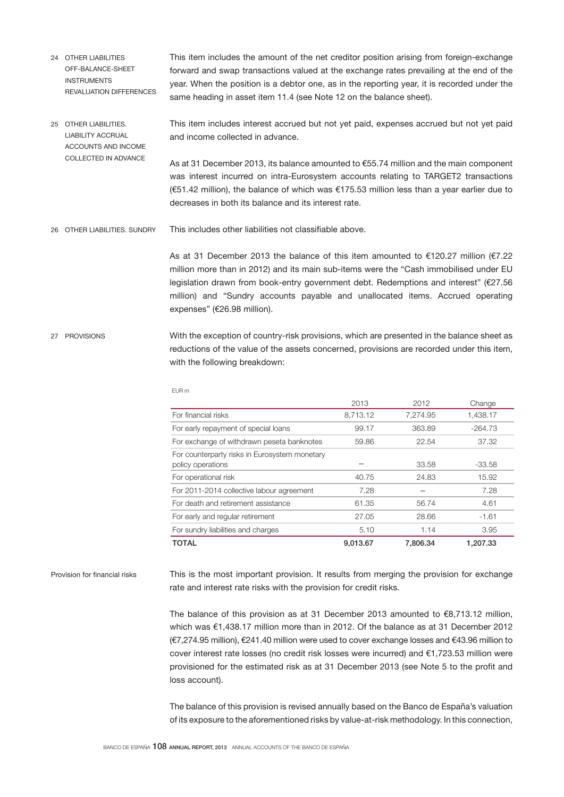- This item includes the amount of the net creditor position arising from foreign-exchange forward and swap transactions valued at the exchange rates prevailing at the end of the year. When the position is a debtor one, as in the reporting year, it is recorded under the same heading in asset item 11.4 (see Note 12 on the balance sheet). 24 OTHER LIABILITIES OFF-BALANCE-SHEET INSTRUMENTS REVALUATION DIFFERENCES
- This item includes interest accrued but not yet paid, expenses accrued but not yet paid and income collected in advance. 25 OTHER LIABILITIES. LIABILITY ACCRUAL ACCOUNTS AND INCOME

As at 31 December 2013, its balance amounted to €55.74 million and the main component was interest incurred on intra-Eurosystem accounts relating to TARGET2 transactions (€51.42 million), the balance of which was €175.53 million less than a year earlier due to decreases in both its balance and its interest rate.

This includes other liabilities not classifiable above. 26 OTHER LIABILITIES. SUNDRY

> As at 31 December 2013 the balance of this item amounted to  $€120.27$  million (€7.22 million more than in 2012) and its main sub-items were the "Cash immobilised under EU legislation drawn from book-entry government debt. Redemptions and interest" (€27.56 million) and "Sundry accounts payable and unallocated items. Accrued operating expenses" (€26.98 million).

With the exception of country-risk provisions, which are presented in the balance sheet as reductions of the value of the assets concerned, provisions are recorded under this item, with the following breakdown: 27 PROVISIONS

EUR m

| TOTAL                                                              | 9.013.67 | 7.806.34 | 1.207.33  |
|--------------------------------------------------------------------|----------|----------|-----------|
| For sundry liabilities and charges                                 | 5.10     | 1.14     | 3.95      |
| For early and regular retirement                                   | 27.05    | 28.66    | $-1.61$   |
| For death and retirement assistance                                | 61.35    | 56.74    | 4.61      |
| For 2011-2014 collective labour agreement                          | 7.28     |          | 7.28      |
| For operational risk                                               | 40.75    | 24.83    | 15.92     |
| For counterparty risks in Eurosystem monetary<br>policy operations |          | 33.58    | $-33.58$  |
| For exchange of withdrawn peseta banknotes                         | 59.86    | 22.54    | 37.32     |
| For early repayment of special loans                               | 99.17    | 363.89   | $-264.73$ |
| For financial risks                                                | 8,713.12 | 7,274.95 | 1,438.17  |
|                                                                    | 2013     | 2012     | Change    |

### Provision for financial risks

COLLECTED IN ADVANCE

This is the most important provision. It results from merging the provision for exchange rate and interest rate risks with the provision for credit risks.

The balance of this provision as at 31 December 2013 amounted to  $€8,713.12$  million, which was €1,438.17 million more than in 2012. Of the balance as at 31 December 2012 (€7,274.95 million), €241.40 million were used to cover exchange losses and €43.96 million to cover interest rate losses (no credit risk losses were incurred) and €1,723.53 million were provisioned for the estimated risk as at 31 December 2013 (see Note 5 to the profit and loss account).

The balance of this provision is revised annually based on the Banco de España's valuation of its exposure to the aforementioned risks by value-at-risk methodology. In this connection,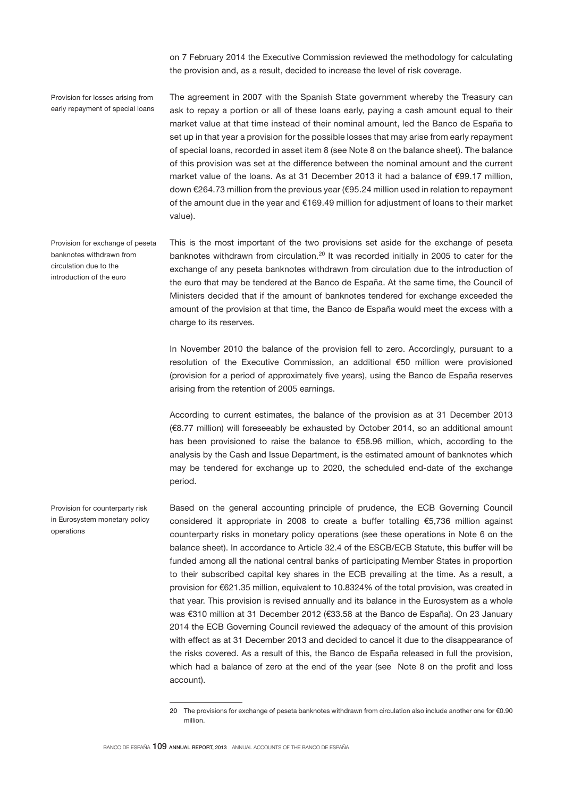on 7 February 2014 the Executive Commission reviewed the methodology for calculating the provision and, as a result, decided to increase the level of risk coverage.

Provision for losses arising from early repayment of special loans The agreement in 2007 with the Spanish State government whereby the Treasury can ask to repay a portion or all of these loans early, paying a cash amount equal to their market value at that time instead of their nominal amount, led the Banco de España to set up in that year a provision for the possible losses that may arise from early repayment of special loans, recorded in asset item 8 (see Note 8 on the balance sheet). The balance of this provision was set at the difference between the nominal amount and the current market value of the loans. As at 31 December 2013 it had a balance of €99.17 million, down €264.73 million from the previous year (€95.24 million used in relation to repayment of the amount due in the year and €169.49 million for adjustment of loans to their market value).

Provision for exchange of peseta banknotes withdrawn from circulation due to the introduction of the euro

This is the most important of the two provisions set aside for the exchange of peseta banknotes withdrawn from circulation.<sup>20</sup> It was recorded initially in 2005 to cater for the exchange of any peseta banknotes withdrawn from circulation due to the introduction of the euro that may be tendered at the Banco de España. At the same time, the Council of Ministers decided that if the amount of banknotes tendered for exchange exceeded the amount of the provision at that time, the Banco de España would meet the excess with a charge to its reserves.

In November 2010 the balance of the provision fell to zero. Accordingly, pursuant to a resolution of the Executive Commission, an additional €50 million were provisioned (provision for a period of approximately five years), using the Banco de España reserves arising from the retention of 2005 earnings.

According to current estimates, the balance of the provision as at 31 December 2013 (€8.77 million) will foreseeably be exhausted by October 2014, so an additional amount has been provisioned to raise the balance to €58.96 million, which, according to the analysis by the Cash and Issue Department, is the estimated amount of banknotes which may be tendered for exchange up to 2020, the scheduled end-date of the exchange period.

Provision for counterparty risk in Eurosystem monetary policy operations

Based on the general accounting principle of prudence, the ECB Governing Council considered it appropriate in 2008 to create a buffer totalling €5,736 million against counterparty risks in monetary policy operations (see these operations in Note 6 on the balance sheet). In accordance to Article 32.4 of the ESCB/ECB Statute, this buffer will be funded among all the national central banks of participating Member States in proportion to their subscribed capital key shares in the ECB prevailing at the time. As a result, a provision for €621.35 million, equivalent to 10.8324% of the total provision, was created in that year. This provision is revised annually and its balance in the Eurosystem as a whole was €310 million at 31 December 2012 (€33.58 at the Banco de España). On 23 January 2014 the ECB Governing Council reviewed the adequacy of the amount of this provision with effect as at 31 December 2013 and decided to cancel it due to the disappearance of the risks covered. As a result of this, the Banco de España released in full the provision, which had a balance of zero at the end of the year (see Note 8 on the profit and loss account).

<sup>20</sup> The provisions for exchange of peseta banknotes withdrawn from circulation also include another one for €0.90 million.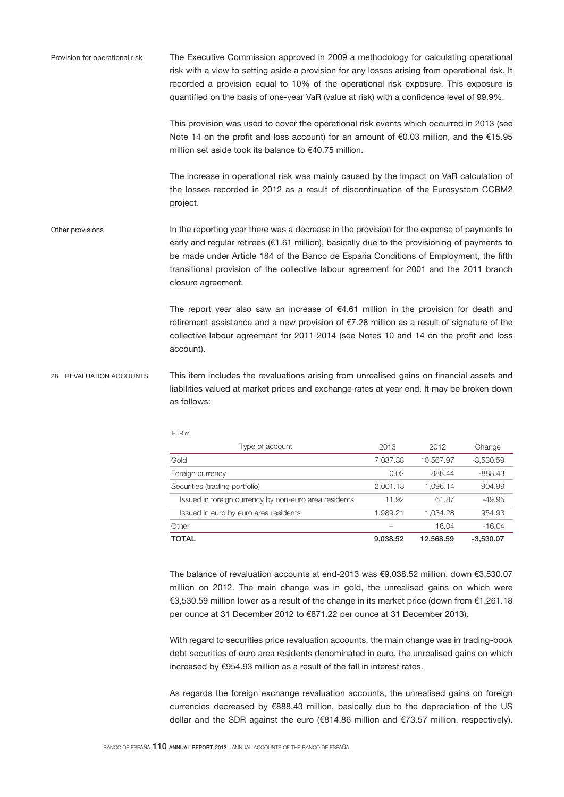The Executive Commission approved in 2009 a methodology for calculating operational risk with a view to setting aside a provision for any losses arising from operational risk. It recorded a provision equal to 10% of the operational risk exposure. This exposure is quantified on the basis of one-year VaR (value at risk) with a confidence level of 99.9%. Provision for operational risk

> This provision was used to cover the operational risk events which occurred in 2013 (see Note 14 on the profit and loss account) for an amount of €0.03 million, and the €15.95 million set aside took its balance to €40.75 million.

> The increase in operational risk was mainly caused by the impact on VaR calculation of the losses recorded in 2012 as a result of discontinuation of the Eurosystem CCBM2 project.

In the reporting year there was a decrease in the provision for the expense of payments to early and regular retirees (€1.61 million), basically due to the provisioning of payments to be made under Article 184 of the Banco de España Conditions of Employment, the fifth transitional provision of the collective labour agreement for 2001 and the 2011 branch closure agreement. Other provisions

> The report year also saw an increase of €4.61 million in the provision for death and retirement assistance and a new provision of €7.28 million as a result of signature of the collective labour agreement for 2011-2014 (see Notes 10 and 14 on the profit and loss account).

This item includes the revaluations arising from unrealised gains on financial assets and liabilities valued at market prices and exchange rates at year-end. It may be broken down as follows: 28 REVALUATION ACCOUNTS

| Type of account                                       | 2013     | 2012      | Change      |
|-------------------------------------------------------|----------|-----------|-------------|
| Gold                                                  | 7,037.38 | 10,567.97 | $-3,530.59$ |
| Foreign currency                                      | 0.02     | 888.44    | $-888.43$   |
| Securities (trading portfolio)                        | 2,001.13 | 1.096.14  | 904.99      |
| Issued in foreign currency by non-euro area residents | 11.92    | 61.87     | $-49.95$    |
| Issued in euro by euro area residents                 | 1,989.21 | 1.034.28  | 954.93      |
| Other                                                 |          | 16.04     | $-16.04$    |
| TOTAL                                                 | 9,038.52 | 12.568.59 | $-3.530.07$ |

The balance of revaluation accounts at end-2013 was €9,038.52 million, down €3,530.07 million on 2012. The main change was in gold, the unrealised gains on which were €3,530.59 million lower as a result of the change in its market price (down from €1,261.18 per ounce at 31 December 2012 to €871.22 per ounce at 31 December 2013).

With regard to securities price revaluation accounts, the main change was in trading-book debt securities of euro area residents denominated in euro, the unrealised gains on which increased by €954.93 million as a result of the fall in interest rates.

As regards the foreign exchange revaluation accounts, the unrealised gains on foreign currencies decreased by €888.43 million, basically due to the depreciation of the US dollar and the SDR against the euro (€814.86 million and €73.57 million, respectively).

EUR m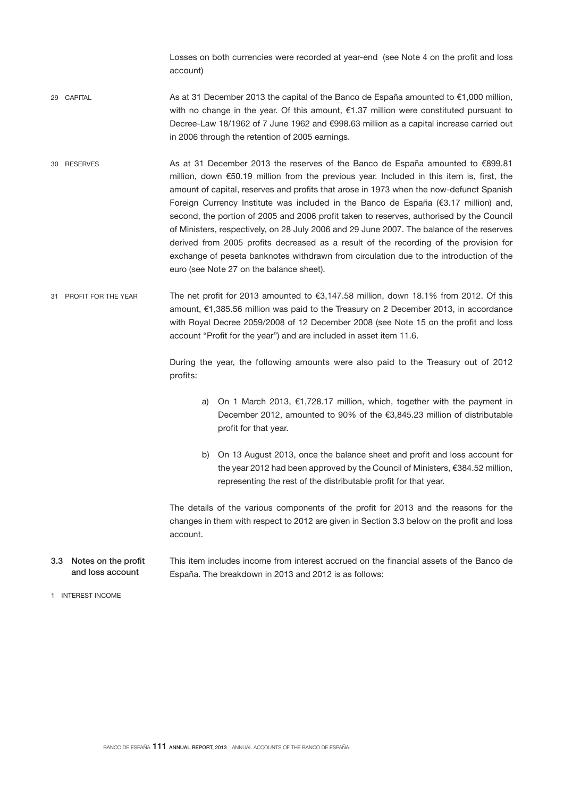Losses on both currencies were recorded at year-end (see Note 4 on the profit and loss account)

- As at 31 December 2013 the capital of the Banco de España amounted to €1,000 million, with no change in the year. Of this amount, €1.37 million were constituted pursuant to Decree-Law 18/1962 of 7 June 1962 and €998.63 million as a capital increase carried out in 2006 through the retention of 2005 earnings. 29 CAPITAL
- As at 31 December 2013 the reserves of the Banco de España amounted to €899.81 million, down €50.19 million from the previous year. Included in this item is, first, the amount of capital, reserves and profits that arose in 1973 when the now-defunct Spanish Foreign Currency Institute was included in the Banco de España (€3.17 million) and, second, the portion of 2005 and 2006 profit taken to reserves, authorised by the Council of Ministers, respectively, on 28 July 2006 and 29 June 2007. The balance of the reserves derived from 2005 profits decreased as a result of the recording of the provision for exchange of peseta banknotes withdrawn from circulation due to the introduction of the euro (see Note 27 on the balance sheet). 30 RESERVES
- The net profit for 2013 amounted to €3,147.58 million, down 18.1% from 2012. Of this amount, €1,385.56 million was paid to the Treasury on 2 December 2013, in accordance with Royal Decree 2059/2008 of 12 December 2008 (see Note 15 on the profit and loss account "Profit for the year") and are included in asset item 11.6. 31 PROFIT FOR THE YEAR

During the year, the following amounts were also paid to the Treasury out of 2012 profits:

- a) On 1 March 2013, €1,728.17 million, which, together with the payment in December 2012, amounted to 90% of the €3,845.23 million of distributable profit for that year.
- b) On 13 August 2013, once the balance sheet and profit and loss account for the year 2012 had been approved by the Council of Ministers, €384.52 million, representing the rest of the distributable profit for that year.

The details of the various components of the profit for 2013 and the reasons for the changes in them with respect to 2012 are given in Section 3.3 below on the profit and loss account.

This item includes income from interest accrued on the financial assets of the Banco de España. The breakdown in 2013 and 2012 is as follows: 3.3 Notes on the profit and loss account

1 INTEREST INCOME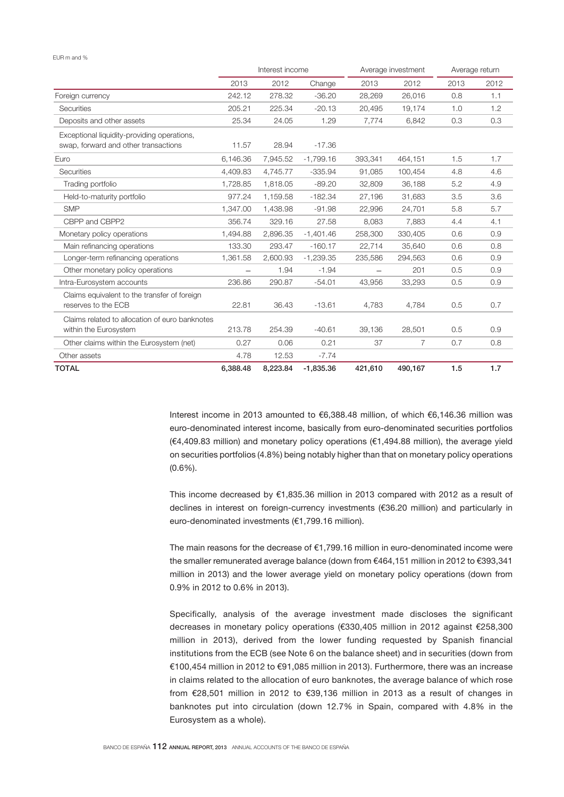#### EUR m and %

|                                                                                     | Interest income |          | Average investment |         | Average return |      |      |
|-------------------------------------------------------------------------------------|-----------------|----------|--------------------|---------|----------------|------|------|
|                                                                                     | 2013            | 2012     | Change             | 2013    | 2012           | 2013 | 2012 |
| Foreign currency                                                                    | 242.12          | 278.32   | $-36.20$           | 28,269  | 26,016         | 0.8  | 1.1  |
| <b>Securities</b>                                                                   | 205.21          | 225.34   | $-20.13$           | 20,495  | 19,174         | 1.0  | 1.2  |
| Deposits and other assets                                                           | 25.34           | 24.05    | 1.29               | 7,774   | 6,842          | 0.3  | 0.3  |
| Exceptional liquidity-providing operations,<br>swap, forward and other transactions | 11.57           | 28.94    | $-17.36$           |         |                |      |      |
| Euro                                                                                | 6,146.36        | 7,945.52 | $-1,799.16$        | 393,341 | 464,151        | 1.5  | 1.7  |
| <b>Securities</b>                                                                   | 4.409.83        | 4,745.77 | $-335.94$          | 91,085  | 100,454        | 4.8  | 4.6  |
| Trading portfolio                                                                   | 1.728.85        | 1.818.05 | $-89.20$           | 32,809  | 36,188         | 5.2  | 4.9  |
| Held-to-maturity portfolio                                                          | 977.24          | 1.159.58 | $-182.34$          | 27,196  | 31,683         | 3.5  | 3.6  |
| <b>SMP</b>                                                                          | 1.347.00        | 1,438.98 | $-91.98$           | 22,996  | 24,701         | 5.8  | 5.7  |
| CBPP and CBPP2                                                                      | 356.74          | 329.16   | 27.58              | 8,083   | 7,883          | 4.4  | 4.1  |
| Monetary policy operations                                                          | 1.494.88        | 2.896.35 | $-1.401.46$        | 258,300 | 330.405        | 0.6  | 0.9  |
| Main refinancing operations                                                         | 133.30          | 293.47   | $-160.17$          | 22,714  | 35,640         | 0.6  | 0.8  |
| Longer-term refinancing operations                                                  | 1,361.58        | 2,600.93 | $-1,239.35$        | 235,586 | 294,563        | 0.6  | 0.9  |
| Other monetary policy operations                                                    |                 | 1.94     | $-1.94$            |         | 201            | 0.5  | 0.9  |
| Intra-Eurosystem accounts                                                           | 236.86          | 290.87   | $-54.01$           | 43,956  | 33,293         | 0.5  | 0.9  |
| Claims equivalent to the transfer of foreign<br>reserves to the ECB                 | 22.81           | 36.43    | $-13.61$           | 4,783   | 4,784          | 0.5  | 0.7  |
| Claims related to allocation of euro banknotes<br>within the Eurosystem             | 213.78          | 254.39   | $-40.61$           | 39,136  | 28,501         | 0.5  | 0.9  |
| Other claims within the Eurosystem (net)                                            | 0.27            | 0.06     | 0.21               | 37      | 7              | 0.7  | 0.8  |
| Other assets                                                                        | 4.78            | 12.53    | $-7.74$            |         |                |      |      |
| <b>TOTAL</b>                                                                        | 6,388.48        | 8,223.84 | $-1,835.36$        | 421,610 | 490,167        | 1.5  | 1.7  |

Interest income in 2013 amounted to €6,388.48 million, of which €6,146.36 million was euro-denominated interest income, basically from euro-denominated securities portfolios (€4,409.83 million) and monetary policy operations (€1,494.88 million), the average yield on securities portfolios (4.8%) being notably higher than that on monetary policy operations (0.6%).

This income decreased by €1,835.36 million in 2013 compared with 2012 as a result of declines in interest on foreign-currency investments (€36.20 million) and particularly in euro-denominated investments (€1,799.16 million).

The main reasons for the decrease of  $€1,799.16$  million in euro-denominated income were the smaller remunerated average balance (down from €464,151 million in 2012 to €393,341 million in 2013) and the lower average yield on monetary policy operations (down from 0.9% in 2012 to 0.6% in 2013).

Specifically, analysis of the average investment made discloses the significant decreases in monetary policy operations (€330,405 million in 2012 against €258,300 million in 2013), derived from the lower funding requested by Spanish financial institutions from the ECB (see Note 6 on the balance sheet) and in securities (down from €100,454 million in 2012 to €91,085 million in 2013). Furthermore, there was an increase in claims related to the allocation of euro banknotes, the average balance of which rose from €28,501 million in 2012 to €39,136 million in 2013 as a result of changes in banknotes put into circulation (down 12.7% in Spain, compared with 4.8% in the Eurosystem as a whole).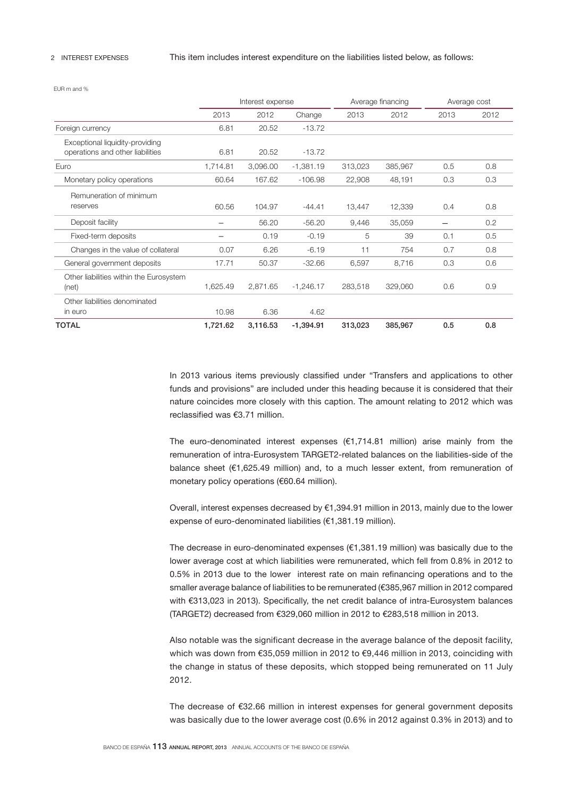#### 2 INTEREST EXPENSES

### This item includes interest expenditure on the liabilities listed below, as follows:

EUR m and %

|                                                                     | Interest expense |          |             |         | Average financing |      | Average cost |
|---------------------------------------------------------------------|------------------|----------|-------------|---------|-------------------|------|--------------|
|                                                                     | 2013             | 2012     | Change      | 2013    | 2012              | 2013 | 2012         |
| Foreign currency                                                    | 6.81             | 20.52    | $-13.72$    |         |                   |      |              |
| Exceptional liquidity-providing<br>operations and other liabilities | 6.81             | 20.52    | $-13.72$    |         |                   |      |              |
| Euro                                                                | 1,714.81         | 3,096.00 | $-1,381.19$ | 313,023 | 385,967           | 0.5  | 0.8          |
| Monetary policy operations                                          | 60.64            | 167.62   | $-106.98$   | 22,908  | 48,191            | 0.3  | 0.3          |
| Remuneration of minimum<br>reserves                                 | 60.56            | 104.97   | $-44.41$    | 13,447  | 12,339            | 0.4  | 0.8          |
| Deposit facility                                                    |                  | 56.20    | $-56.20$    | 9,446   | 35,059            |      | 0.2          |
| Fixed-term deposits                                                 |                  | 0.19     | $-0.19$     | 5       | 39                | 0.1  | 0.5          |
| Changes in the value of collateral                                  | 0.07             | 6.26     | $-6.19$     | 11      | 754               | 0.7  | 0.8          |
| General government deposits                                         | 17.71            | 50.37    | $-32.66$    | 6,597   | 8,716             | 0.3  | 0.6          |
| Other liabilities within the Eurosystem<br>(net)                    | 1,625.49         | 2,871.65 | $-1,246.17$ | 283,518 | 329,060           | 0.6  | 0.9          |
| Other liabilities denominated<br>in euro                            | 10.98            | 6.36     | 4.62        |         |                   |      |              |
| <b>TOTAL</b>                                                        | 1,721.62         | 3,116.53 | $-1,394.91$ | 313,023 | 385,967           | 0.5  | 0.8          |

In 2013 various items previously classified under "Transfers and applications to other funds and provisions" are included under this heading because it is considered that their nature coincides more closely with this caption. The amount relating to 2012 which was reclassified was €3.71 million.

The euro-denominated interest expenses  $(E1.714.81$  million) arise mainly from the remuneration of intra-Eurosystem TARGET2-related balances on the liabilities-side of the balance sheet (€1,625.49 million) and, to a much lesser extent, from remuneration of monetary policy operations (€60.64 million).

Overall, interest expenses decreased by €1,394.91 million in 2013, mainly due to the lower expense of euro-denominated liabilities (€1,381.19 million).

The decrease in euro-denominated expenses  $(€1,381.19$  million) was basically due to the lower average cost at which liabilities were remunerated, which fell from 0.8% in 2012 to 0.5% in 2013 due to the lower interest rate on main refinancing operations and to the smaller average balance of liabilities to be remunerated (€385,967 million in 2012 compared with €313,023 in 2013). Specifically, the net credit balance of intra-Eurosystem balances (TARGET2) decreased from €329,060 million in 2012 to €283,518 million in 2013.

Also notable was the significant decrease in the average balance of the deposit facility, which was down from €35,059 million in 2012 to €9,446 million in 2013, coinciding with the change in status of these deposits, which stopped being remunerated on 11 July 2012.

The decrease of €32.66 million in interest expenses for general government deposits was basically due to the lower average cost (0.6% in 2012 against 0.3% in 2013) and to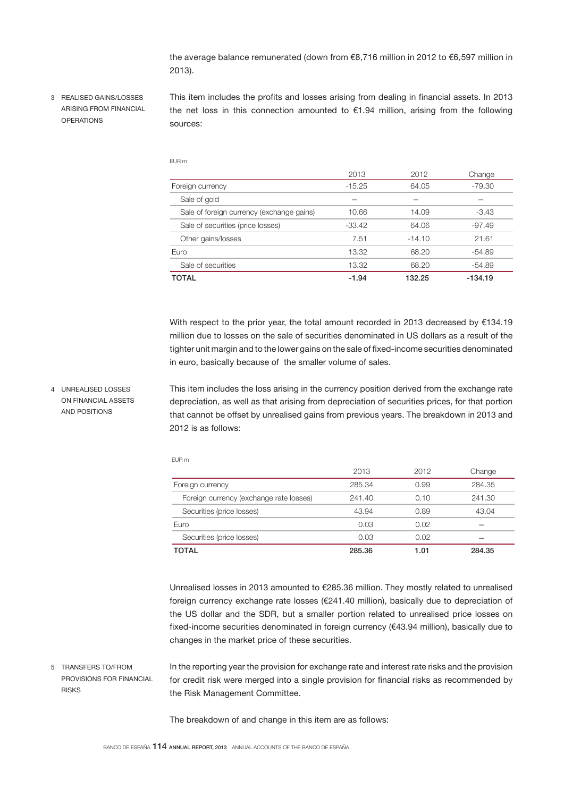the average balance remunerated (down from €8,716 million in 2012 to €6,597 million in 2013).

3 REALISED GAINS/LOSSES ARISING FROM FINANCIAL OPERATIONS

4 UNREALISED LOSSES ON FINANCIAL ASSETS AND POSITIONS

This item includes the profits and losses arising from dealing in financial assets. In 2013 the net loss in this connection amounted to  $E1.94$  million, arising from the following sources:

EUR m

|                                           | 2013     | 2012     | Change    |
|-------------------------------------------|----------|----------|-----------|
| Foreign currency                          | $-15.25$ | 64.05    | $-79.30$  |
| Sale of gold                              |          |          |           |
| Sale of foreign currency (exchange gains) | 10.66    | 14.09    | $-3.43$   |
| Sale of securities (price losses)         | $-33.42$ | 64.06    | $-97.49$  |
| Other gains/losses                        | 7.51     | $-14.10$ | 21.61     |
| Euro                                      | 13.32    | 68.20    | $-54.89$  |
| Sale of securities                        | 13.32    | 68.20    | $-54.89$  |
| TOTAL                                     | $-1.94$  | 132.25   | $-134.19$ |

With respect to the prior year, the total amount recorded in 2013 decreased by €134.19 million due to losses on the sale of securities denominated in US dollars as a result of the tighter unit margin and to the lower gains on the sale of fixed-income securities denominated in euro, basically because of the smaller volume of sales.

This item includes the loss arising in the currency position derived from the exchange rate depreciation, as well as that arising from depreciation of securities prices, for that portion that cannot be offset by unrealised gains from previous years. The breakdown in 2013 and 2012 is as follows:

| I |  |  |
|---|--|--|
|---|--|--|

| TOTAL                                   | 285.36 | 1.01 | 284.35 |
|-----------------------------------------|--------|------|--------|
| Securities (price losses)               | 0.03   | 0.02 |        |
| Euro                                    | 0.03   | 0.02 |        |
| Securities (price losses)               | 43.94  | 0.89 | 43.04  |
| Foreign currency (exchange rate losses) | 241.40 | 0.10 | 241.30 |
| Foreign currency                        | 285.34 | 0.99 | 284.35 |
|                                         | 2013   | 2012 | Change |

Unrealised losses in 2013 amounted to €285.36 million. They mostly related to unrealised foreign currency exchange rate losses (€241.40 million), basically due to depreciation of the US dollar and the SDR, but a smaller portion related to unrealised price losses on fixed-income securities denominated in foreign currency (€43.94 million), basically due to changes in the market price of these securities.

5 TRANSFERS TO/FROM PROVISIONS FOR FINANCIAL RISKS

In the reporting year the provision for exchange rate and interest rate risks and the provision for credit risk were merged into a single provision for financial risks as recommended by the Risk Management Committee.

The breakdown of and change in this item are as follows: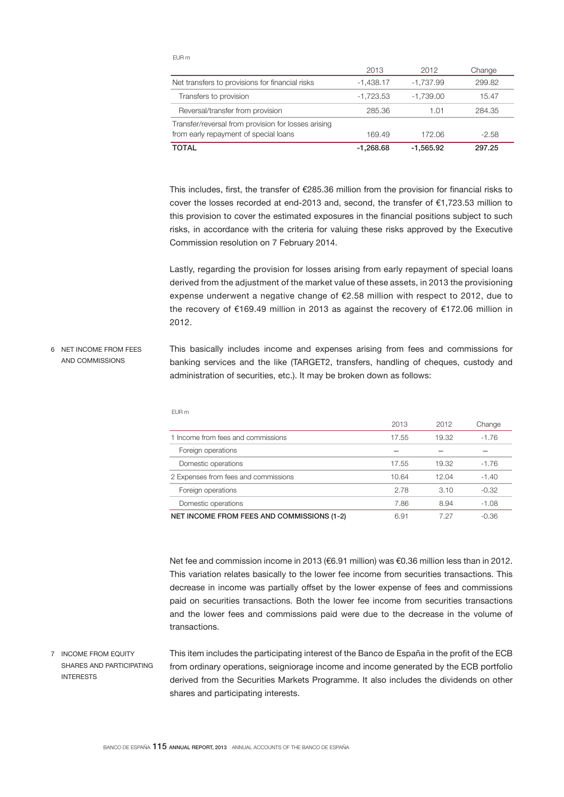EUR m

|                                                                                              | 2013        | 2012        | Change  |
|----------------------------------------------------------------------------------------------|-------------|-------------|---------|
| Net transfers to provisions for financial risks                                              | $-1.438.17$ | -1.737.99   | 299.82  |
| Transfers to provision                                                                       | $-1.723.53$ | $-1.739.00$ | 15.47   |
| Reversal/transfer from provision                                                             | 285.36      | 1.01        | 284.35  |
| Transfer/reversal from provision for losses arising<br>from early repayment of special loans | 169.49      | 172.06      | $-2.58$ |
| <b>TOTAL</b>                                                                                 | $-1.268.68$ | $-1.565.92$ | 297.25  |

This includes, first, the transfer of €285.36 million from the provision for financial risks to cover the losses recorded at end-2013 and, second, the transfer of €1,723.53 million to this provision to cover the estimated exposures in the financial positions subject to such risks, in accordance with the criteria for valuing these risks approved by the Executive Commission resolution on 7 February 2014.

Lastly, regarding the provision for losses arising from early repayment of special loans derived from the adjustment of the market value of these assets, in 2013 the provisioning expense underwent a negative change of €2.58 million with respect to 2012, due to the recovery of €169.49 million in 2013 as against the recovery of €172.06 million in 2012.

This basically includes income and expenses arising from fees and commissions for banking services and the like (TARGET2, transfers, handling of cheques, custody and administration of securities, etc.). It may be broken down as follows: 6 NET INCOME FROM FEES AND COMMISSIONS

|                                                                                                                                                                                                                                                                                                                                                                                                                                   | 2013                 | 2012                     | Change        |
|-----------------------------------------------------------------------------------------------------------------------------------------------------------------------------------------------------------------------------------------------------------------------------------------------------------------------------------------------------------------------------------------------------------------------------------|----------------------|--------------------------|---------------|
| 1 Income from fees and commissions                                                                                                                                                                                                                                                                                                                                                                                                | 17.55                | 19.32                    | $-1.76$       |
| Foreign operations                                                                                                                                                                                                                                                                                                                                                                                                                |                      |                          |               |
| Domestic operations                                                                                                                                                                                                                                                                                                                                                                                                               | 17.55                | 19.32                    | $-1.76$       |
| 2 Expenses from fees and commissions                                                                                                                                                                                                                                                                                                                                                                                              | 10.64                | 12.04                    | $-1.40$       |
| Foreign operations                                                                                                                                                                                                                                                                                                                                                                                                                | 2.78                 | 3.10                     | $-0.32$       |
| Domestic operations                                                                                                                                                                                                                                                                                                                                                                                                               | 7.86                 | 8.94                     | $-1.08$       |
| $\overline{1}$ $\overline{1}$ $\overline{1}$ $\overline{1}$ $\overline{1}$ $\overline{1}$ $\overline{1}$ $\overline{1}$ $\overline{1}$ $\overline{1}$ $\overline{1}$ $\overline{1}$ $\overline{1}$ $\overline{1}$ $\overline{1}$ $\overline{1}$ $\overline{1}$ $\overline{1}$ $\overline{1}$ $\overline{1}$ $\overline{1}$ $\overline{1}$ $\overline{1}$ $\overline{1}$ $\overline{1}$ $\overline{1}$ $\overline{1}$ $\overline{$ | $\sim$ $\sim$ $\sim$ | $\overline{\phantom{a}}$ | $\sim$ $\sim$ |

EUR m

NET INCOME FROM FEES AND COMMISSIONS (1-2) 6.91 7.27 -0.36

Net fee and commission income in 2013 (€6.91 million) was €0.36 million less than in 2012. This variation relates basically to the lower fee income from securities transactions. This decrease in income was partially offset by the lower expense of fees and commissions paid on securities transactions. Both the lower fee income from securities transactions and the lower fees and commissions paid were due to the decrease in the volume of transactions.

7 INCOME FROM EQUITY SHARES AND PARTICIPATING INTERESTS

This item includes the participating interest of the Banco de España in the profit of the ECB from ordinary operations, seigniorage income and income generated by the ECB portfolio derived from the Securities Markets Programme. It also includes the dividends on other shares and participating interests.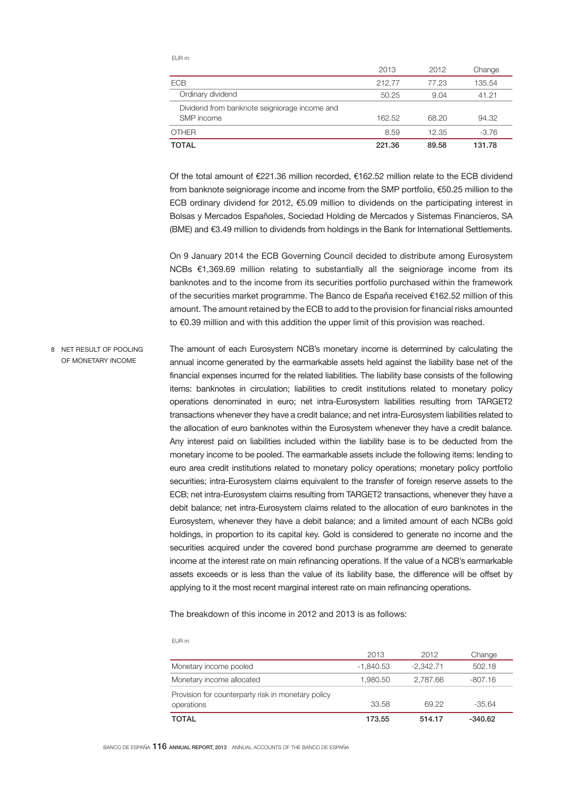| ۰, |
|----|
|----|

|                                                             | 2013   | 2012  | Change  |
|-------------------------------------------------------------|--------|-------|---------|
| <b>ECB</b>                                                  | 212.77 | 77.23 | 135.54  |
| Ordinary dividend                                           | 50.25  | 9.04  | 41.21   |
| Dividend from banknote seigniorage income and<br>SMP income | 162.52 | 68.20 | 94.32   |
| <b>OTHER</b>                                                | 8.59   | 12.35 | $-3.76$ |
| TOTAL                                                       | 221.36 | 89.58 | 131.78  |

Of the total amount of €221.36 million recorded, €162.52 million relate to the ECB dividend from banknote seigniorage income and income from the SMP portfolio, €50.25 million to the ECB ordinary dividend for 2012, €5.09 million to dividends on the participating interest in Bolsas y Mercados Españoles, Sociedad Holding de Mercados y Sistemas Financieros, SA (BME) and €3.49 million to dividends from holdings in the Bank for International Settlements.

On 9 January 2014 the ECB Governing Council decided to distribute among Eurosystem NCBs €1,369.69 million relating to substantially all the seigniorage income from its banknotes and to the income from its securities portfolio purchased within the framework of the securities market programme. The Banco de España received €162.52 million of this amount. The amount retained by the ECB to add to the provision for financial risks amounted to €0.39 million and with this addition the upper limit of this provision was reached.

The amount of each Eurosystem NCB's monetary income is determined by calculating the annual income generated by the earmarkable assets held against the liability base net of the financial expenses incurred for the related liabilities. The liability base consists of the following items: banknotes in circulation; liabilities to credit institutions related to monetary policy operations denominated in euro; net intra-Eurosystem liabilities resulting from TARGET2 transactions whenever they have a credit balance; and net intra-Eurosystem liabilities related to the allocation of euro banknotes within the Eurosystem whenever they have a credit balance. Any interest paid on liabilities included within the liability base is to be deducted from the monetary income to be pooled. The earmarkable assets include the following items: lending to euro area credit institutions related to monetary policy operations; monetary policy portfolio securities; intra-Eurosystem claims equivalent to the transfer of foreign reserve assets to the ECB; net intra-Eurosystem claims resulting from TARGET2 transactions, whenever they have a debit balance; net intra-Eurosystem claims related to the allocation of euro banknotes in the Eurosystem, whenever they have a debit balance; and a limited amount of each NCBs gold holdings, in proportion to its capital key. Gold is considered to generate no income and the securities acquired under the covered bond purchase programme are deemed to generate income at the interest rate on main refinancing operations. If the value of a NCB's earmarkable assets exceeds or is less than the value of its liability base, the difference will be offset by applying to it the most recent marginal interest rate on main refinancing operations. 8 NET RESULT OF POOLING OF MONETARY INCOME

The breakdown of this income in 2012 and 2013 is as follows:

EUR m

|                                                                  | 2013        | 2012        | Change    |
|------------------------------------------------------------------|-------------|-------------|-----------|
| Monetary income pooled                                           | $-1.840.53$ | $-2.342.71$ | 502.18    |
| Monetary income allocated                                        | 1.980.50    | 2.787.66    | $-807.16$ |
| Provision for counterparty risk in monetary policy<br>operations | 33.58       | 69.22       | $-35.64$  |
| TOTAL                                                            | 173.55      | 514.17      | $-340.62$ |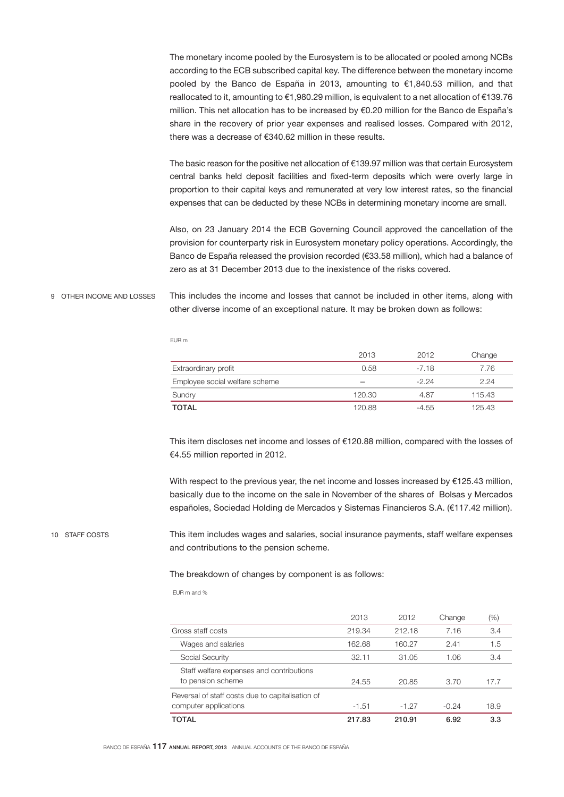The monetary income pooled by the Eurosystem is to be allocated or pooled among NCBs according to the ECB subscribed capital key. The difference between the monetary income pooled by the Banco de España in 2013, amounting to €1,840.53 million, and that reallocated to it, amounting to €1,980.29 million, is equivalent to a net allocation of €139.76 million. This net allocation has to be increased by €0.20 million for the Banco de España's share in the recovery of prior year expenses and realised losses. Compared with 2012, there was a decrease of €340.62 million in these results.

The basic reason for the positive net allocation of €139.97 million was that certain Eurosystem central banks held deposit facilities and fixed-term deposits which were overly large in proportion to their capital keys and remunerated at very low interest rates, so the financial expenses that can be deducted by these NCBs in determining monetary income are small.

Also, on 23 January 2014 the ECB Governing Council approved the cancellation of the provision for counterparty risk in Eurosystem monetary policy operations. Accordingly, the Banco de España released the provision recorded (€33.58 million), which had a balance of zero as at 31 December 2013 due to the inexistence of the risks covered.

#### This includes the income and losses that cannot be included in other items, along with other diverse income of an exceptional nature. It may be broken down as follows: 9 OTHER INCOME AND LOSSES

EUR m

|                                | 2013   | 2012    | Change |
|--------------------------------|--------|---------|--------|
| Extraordinary profit           | 0.58   | $-7.18$ | 7.76   |
| Employee social welfare scheme |        | $-2.24$ | 2.24   |
| Sundry                         | 120.30 | 4.87    | 115.43 |
| <b>TOTAL</b>                   | 120.88 | -4.55   | 125.43 |

This item discloses net income and losses of €120.88 million, compared with the losses of €4.55 million reported in 2012.

With respect to the previous year, the net income and losses increased by €125.43 million, basically due to the income on the sale in November of the shares of Bolsas y Mercados españoles, Sociedad Holding de Mercados y Sistemas Financieros S.A. (€117.42 million).

#### 10 STAFF COSTS

This item includes wages and salaries, social insurance payments, staff welfare expenses and contributions to the pension scheme.

# The breakdown of changes by component is as follows:

EUR m and %

|                                                                           | 2013    | 2012    | Change  | (%)  |
|---------------------------------------------------------------------------|---------|---------|---------|------|
| Gross staff costs                                                         | 219.34  | 212.18  | 7.16    | 3.4  |
| Wages and salaries                                                        | 162.68  | 160.27  | 2.41    | 1.5  |
| Social Security                                                           | 32.11   | 31.05   | 1.06    | 3.4  |
| Staff welfare expenses and contributions<br>to pension scheme             | 24.55   | 20.85   | 3.70    | 17.7 |
| Reversal of staff costs due to capitalisation of<br>computer applications | $-1.51$ | $-1.27$ | $-0.24$ | 18.9 |
| <b>TOTAL</b>                                                              | 217.83  | 210.91  | 6.92    | 3.3  |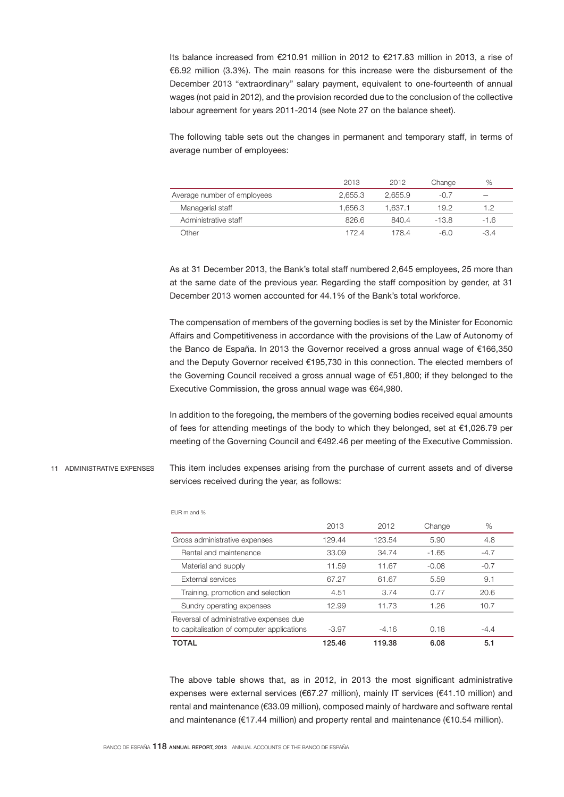Its balance increased from €210.91 million in 2012 to €217.83 million in 2013, a rise of €6.92 million (3.3%). The main reasons for this increase were the disbursement of the December 2013 "extraordinary" salary payment, equivalent to one-fourteenth of annual wages (not paid in 2012), and the provision recorded due to the conclusion of the collective labour agreement for years 2011-2014 (see Note 27 on the balance sheet).

The following table sets out the changes in permanent and temporary staff, in terms of average number of employees:

|                             | 2013    | 2012    | Change | %    |
|-----------------------------|---------|---------|--------|------|
| Average number of employees | 2.655.3 | 2.655.9 | $-0.7$ |      |
| Managerial staff            | 1.656.3 | 1.637.1 | 19.2   | 1.2  |
| Administrative staff        | 826.6   | 840.4   | -13.8  | -1.6 |
| .<br>Jther                  | 172.4   | 178.4   | -6.0   | -3.4 |

As at 31 December 2013, the Bank's total staff numbered 2,645 employees, 25 more than at the same date of the previous year. Regarding the staff composition by gender, at 31 December 2013 women accounted for 44.1% of the Bank's total workforce.

The compensation of members of the governing bodies is set by the Minister for Economic Affairs and Competitiveness in accordance with the provisions of the Law of Autonomy of the Banco de España. In 2013 the Governor received a gross annual wage of €166,350 and the Deputy Governor received €195,730 in this connection. The elected members of the Governing Council received a gross annual wage of €51,800; if they belonged to the Executive Commission, the gross annual wage was €64,980.

In addition to the foregoing, the members of the governing bodies received equal amounts of fees for attending meetings of the body to which they belonged, set at €1,026.79 per meeting of the Governing Council and €492.46 per meeting of the Executive Commission.

This item includes expenses arising from the purchase of current assets and of diverse services received during the year, as follows: 11 ADMINISTRATIVE EXPENSES

| <b>TOTAL</b>                                                                          | 125.46 | 119.38  | 6.08    | 5.1    |
|---------------------------------------------------------------------------------------|--------|---------|---------|--------|
| Reversal of administrative expenses due<br>to capitalisation of computer applications | -3.97  | $-4.16$ | 0.18    | $-4.4$ |
| Sundry operating expenses                                                             | 12.99  | 11.73   | 1.26    | 10.7   |
| Training, promotion and selection                                                     | 4.51   | 3.74    | 0.77    | 20.6   |
| <b>External services</b>                                                              | 67.27  | 61.67   | 5.59    | 9.1    |
| Material and supply                                                                   | 11.59  | 11.67   | $-0.08$ | $-0.7$ |
| Rental and maintenance                                                                | 33.09  | 34.74   | $-1.65$ | $-4.7$ |
| Gross administrative expenses                                                         | 129.44 | 123.54  | 5.90    | 4.8    |
|                                                                                       | 2013   | 2012    | Change  | %      |
|                                                                                       |        |         |         |        |

The above table shows that, as in 2012, in 2013 the most significant administrative expenses were external services (€67.27 million), mainly IT services (€41.10 million) and rental and maintenance (€33.09 million), composed mainly of hardware and software rental and maintenance (€17.44 million) and property rental and maintenance (€10.54 million).

EUR m and %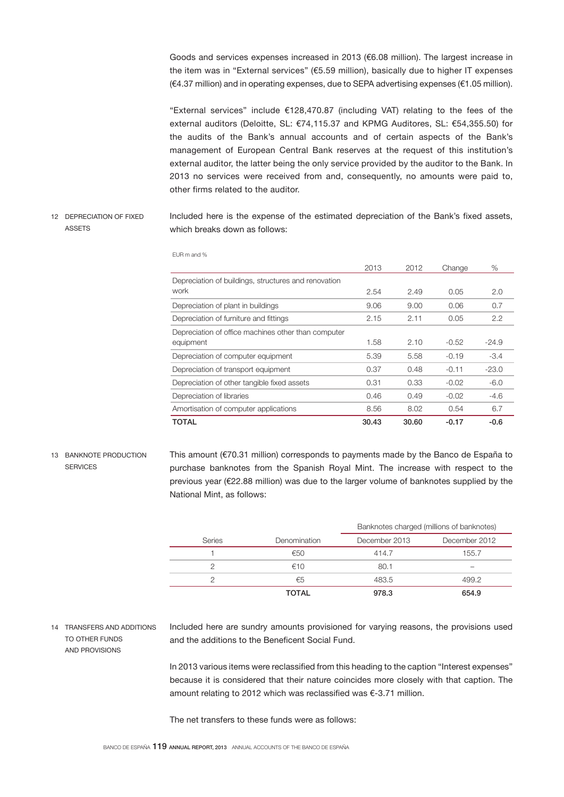Goods and services expenses increased in 2013 (€6.08 million). The largest increase in the item was in "External services" (€5.59 million), basically due to higher IT expenses (€4.37 million) and in operating expenses, due to SEPA advertising expenses (€1.05 million).

"External services" include €128,470.87 (including VAT) relating to the fees of the external auditors (Deloitte, SL: €74,115.37 and KPMG Auditores, SL: €54,355.50) for the audits of the Bank's annual accounts and of certain aspects of the Bank's management of European Central Bank reserves at the request of this institution's external auditor, the latter being the only service provided by the auditor to the Bank. In 2013 no services were received from and, consequently, no amounts were paid to, other firms related to the auditor.

Included here is the expense of the estimated depreciation of the Bank's fixed assets, which breaks down as follows: 12 DEPRECIATION OF FIXED **ASSETS** 

|                                                      | 2013  | 2012  | Change  | %       |
|------------------------------------------------------|-------|-------|---------|---------|
| Depreciation of buildings, structures and renovation |       |       |         |         |
| work                                                 | 2.54  | 2.49  | 0.05    | 2.0     |
| Depreciation of plant in buildings                   | 9.06  | 9.00  | 0.06    | 0.7     |
| Depreciation of furniture and fittings               | 2.15  | 2.11  | 0.05    | 2.2     |
| Depreciation of office machines other than computer  |       |       |         |         |
| equipment                                            | 1.58  | 2.10  | $-0.52$ | $-24.9$ |
| Depreciation of computer equipment                   | 5.39  | 5.58  | $-0.19$ | $-3.4$  |
| Depreciation of transport equipment                  | 0.37  | 0.48  | $-0.11$ | $-23.0$ |
| Depreciation of other tangible fixed assets          | 0.31  | 0.33  | $-0.02$ | $-6.0$  |
| Depreciation of libraries                            | 0.46  | 0.49  | $-0.02$ | $-4.6$  |
| Amortisation of computer applications                | 8.56  | 8.02  | 0.54    | 6.7     |
| TOTAL                                                | 30.43 | 30.60 | $-0.17$ | $-0.6$  |

EUR m and %

13 BANKNOTE PRODUCTION **SERVICES** 

This amount (€70.31 million) corresponds to payments made by the Banco de España to purchase banknotes from the Spanish Royal Mint. The increase with respect to the previous year (€22.88 million) was due to the larger volume of banknotes supplied by the National Mint, as follows:

|        |              | Banknotes charged (millions of banknotes) |               |
|--------|--------------|-------------------------------------------|---------------|
| Series | Denomination | December 2013                             | December 2012 |
|        | €50          | 414.7                                     | 155.7         |
|        | €10          | 80.1                                      |               |
|        | €5           | 483.5                                     | 499.2         |
|        | <b>TOTAL</b> | 978.3                                     | 654.9         |

14 TRANSFERS AND ADDITIONS TO OTHER FUNDS AND PROVISIONS

Included here are sundry amounts provisioned for varying reasons, the provisions used and the additions to the Beneficent Social Fund.

In 2013 various items were reclassified from this heading to the caption "Interest expenses" because it is considered that their nature coincides more closely with that caption. The amount relating to 2012 which was reclassified was €-3.71 million.

The net transfers to these funds were as follows: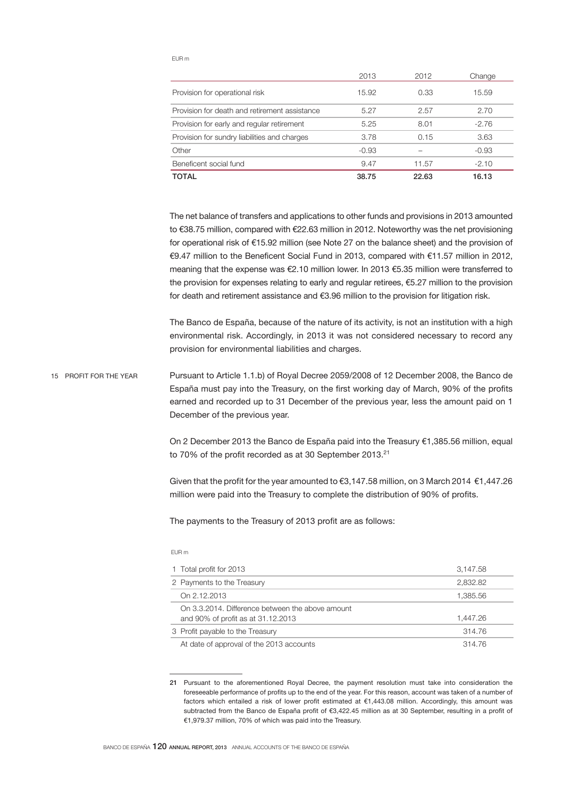### EUR m

|                                               | 2013    | 2012  | Change  |
|-----------------------------------------------|---------|-------|---------|
| Provision for operational risk                | 15.92   | 0.33  | 15.59   |
| Provision for death and retirement assistance | 5.27    | 2.57  | 2.70    |
| Provision for early and regular retirement    | 5.25    | 8.01  | $-2.76$ |
| Provision for sundry liabilities and charges  | 3.78    | 0.15  | 3.63    |
| Other                                         | $-0.93$ |       | $-0.93$ |
| Beneficent social fund                        | 9.47    | 11.57 | $-2.10$ |
| TOTAL                                         | 38.75   | 22.63 | 16.13   |

The net balance of transfers and applications to other funds and provisions in 2013 amounted to €38.75 million, compared with €22.63 million in 2012. Noteworthy was the net provisioning for operational risk of €15.92 million (see Note 27 on the balance sheet) and the provision of €9.47 million to the Beneficent Social Fund in 2013, compared with €11.57 million in 2012, meaning that the expense was €2.10 million lower. In 2013 €5.35 million were transferred to the provision for expenses relating to early and regular retirees, €5.27 million to the provision for death and retirement assistance and €3.96 million to the provision for litigation risk.

The Banco de España, because of the nature of its activity, is not an institution with a high environmental risk. Accordingly, in 2013 it was not considered necessary to record any provision for environmental liabilities and charges.

Pursuant to Article 1.1.b) of Royal Decree 2059/2008 of 12 December 2008, the Banco de España must pay into the Treasury, on the first working day of March, 90% of the profits earned and recorded up to 31 December of the previous year, less the amount paid on 1 December of the previous year. 15 PROFIT FOR THE YEAR

> On 2 December 2013 the Banco de España paid into the Treasury €1,385.56 million, equal to 70% of the profit recorded as at 30 September 2013.<sup>21</sup>

> Given that the profit for the year amounted to €3,147.58 million, on 3 March 2014 €1,447.26 million were paid into the Treasury to complete the distribution of 90% of profits.

The payments to the Treasury of 2013 profit are as follows:

#### EUR m

| 1 Total profit for 2013                                                                | 3.147.58 |
|----------------------------------------------------------------------------------------|----------|
| 2 Payments to the Treasury                                                             | 2.832.82 |
| On 2.12.2013                                                                           | 1.385.56 |
| On 3.3.2014. Difference between the above amount<br>and 90% of profit as at 31.12.2013 | 1.447.26 |
| 3 Profit payable to the Treasury                                                       | 314.76   |
| At date of approval of the 2013 accounts                                               | 314.76   |

<sup>21</sup> Pursuant to the aforementioned Royal Decree, the payment resolution must take into consideration the foreseeable performance of profits up to the end of the year. For this reason, account was taken of a number of factors which entailed a risk of lower profit estimated at €1,443.08 million. Accordingly, this amount was subtracted from the Banco de España profit of €3,422.45 million as at 30 September, resulting in a profit of €1,979.37 million, 70% of which was paid into the Treasury.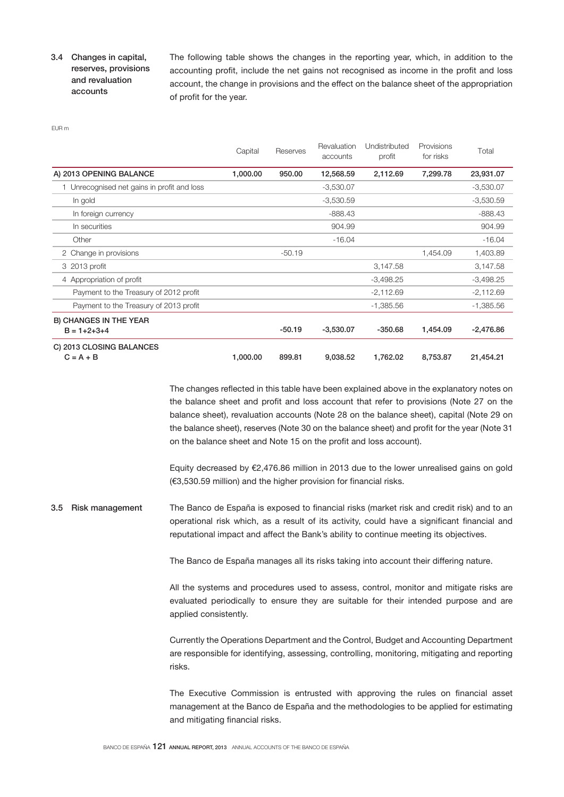# 3.4 Changes in capital, reserves, provisions and revaluation accounts

The following table shows the changes in the reporting year, which, in addition to the accounting profit, include the net gains not recognised as income in the profit and loss account, the change in provisions and the effect on the balance sheet of the appropriation of profit for the year.

EUR m

|                                                      | Capital  | Reserves | Revaluation<br>accounts | Undistributed<br>profit | Provisions<br>for risks | Total       |
|------------------------------------------------------|----------|----------|-------------------------|-------------------------|-------------------------|-------------|
| A) 2013 OPENING BALANCE                              | 1,000.00 | 950.00   | 12,568.59               | 2,112.69                | 7,299.78                | 23,931.07   |
| Unrecognised net gains in profit and loss            |          |          | $-3,530.07$             |                         |                         | $-3,530.07$ |
| In gold                                              |          |          | $-3,530.59$             |                         |                         | $-3,530.59$ |
| In foreign currency                                  |          |          | $-888.43$               |                         |                         | $-888.43$   |
| In securities                                        |          |          | 904.99                  |                         |                         | 904.99      |
| Other                                                |          |          | $-16.04$                |                         |                         | $-16.04$    |
| 2 Change in provisions                               |          | $-50.19$ |                         |                         | 1,454.09                | 1,403.89    |
| 3 2013 profit                                        |          |          |                         | 3,147.58                |                         | 3,147.58    |
| 4 Appropriation of profit                            |          |          |                         | $-3,498.25$             |                         | $-3,498.25$ |
| Payment to the Treasury of 2012 profit               |          |          |                         | $-2,112.69$             |                         | $-2,112.69$ |
| Payment to the Treasury of 2013 profit               |          |          |                         | $-1,385.56$             |                         | $-1,385.56$ |
| <b>B) CHANGES IN THE YEAR</b><br>$B = 1 + 2 + 3 + 4$ |          | $-50.19$ | $-3,530.07$             | $-350.68$               | 1,454.09                | $-2,476.86$ |
| C) 2013 CLOSING BALANCES<br>$C = A + B$              | 1,000.00 | 899.81   | 9,038.52                | 1,762.02                | 8,753.87                | 21,454.21   |

The changes reflected in this table have been explained above in the explanatory notes on the balance sheet and profit and loss account that refer to provisions (Note 27 on the balance sheet), revaluation accounts (Note 28 on the balance sheet), capital (Note 29 on the balance sheet), reserves (Note 30 on the balance sheet) and profit for the year (Note 31 on the balance sheet and Note 15 on the profit and loss account).

Equity decreased by €2,476.86 million in 2013 due to the lower unrealised gains on gold (€3,530.59 million) and the higher provision for financial risks.

The Banco de España is exposed to financial risks (market risk and credit risk) and to an operational risk which, as a result of its activity, could have a significant financial and reputational impact and affect the Bank's ability to continue meeting its objectives. 3.5 Risk management

The Banco de España manages all its risks taking into account their differing nature.

All the systems and procedures used to assess, control, monitor and mitigate risks are evaluated periodically to ensure they are suitable for their intended purpose and are applied consistently.

Currently the Operations Department and the Control, Budget and Accounting Department are responsible for identifying, assessing, controlling, monitoring, mitigating and reporting risks.

The Executive Commission is entrusted with approving the rules on financial asset management at the Banco de España and the methodologies to be applied for estimating and mitigating financial risks.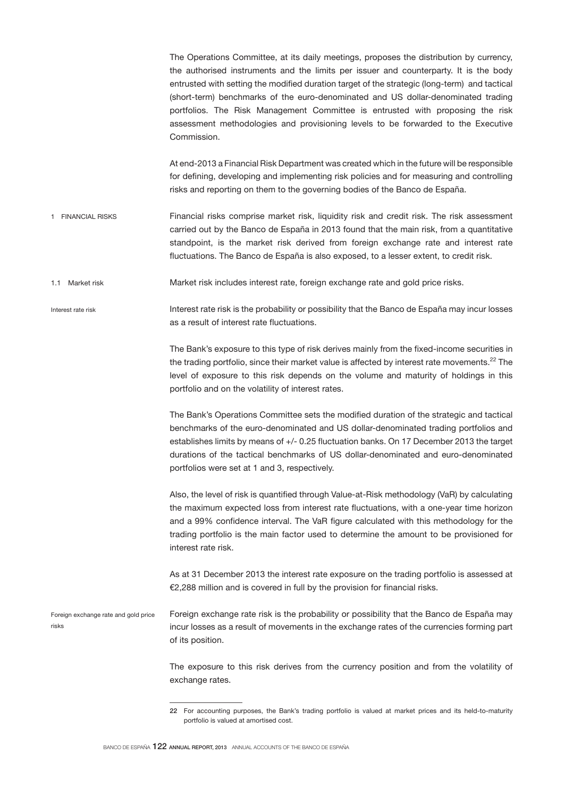The Operations Committee, at its daily meetings, proposes the distribution by currency, the authorised instruments and the limits per issuer and counterparty. It is the body entrusted with setting the modified duration target of the strategic (long-term) and tactical (short-term) benchmarks of the euro-denominated and US dollar-denominated trading portfolios. The Risk Management Committee is entrusted with proposing the risk assessment methodologies and provisioning levels to be forwarded to the Executive Commission. At end-2013 a Financial Risk Department was created which in the future will be responsible for defining, developing and implementing risk policies and for measuring and controlling risks and reporting on them to the governing bodies of the Banco de España. Financial risks comprise market risk, liquidity risk and credit risk. The risk assessment carried out by the Banco de España in 2013 found that the main risk, from a quantitative standpoint, is the market risk derived from foreign exchange rate and interest rate fluctuations. The Banco de España is also exposed, to a lesser extent, to credit risk. Market risk includes interest rate, foreign exchange rate and gold price risks. Interest rate risk is the probability or possibility that the Banco de España may incur losses as a result of interest rate fluctuations. The Bank's exposure to this type of risk derives mainly from the fixed-income securities in the trading portfolio, since their market value is affected by interest rate movements.<sup>22</sup> The level of exposure to this risk depends on the volume and maturity of holdings in this portfolio and on the volatility of interest rates. The Bank's Operations Committee sets the modified duration of the strategic and tactical benchmarks of the euro-denominated and US dollar-denominated trading portfolios and establishes limits by means of +/- 0.25 fluctuation banks. On 17 December 2013 the target durations of the tactical benchmarks of US dollar-denominated and euro-denominated portfolios were set at 1 and 3, respectively. Also, the level of risk is quantified through Value-at-Risk methodology (VaR) by calculating the maximum expected loss from interest rate fluctuations, with a one-year time horizon and a 99% confidence interval. The VaR figure calculated with this methodology for the trading portfolio is the main factor used to determine the amount to be provisioned for interest rate risk. As at 31 December 2013 the interest rate exposure on the trading portfolio is assessed at €2,288 million and is covered in full by the provision for financial risks. Foreign exchange rate risk is the probability or possibility that the Banco de España may incur losses as a result of movements in the exchange rates of the currencies forming part of its position. The exposure to this risk derives from the currency position and from the volatility of exchange rates. 1 FINANCIAL RISKS 1.1 Market risk Interest rate risk Foreign exchange rate and gold price risks

<sup>22</sup> For accounting purposes, the Bank's trading portfolio is valued at market prices and its held-to-maturity portfolio is valued at amortised cost.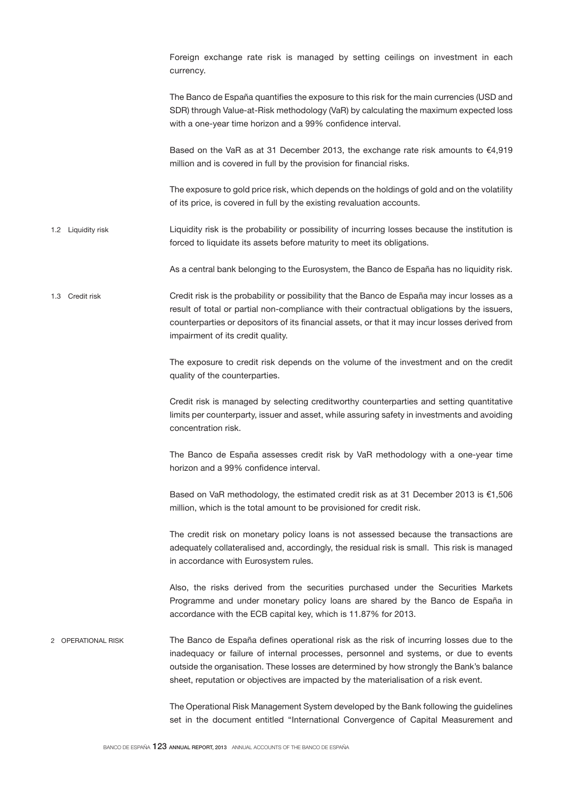|   |                    | Foreign exchange rate risk is managed by setting ceilings on investment in each<br>currency.                                                                                                                                                                                                                                                                        |
|---|--------------------|---------------------------------------------------------------------------------------------------------------------------------------------------------------------------------------------------------------------------------------------------------------------------------------------------------------------------------------------------------------------|
|   |                    | The Banco de España quantifies the exposure to this risk for the main currencies (USD and<br>SDR) through Value-at-Risk methodology (VaR) by calculating the maximum expected loss<br>with a one-year time horizon and a 99% confidence interval.                                                                                                                   |
|   |                    | Based on the VaR as at 31 December 2013, the exchange rate risk amounts to $€4,919$<br>million and is covered in full by the provision for financial risks.                                                                                                                                                                                                         |
|   |                    | The exposure to gold price risk, which depends on the holdings of gold and on the volatility<br>of its price, is covered in full by the existing revaluation accounts.                                                                                                                                                                                              |
|   | 1.2 Liquidity risk | Liquidity risk is the probability or possibility of incurring losses because the institution is<br>forced to liquidate its assets before maturity to meet its obligations.                                                                                                                                                                                          |
|   |                    | As a central bank belonging to the Eurosystem, the Banco de España has no liquidity risk.                                                                                                                                                                                                                                                                           |
|   | 1.3 Credit risk    | Credit risk is the probability or possibility that the Banco de España may incur losses as a<br>result of total or partial non-compliance with their contractual obligations by the issuers,<br>counterparties or depositors of its financial assets, or that it may incur losses derived from<br>impairment of its credit quality.                                 |
|   |                    | The exposure to credit risk depends on the volume of the investment and on the credit<br>quality of the counterparties.                                                                                                                                                                                                                                             |
|   |                    | Credit risk is managed by selecting creditworthy counterparties and setting quantitative<br>limits per counterparty, issuer and asset, while assuring safety in investments and avoiding<br>concentration risk.                                                                                                                                                     |
|   |                    | The Banco de España assesses credit risk by VaR methodology with a one-year time<br>horizon and a 99% confidence interval.                                                                                                                                                                                                                                          |
|   |                    | Based on VaR methodology, the estimated credit risk as at 31 December 2013 is €1,506<br>million, which is the total amount to be provisioned for credit risk.                                                                                                                                                                                                       |
|   |                    | The credit risk on monetary policy loans is not assessed because the transactions are<br>adequately collateralised and, accordingly, the residual risk is small. This risk is managed<br>in accordance with Eurosystem rules.                                                                                                                                       |
|   |                    | Also, the risks derived from the securities purchased under the Securities Markets<br>Programme and under monetary policy loans are shared by the Banco de España in<br>accordance with the ECB capital key, which is 11.87% for 2013.                                                                                                                              |
| 2 | OPERATIONAL RISK   | The Banco de España defines operational risk as the risk of incurring losses due to the<br>inadequacy or failure of internal processes, personnel and systems, or due to events<br>outside the organisation. These losses are determined by how strongly the Bank's balance<br>sheet, reputation or objectives are impacted by the materialisation of a risk event. |
|   |                    | The Operational Risk Management System developed by the Bank following the guidelines<br>set in the document entitled "International Convergence of Capital Measurement and                                                                                                                                                                                         |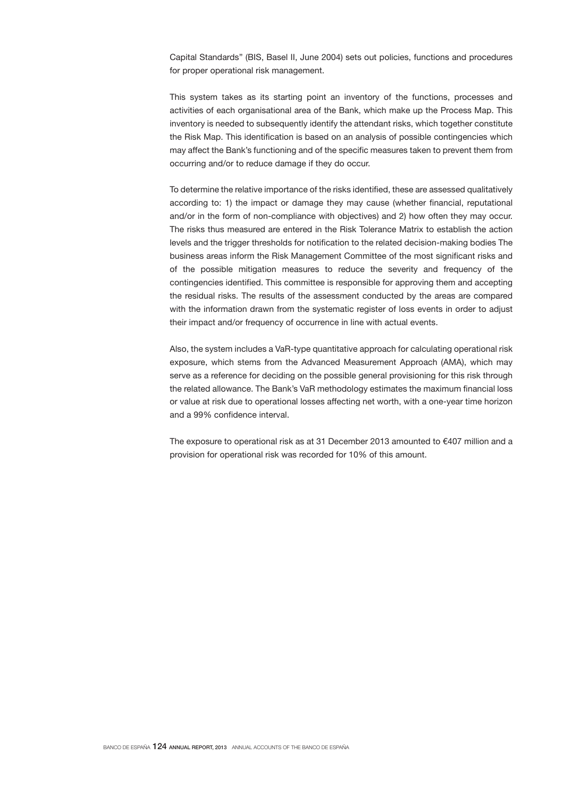Capital Standards" (BIS, Basel II, June 2004) sets out policies, functions and procedures for proper operational risk management.

This system takes as its starting point an inventory of the functions, processes and activities of each organisational area of the Bank, which make up the Process Map. This inventory is needed to subsequently identify the attendant risks, which together constitute the Risk Map. This identification is based on an analysis of possible contingencies which may affect the Bank's functioning and of the specific measures taken to prevent them from occurring and/or to reduce damage if they do occur.

To determine the relative importance of the risks identified, these are assessed qualitatively according to: 1) the impact or damage they may cause (whether financial, reputational and/or in the form of non-compliance with objectives) and 2) how often they may occur. The risks thus measured are entered in the Risk Tolerance Matrix to establish the action levels and the trigger thresholds for notification to the related decision-making bodies The business areas inform the Risk Management Committee of the most significant risks and of the possible mitigation measures to reduce the severity and frequency of the contingencies identified. This committee is responsible for approving them and accepting the residual risks. The results of the assessment conducted by the areas are compared with the information drawn from the systematic register of loss events in order to adjust their impact and/or frequency of occurrence in line with actual events.

Also, the system includes a VaR-type quantitative approach for calculating operational risk exposure, which stems from the Advanced Measurement Approach (AMA), which may serve as a reference for deciding on the possible general provisioning for this risk through the related allowance. The Bank's VaR methodology estimates the maximum financial loss or value at risk due to operational losses affecting net worth, with a one-year time horizon and a 99% confidence interval.

The exposure to operational risk as at 31 December 2013 amounted to  $€407$  million and a provision for operational risk was recorded for 10% of this amount.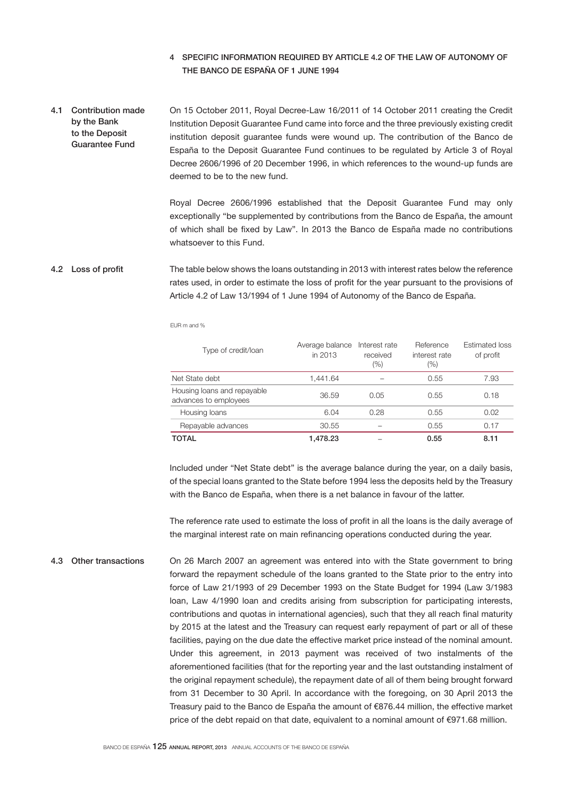# 4 SPECIFIC INFORMATION REQUIRED BY ARTICLE 4.2 OF THE LAW OF AUTONOMY OF THE BANCO DE ESPAÑA OF 1 JUNE 1994

On 15 October 2011, Royal Decree-Law 16/2011 of 14 October 2011 creating the Credit Institution Deposit Guarantee Fund came into force and the three previously existing credit institution deposit guarantee funds were wound up. The contribution of the Banco de España to the Deposit Guarantee Fund continues to be regulated by Article 3 of Royal Decree 2606/1996 of 20 December 1996, in which references to the wound-up funds are deemed to be to the new fund. 4.1 Contribution made by the Bank to the Deposit Guarantee Fund

> Royal Decree 2606/1996 established that the Deposit Guarantee Fund may only exceptionally "be supplemented by contributions from the Banco de España, the amount of which shall be fixed by Law". In 2013 the Banco de España made no contributions whatsoever to this Fund.

#### The table below shows the loans outstanding in 2013 with interest rates below the reference rates used, in order to estimate the loss of profit for the year pursuant to the provisions of Article 4.2 of Law 13/1994 of 1 June 1994 of Autonomy of the Banco de España. 4.2 Loss of profit

EUR m and %

| Type of credit/loan                                  | Average balance<br>in 2013 | Interest rate<br>received<br>(%) | Reference<br>interest rate<br>(%) | <b>Estimated loss</b><br>of profit |
|------------------------------------------------------|----------------------------|----------------------------------|-----------------------------------|------------------------------------|
| Net State debt                                       | 1.441.64                   |                                  | 0.55                              | 7.93                               |
| Housing loans and repayable<br>advances to employees | 36.59                      | 0.05                             | 0.55                              | 0.18                               |
| Housing loans                                        | 6.04                       | 0.28                             | 0.55                              | 0.02                               |
| Repayable advances                                   | 30.55                      |                                  | 0.55                              | 0.17                               |
| TOTAL                                                | 1.478.23                   |                                  | 0.55                              | 8.11                               |

Included under "Net State debt" is the average balance during the year, on a daily basis, of the special loans granted to the State before 1994 less the deposits held by the Treasury with the Banco de España, when there is a net balance in favour of the latter.

The reference rate used to estimate the loss of profit in all the loans is the daily average of the marginal interest rate on main refinancing operations conducted during the year.

On 26 March 2007 an agreement was entered into with the State government to bring forward the repayment schedule of the loans granted to the State prior to the entry into force of Law 21/1993 of 29 December 1993 on the State Budget for 1994 (Law 3/1983 loan, Law 4/1990 loan and credits arising from subscription for participating interests, contributions and quotas in international agencies), such that they all reach final maturity by 2015 at the latest and the Treasury can request early repayment of part or all of these facilities, paying on the due date the effective market price instead of the nominal amount. Under this agreement, in 2013 payment was received of two instalments of the aforementioned facilities (that for the reporting year and the last outstanding instalment of the original repayment schedule), the repayment date of all of them being brought forward from 31 December to 30 April. In accordance with the foregoing, on 30 April 2013 the Treasury paid to the Banco de España the amount of €876.44 million, the effective market price of the debt repaid on that date, equivalent to a nominal amount of €971.68 million. 4.3 Other transactions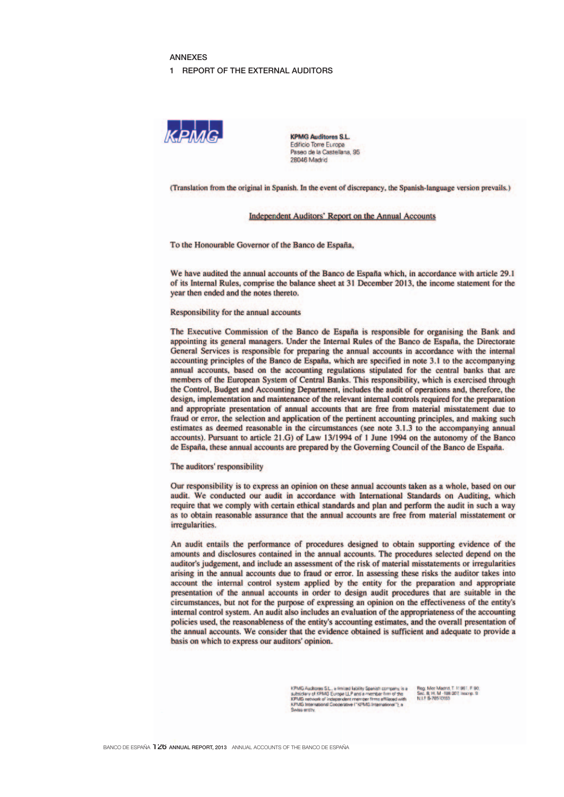### **ANNEXES**

#### 1 REPORT OF THE EXTERNAL AUDITORS



**KPMG Auditores S.L.** Edificio Torre Europa Paseo de la Castellana, 95 28046 Madrid

(Translation from the original in Spanish. In the event of discrepancy, the Spanish-language version prevails.)

### **Independent Auditors' Report on the Annual Accounts**

To the Honourable Governor of the Banco de España,

We have audited the annual accounts of the Banco de España which, in accordance with article 29.1 of its Internal Rules, comprise the balance sheet at 31 December 2013, the income statement for the year then ended and the notes thereto.

### Responsibility for the annual accounts

The Executive Commission of the Banco de España is responsible for organising the Bank and appointing its general managers. Under the Internal Rules of the Banco de España, the Directorate General Services is responsible for preparing the annual accounts in accordance with the internal accounting principles of the Banco de España, which are specified in note 3.1 to the accompanying annual accounts, based on the accounting regulations stipulated for the central banks that are members of the European System of Central Banks. This responsibility, which is exercised through the Control, Budget and Accounting Department, includes the audit of operations and, therefore, the design, implementation and maintenance of the relevant internal controls required for the preparation and appropriate presentation of annual accounts that are free from material misstatement due to fraud or error, the selection and application of the pertinent accounting principles, and making such estimates as deemed reasonable in the circumstances (see note 3.1.3 to the accompanying annual accounts). Pursuant to article 21.G) of Law 13/1994 of 1 June 1994 on the autonomy of the Banco de España, these annual accounts are prepared by the Governing Council of the Banco de España.

The auditors' responsibility

Our responsibility is to express an opinion on these annual accounts taken as a whole, based on our audit. We conducted our audit in accordance with International Standards on Auditing, which require that we comply with certain ethical standards and plan and perform the audit in such a way as to obtain reasonable assurance that the annual accounts are free from material misstatement or irregularities.

An audit entails the performance of procedures designed to obtain supporting evidence of the amounts and disclosures contained in the annual accounts. The procedures selected depend on the auditor's judgement, and include an assessment of the risk of material misstatements or irregularities arising in the annual accounts due to fraud or error. In assessing these risks the auditor takes into account the internal control system applied by the entity for the preparation and appropriate presentation of the annual accounts in order to design audit procedures that are suitable in the circumstances, but not for the purpose of expressing an opinion on the effectiveness of the entity's internal control system. An audit also includes an evaluation of the appropriateness of the accounting policies used, the reasonableness of the entity's accounting estimates, and the overall presentation of the annual accounts. We consider that the evidence obtained is sufficient and adequate to provide a basis on which to express our auditors' opinion.

> KPMG Auditores S.L., a limited lability Spanish company, is a Reg. Mor Machd, T. 11961, F. 90, adsistrary of KPMG Europe LLP and a member from of the Sec. B, H. M -198 007, inscrip. 9<br>KPMG instructed of independent rremine Swiss entity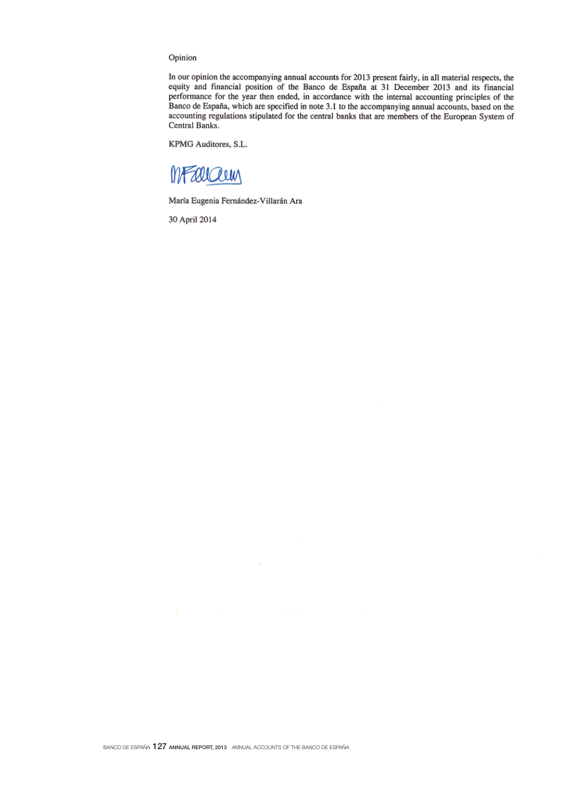# Opinion

In our opinion the accompanying annual accounts for 2013 present fairly, in all material respects, the equity and financial position of the Banco de España at 31 December 2013 and its financial performance for the year then ended, in accordance with the internal accounting principles of the Banco de España, which are specified in note 3.1 to the accompanying annual accounts, based on the accounting regulations stipulated for the central banks that are members of the European System of Central Banks.

KPMG Auditores, S.L.

MFallaun

María Eugenia Fernández-Villarán Ara

30 April 2014